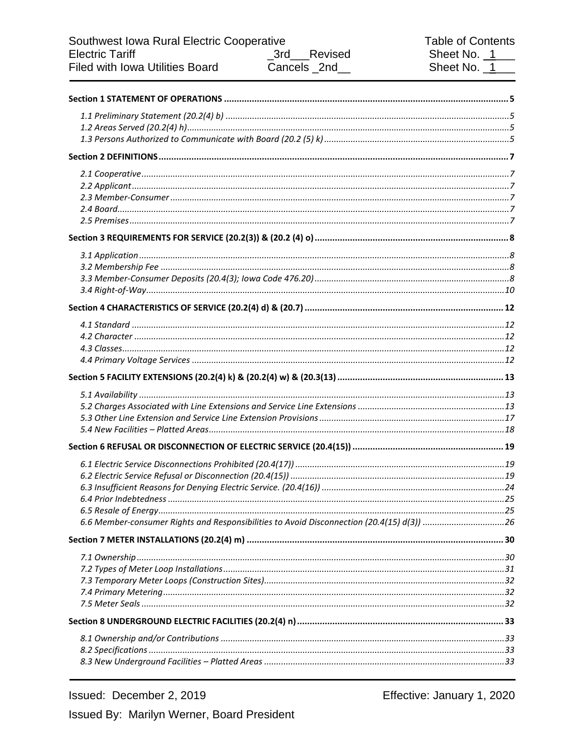Southwest Iowa Rural Electric Cooperative \_3rd\_\_\_Revised **Electric Tariff** Cancels \_2nd\_ Filed with Iowa Utilities Board

| 6.6 Member-consumer Rights and Responsibilities to Avoid Disconnection (20.4(15) d(3)) 26 |  |
|-------------------------------------------------------------------------------------------|--|
|                                                                                           |  |
|                                                                                           |  |
|                                                                                           |  |
|                                                                                           |  |
|                                                                                           |  |
|                                                                                           |  |
|                                                                                           |  |
|                                                                                           |  |
|                                                                                           |  |
|                                                                                           |  |
|                                                                                           |  |

Effective: January 1, 2020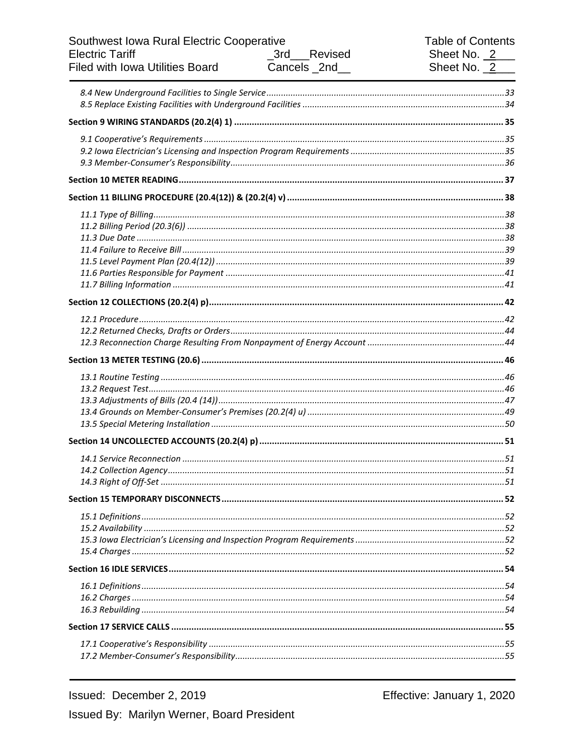| Southwest Iowa Rural Electric Cooperative |              | <b>Table of Contents</b> |
|-------------------------------------------|--------------|--------------------------|
| <b>Electric Tariff</b>                    | 3rd Revised  | Sheet No. 2              |
| <b>Filed with Iowa Utilities Board</b>    | Cancels_2nd_ | Sheet No. 2____          |
|                                           |              |                          |
|                                           |              |                          |
|                                           |              |                          |
|                                           |              |                          |
|                                           |              |                          |
|                                           |              |                          |
|                                           |              |                          |
|                                           |              |                          |
|                                           |              |                          |
|                                           |              |                          |
|                                           |              |                          |
|                                           |              |                          |
|                                           |              |                          |
|                                           |              |                          |
|                                           |              |                          |
|                                           |              |                          |
|                                           |              |                          |
|                                           |              |                          |
|                                           |              |                          |
|                                           |              |                          |
|                                           |              |                          |
|                                           |              |                          |
|                                           |              |                          |
|                                           |              |                          |
|                                           |              |                          |
| 14.1 Service Reconnection                 |              | 51                       |
|                                           |              |                          |
|                                           |              |                          |
|                                           |              |                          |
|                                           |              |                          |
|                                           |              |                          |
|                                           |              |                          |
|                                           |              |                          |
|                                           |              |                          |
|                                           |              |                          |
|                                           |              |                          |
|                                           |              |                          |
|                                           |              |                          |
|                                           |              |                          |
|                                           |              |                          |
|                                           |              |                          |

Effective: January 1, 2020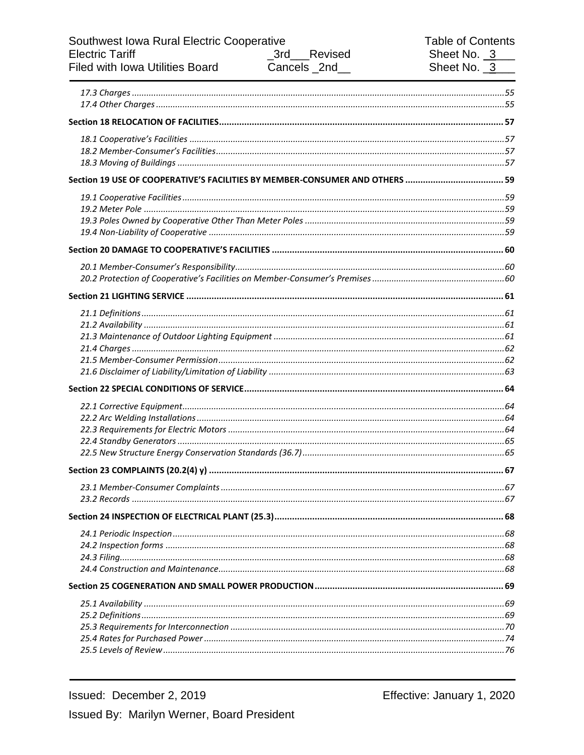| Southwest Iowa Rural Electric Cooperative |                | <b>Table of Contents</b> |
|-------------------------------------------|----------------|--------------------------|
| <b>Electric Tariff</b>                    | _3rd___Revised | Sheet No. 3              |
| Filed with Iowa Utilities Board           | Cancels_2nd_   | Sheet No. 3              |
|                                           |                |                          |
|                                           |                |                          |
|                                           |                |                          |
|                                           |                |                          |
|                                           |                |                          |
|                                           |                |                          |
|                                           |                |                          |
|                                           |                |                          |
|                                           |                |                          |
|                                           |                |                          |
|                                           |                |                          |
|                                           |                |                          |
|                                           |                |                          |
|                                           |                |                          |
|                                           |                |                          |
|                                           |                |                          |
|                                           |                |                          |
|                                           |                |                          |
|                                           |                |                          |
|                                           |                |                          |
|                                           |                |                          |
|                                           |                |                          |
|                                           |                |                          |
|                                           |                |                          |
|                                           |                |                          |
|                                           |                |                          |
|                                           |                |                          |
|                                           |                |                          |
|                                           |                |                          |
|                                           |                |                          |
|                                           |                |                          |
|                                           |                |                          |
|                                           |                |                          |
|                                           |                |                          |
|                                           |                |                          |
|                                           |                |                          |
|                                           |                |                          |
|                                           |                |                          |
|                                           |                |                          |
|                                           |                |                          |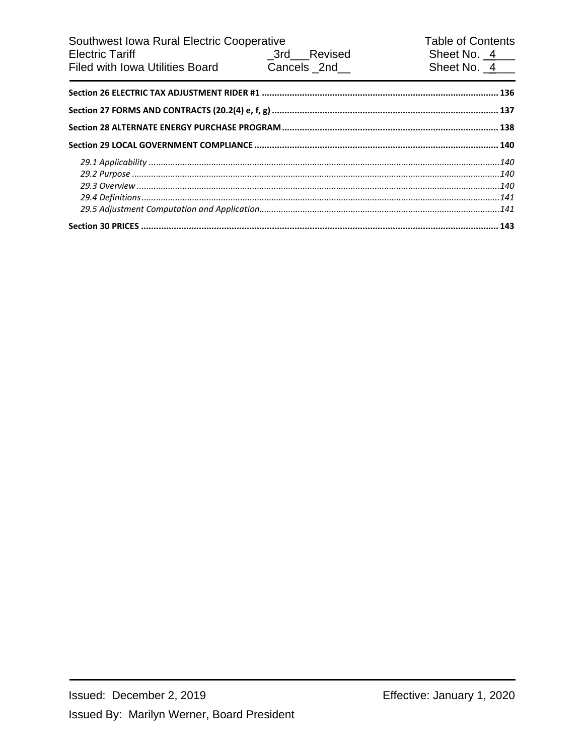| Southwest Iowa Rural Electric Cooperative<br><b>Electric Tariff</b><br><b>Filed with Iowa Utilities Board</b> | 3rd Revised<br>Cancels _2nd__ | <b>Table of Contents</b><br>Sheet No. $4$<br>Sheet No. 4 |
|---------------------------------------------------------------------------------------------------------------|-------------------------------|----------------------------------------------------------|
|                                                                                                               |                               |                                                          |
|                                                                                                               |                               |                                                          |
|                                                                                                               |                               |                                                          |
|                                                                                                               |                               |                                                          |
|                                                                                                               |                               |                                                          |
|                                                                                                               |                               |                                                          |
|                                                                                                               |                               |                                                          |
|                                                                                                               |                               |                                                          |
|                                                                                                               |                               |                                                          |
|                                                                                                               |                               |                                                          |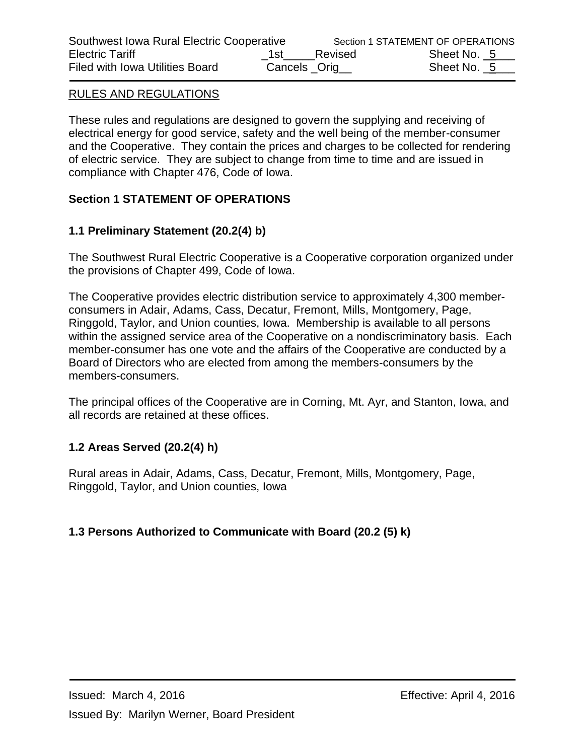| Southwest Iowa Rural Electric Cooperative |                 | Section 1 STATEMENT OF OPERATIONS |
|-------------------------------------------|-----------------|-----------------------------------|
| <b>Electric Tariff</b>                    | 1st   Revised   | Sheet No. 5____                   |
| <b>Filed with Iowa Utilities Board</b>    | Cancels _Orig__ | Sheet No. $5$ ___                 |

#### RULES AND REGULATIONS

These rules and regulations are designed to govern the supplying and receiving of electrical energy for good service, safety and the well being of the member-consumer and the Cooperative. They contain the prices and charges to be collected for rendering of electric service. They are subject to change from time to time and are issued in compliance with Chapter 476, Code of Iowa.

# <span id="page-4-0"></span>**Section 1 STATEMENT OF OPERATIONS**

### <span id="page-4-1"></span>**1.1 Preliminary Statement (20.2(4) b)**

The Southwest Rural Electric Cooperative is a Cooperative corporation organized under the provisions of Chapter 499, Code of Iowa.

The Cooperative provides electric distribution service to approximately 4,300 memberconsumers in Adair, Adams, Cass, Decatur, Fremont, Mills, Montgomery, Page, Ringgold, Taylor, and Union counties, Iowa. Membership is available to all persons within the assigned service area of the Cooperative on a nondiscriminatory basis. Each member-consumer has one vote and the affairs of the Cooperative are conducted by a Board of Directors who are elected from among the members-consumers by the members-consumers.

The principal offices of the Cooperative are in Corning, Mt. Ayr, and Stanton, Iowa, and all records are retained at these offices.

### <span id="page-4-2"></span>**1.2 Areas Served (20.2(4) h)**

Rural areas in Adair, Adams, Cass, Decatur, Fremont, Mills, Montgomery, Page, Ringgold, Taylor, and Union counties, Iowa

### <span id="page-4-3"></span>**1.3 Persons Authorized to Communicate with Board (20.2 (5) k)**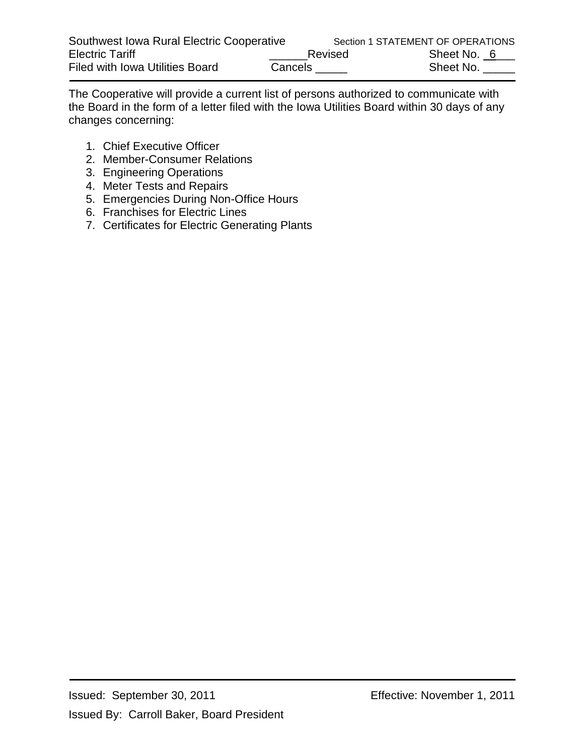The Cooperative will provide a current list of persons authorized to communicate with the Board in the form of a letter filed with the Iowa Utilities Board within 30 days of any changes concerning:

- 1. Chief Executive Officer
- 2. Member-Consumer Relations
- 3. Engineering Operations
- 4. Meter Tests and Repairs
- 5. Emergencies During Non-Office Hours
- 6. Franchises for Electric Lines
- 7. Certificates for Electric Generating Plants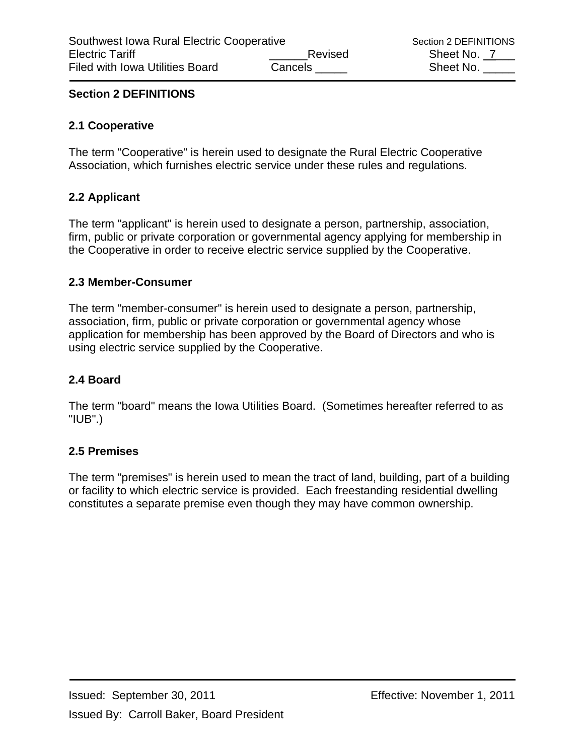#### <span id="page-6-0"></span>**Section 2 DEFINITIONS**

#### <span id="page-6-1"></span>**2.1 Cooperative**

The term "Cooperative" is herein used to designate the Rural Electric Cooperative Association, which furnishes electric service under these rules and regulations.

### <span id="page-6-2"></span>**2.2 Applicant**

The term "applicant" is herein used to designate a person, partnership, association, firm, public or private corporation or governmental agency applying for membership in the Cooperative in order to receive electric service supplied by the Cooperative.

#### <span id="page-6-3"></span>**2.3 Member-Consumer**

The term "member-consumer" is herein used to designate a person, partnership, association, firm, public or private corporation or governmental agency whose application for membership has been approved by the Board of Directors and who is using electric service supplied by the Cooperative.

#### <span id="page-6-4"></span>**2.4 Board**

The term "board" means the Iowa Utilities Board. (Sometimes hereafter referred to as "IUB".)

#### <span id="page-6-5"></span>**2.5 Premises**

The term "premises" is herein used to mean the tract of land, building, part of a building or facility to which electric service is provided. Each freestanding residential dwelling constitutes a separate premise even though they may have common ownership.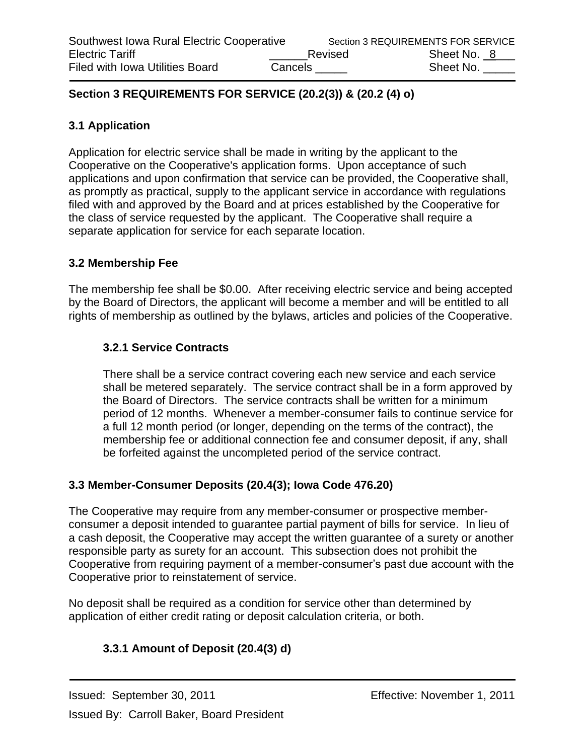## <span id="page-7-0"></span>**Section 3 REQUIREMENTS FOR SERVICE (20.2(3)) & (20.2 (4) o)**

## <span id="page-7-1"></span>**3.1 Application**

Application for electric service shall be made in writing by the applicant to the Cooperative on the Cooperative's application forms. Upon acceptance of such applications and upon confirmation that service can be provided, the Cooperative shall, as promptly as practical, supply to the applicant service in accordance with regulations filed with and approved by the Board and at prices established by the Cooperative for the class of service requested by the applicant. The Cooperative shall require a separate application for service for each separate location.

### <span id="page-7-2"></span>**3.2 Membership Fee**

The membership fee shall be \$0.00. After receiving electric service and being accepted by the Board of Directors, the applicant will become a member and will be entitled to all rights of membership as outlined by the bylaws, articles and policies of the Cooperative.

### **3.2.1 Service Contracts**

There shall be a service contract covering each new service and each service shall be metered separately. The service contract shall be in a form approved by the Board of Directors. The service contracts shall be written for a minimum period of 12 months. Whenever a member-consumer fails to continue service for a full 12 month period (or longer, depending on the terms of the contract), the membership fee or additional connection fee and consumer deposit, if any, shall be forfeited against the uncompleted period of the service contract.

### <span id="page-7-3"></span>**3.3 Member-Consumer Deposits (20.4(3); Iowa Code 476.20)**

The Cooperative may require from any member-consumer or prospective memberconsumer a deposit intended to guarantee partial payment of bills for service. In lieu of a cash deposit, the Cooperative may accept the written guarantee of a surety or another responsible party as surety for an account. This subsection does not prohibit the Cooperative from requiring payment of a member-consumer's past due account with the Cooperative prior to reinstatement of service.

No deposit shall be required as a condition for service other than determined by application of either credit rating or deposit calculation criteria, or both.

# **3.3.1 Amount of Deposit (20.4(3) d)**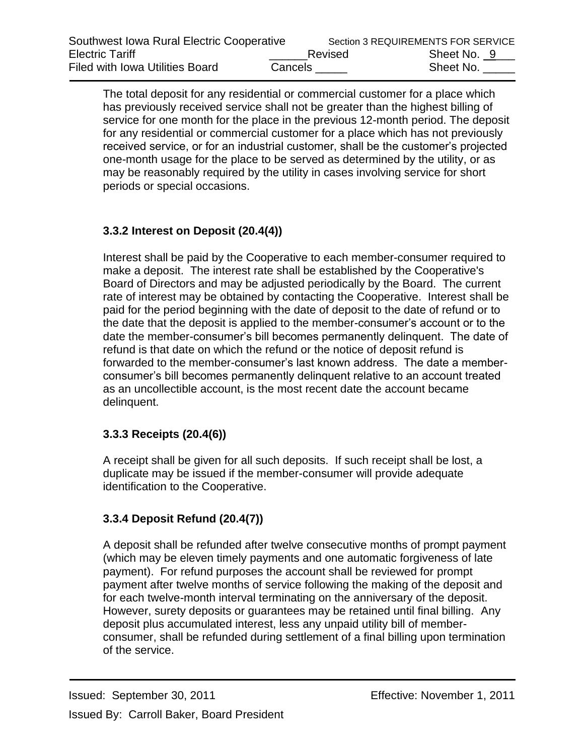| Southwest Iowa Rural Electric Cooperative |         | Section 3 REQUIREMENTS FOR SERVICE |
|-------------------------------------------|---------|------------------------------------|
| <b>Electric Tariff</b>                    | Revised | Sheet No. 9                        |
| Filed with Iowa Utilities Board           | Cancels | Sheet No.                          |

The total deposit for any residential or commercial customer for a place which has previously received service shall not be greater than the highest billing of service for one month for the place in the previous 12-month period. The deposit for any residential or commercial customer for a place which has not previously received service, or for an industrial customer, shall be the customer's projected one-month usage for the place to be served as determined by the utility, or as may be reasonably required by the utility in cases involving service for short periods or special occasions.

# **3.3.2 Interest on Deposit (20.4(4))**

Interest shall be paid by the Cooperative to each member-consumer required to make a deposit. The interest rate shall be established by the Cooperative's Board of Directors and may be adjusted periodically by the Board. The current rate of interest may be obtained by contacting the Cooperative. Interest shall be paid for the period beginning with the date of deposit to the date of refund or to the date that the deposit is applied to the member-consumer's account or to the date the member-consumer's bill becomes permanently delinquent. The date of refund is that date on which the refund or the notice of deposit refund is forwarded to the member-consumer's last known address. The date a memberconsumer's bill becomes permanently delinquent relative to an account treated as an uncollectible account, is the most recent date the account became delinquent.

# **3.3.3 Receipts (20.4(6))**

A receipt shall be given for all such deposits. If such receipt shall be lost, a duplicate may be issued if the member-consumer will provide adequate identification to the Cooperative.

# **3.3.4 Deposit Refund (20.4(7))**

A deposit shall be refunded after twelve consecutive months of prompt payment (which may be eleven timely payments and one automatic forgiveness of late payment). For refund purposes the account shall be reviewed for prompt payment after twelve months of service following the making of the deposit and for each twelve-month interval terminating on the anniversary of the deposit. However, surety deposits or guarantees may be retained until final billing. Any deposit plus accumulated interest, less any unpaid utility bill of memberconsumer, shall be refunded during settlement of a final billing upon termination of the service.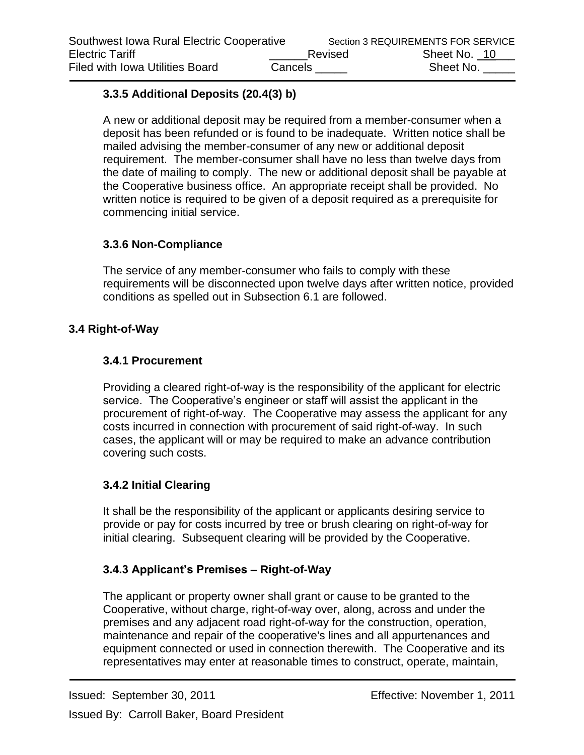# **3.3.5 Additional Deposits (20.4(3) b)**

A new or additional deposit may be required from a member-consumer when a deposit has been refunded or is found to be inadequate. Written notice shall be mailed advising the member-consumer of any new or additional deposit requirement. The member-consumer shall have no less than twelve days from the date of mailing to comply. The new or additional deposit shall be payable at the Cooperative business office. An appropriate receipt shall be provided. No written notice is required to be given of a deposit required as a prerequisite for commencing initial service.

# **3.3.6 Non-Compliance**

The service of any member-consumer who fails to comply with these requirements will be disconnected upon twelve days after written notice, provided conditions as spelled out in Subsection 6.1 are followed.

## <span id="page-9-0"></span>**3.4 Right-of-Way**

## **3.4.1 Procurement**

Providing a cleared right-of-way is the responsibility of the applicant for electric service. The Cooperative's engineer or staff will assist the applicant in the procurement of right-of-way. The Cooperative may assess the applicant for any costs incurred in connection with procurement of said right-of-way. In such cases, the applicant will or may be required to make an advance contribution covering such costs.

# **3.4.2 Initial Clearing**

It shall be the responsibility of the applicant or applicants desiring service to provide or pay for costs incurred by tree or brush clearing on right-of-way for initial clearing. Subsequent clearing will be provided by the Cooperative.

# **3.4.3 Applicant's Premises – Right-of-Way**

The applicant or property owner shall grant or cause to be granted to the Cooperative, without charge, right-of-way over, along, across and under the premises and any adjacent road right-of-way for the construction, operation, maintenance and repair of the cooperative's lines and all appurtenances and equipment connected or used in connection therewith. The Cooperative and its representatives may enter at reasonable times to construct, operate, maintain,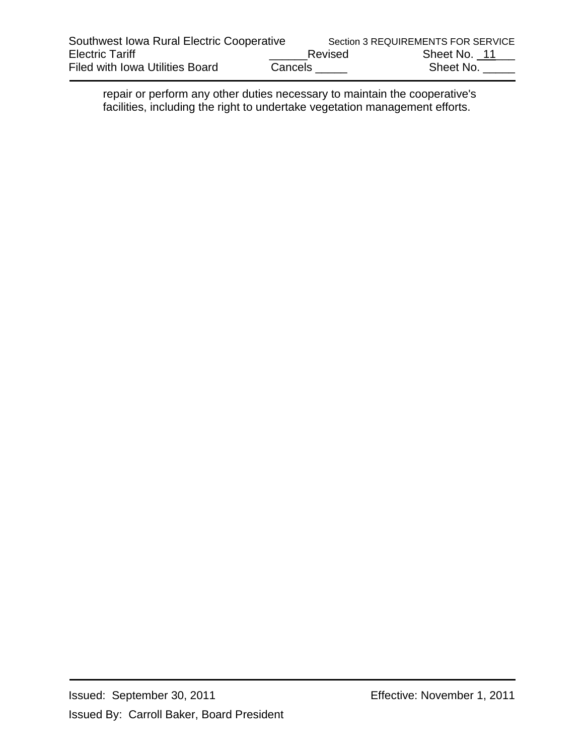repair or perform any other duties necessary to maintain the cooperative's facilities, including the right to undertake vegetation management efforts.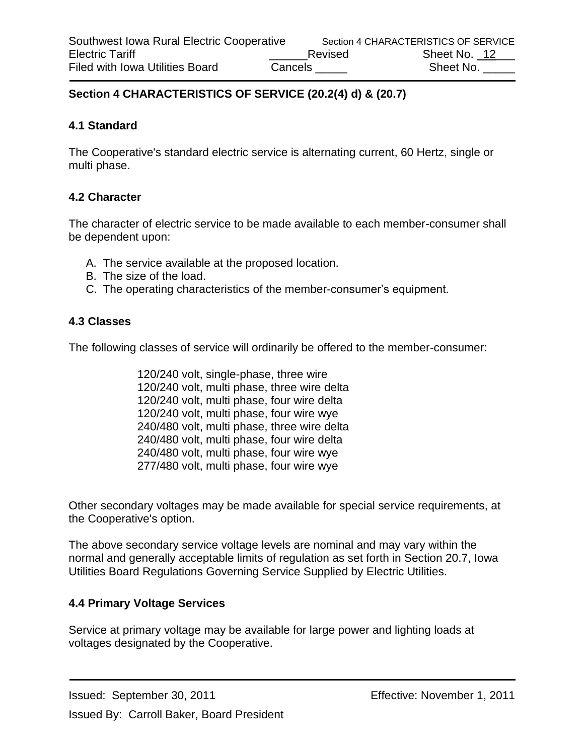## <span id="page-11-0"></span>**Section 4 CHARACTERISTICS OF SERVICE (20.2(4) d) & (20.7)**

#### <span id="page-11-1"></span>**4.1 Standard**

The Cooperative's standard electric service is alternating current, 60 Hertz, single or multi phase.

#### <span id="page-11-2"></span>**4.2 Character**

The character of electric service to be made available to each member-consumer shall be dependent upon:

- A. The service available at the proposed location.
- B. The size of the load.
- C. The operating characteristics of the member-consumer's equipment.

#### <span id="page-11-3"></span>**4.3 Classes**

The following classes of service will ordinarily be offered to the member-consumer:

120/240 volt, single-phase, three wire 120/240 volt, multi phase, three wire delta 120/240 volt, multi phase, four wire delta 120/240 volt, multi phase, four wire wye 240/480 volt, multi phase, three wire delta 240/480 volt, multi phase, four wire delta 240/480 volt, multi phase, four wire wye 277/480 volt, multi phase, four wire wye

Other secondary voltages may be made available for special service requirements, at the Cooperative's option.

The above secondary service voltage levels are nominal and may vary within the normal and generally acceptable limits of regulation as set forth in Section 20.7, Iowa Utilities Board Regulations Governing Service Supplied by Electric Utilities.

#### <span id="page-11-4"></span>**4.4 Primary Voltage Services**

Service at primary voltage may be available for large power and lighting loads at voltages designated by the Cooperative.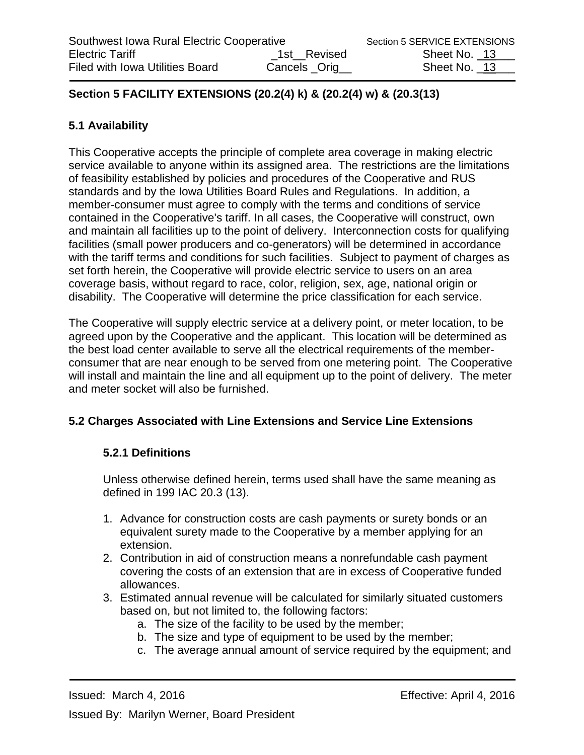## <span id="page-12-0"></span>**Section 5 FACILITY EXTENSIONS (20.2(4) k) & (20.2(4) w) & (20.3(13)**

## <span id="page-12-1"></span>**5.1 Availability**

This Cooperative accepts the principle of complete area coverage in making electric service available to anyone within its assigned area. The restrictions are the limitations of feasibility established by policies and procedures of the Cooperative and RUS standards and by the Iowa Utilities Board Rules and Regulations. In addition, a member-consumer must agree to comply with the terms and conditions of service contained in the Cooperative's tariff. In all cases, the Cooperative will construct, own and maintain all facilities up to the point of delivery. Interconnection costs for qualifying facilities (small power producers and co-generators) will be determined in accordance with the tariff terms and conditions for such facilities. Subject to payment of charges as set forth herein, the Cooperative will provide electric service to users on an area coverage basis, without regard to race, color, religion, sex, age, national origin or disability. The Cooperative will determine the price classification for each service.

The Cooperative will supply electric service at a delivery point, or meter location, to be agreed upon by the Cooperative and the applicant. This location will be determined as the best load center available to serve all the electrical requirements of the memberconsumer that are near enough to be served from one metering point. The Cooperative will install and maintain the line and all equipment up to the point of delivery. The meter and meter socket will also be furnished.

### <span id="page-12-2"></span>**5.2 Charges Associated with Line Extensions and Service Line Extensions**

### **5.2.1 Definitions**

Unless otherwise defined herein, terms used shall have the same meaning as defined in 199 IAC 20.3 (13).

- 1. Advance for construction costs are cash payments or surety bonds or an equivalent surety made to the Cooperative by a member applying for an extension.
- 2. Contribution in aid of construction means a nonrefundable cash payment covering the costs of an extension that are in excess of Cooperative funded allowances.
- 3. Estimated annual revenue will be calculated for similarly situated customers based on, but not limited to, the following factors:
	- a. The size of the facility to be used by the member;
	- b. The size and type of equipment to be used by the member;
	- c. The average annual amount of service required by the equipment; and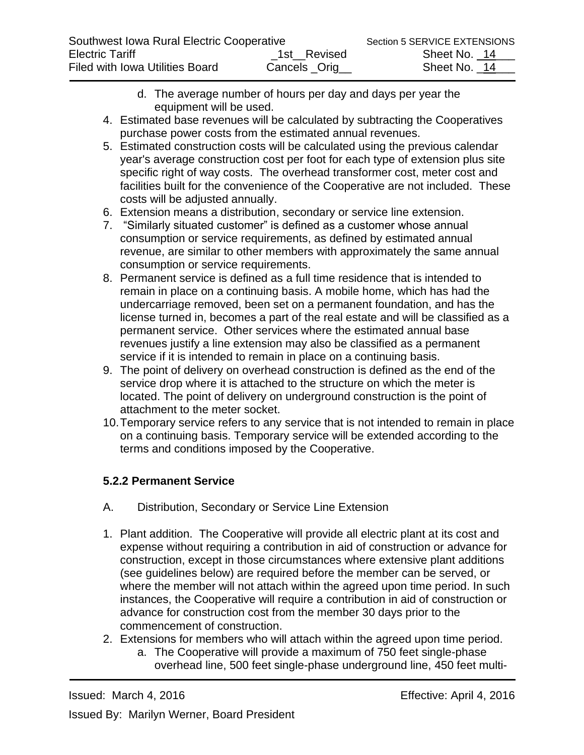- d. The average number of hours per day and days per year the equipment will be used.
- 4. Estimated base revenues will be calculated by subtracting the Cooperatives purchase power costs from the estimated annual revenues.
- 5. Estimated construction costs will be calculated using the previous calendar year's average construction cost per foot for each type of extension plus site specific right of way costs. The overhead transformer cost, meter cost and facilities built for the convenience of the Cooperative are not included. These costs will be adjusted annually.
- 6. Extension means a distribution, secondary or service line extension.
- 7. "Similarly situated customer" is defined as a customer whose annual consumption or service requirements, as defined by estimated annual revenue, are similar to other members with approximately the same annual consumption or service requirements.
- 8. Permanent service is defined as a full time residence that is intended to remain in place on a continuing basis. A mobile home, which has had the undercarriage removed, been set on a permanent foundation, and has the license turned in, becomes a part of the real estate and will be classified as a permanent service. Other services where the estimated annual base revenues justify a line extension may also be classified as a permanent service if it is intended to remain in place on a continuing basis.
- 9. The point of delivery on overhead construction is defined as the end of the service drop where it is attached to the structure on which the meter is located. The point of delivery on underground construction is the point of attachment to the meter socket.
- 10.Temporary service refers to any service that is not intended to remain in place on a continuing basis. Temporary service will be extended according to the terms and conditions imposed by the Cooperative.

# **5.2.2 Permanent Service**

- A. Distribution, Secondary or Service Line Extension
- 1. Plant addition. The Cooperative will provide all electric plant at its cost and expense without requiring a contribution in aid of construction or advance for construction, except in those circumstances where extensive plant additions (see guidelines below) are required before the member can be served, or where the member will not attach within the agreed upon time period. In such instances, the Cooperative will require a contribution in aid of construction or advance for construction cost from the member 30 days prior to the commencement of construction.
- 2. Extensions for members who will attach within the agreed upon time period.
	- a. The Cooperative will provide a maximum of 750 feet single-phase overhead line, 500 feet single-phase underground line, 450 feet multi-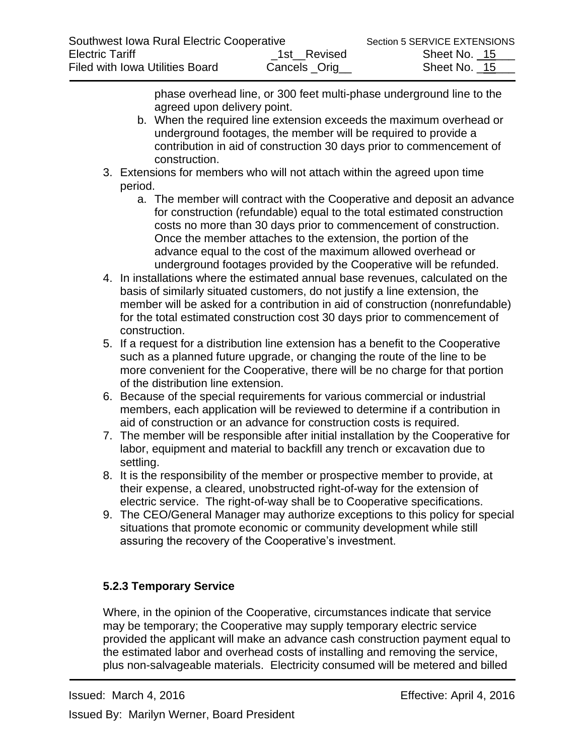phase overhead line, or 300 feet multi-phase underground line to the agreed upon delivery point.

- b. When the required line extension exceeds the maximum overhead or underground footages, the member will be required to provide a contribution in aid of construction 30 days prior to commencement of construction.
- 3. Extensions for members who will not attach within the agreed upon time period.
	- a. The member will contract with the Cooperative and deposit an advance for construction (refundable) equal to the total estimated construction costs no more than 30 days prior to commencement of construction. Once the member attaches to the extension, the portion of the advance equal to the cost of the maximum allowed overhead or underground footages provided by the Cooperative will be refunded.
- 4. In installations where the estimated annual base revenues, calculated on the basis of similarly situated customers, do not justify a line extension, the member will be asked for a contribution in aid of construction (nonrefundable) for the total estimated construction cost 30 days prior to commencement of construction.
- 5. If a request for a distribution line extension has a benefit to the Cooperative such as a planned future upgrade, or changing the route of the line to be more convenient for the Cooperative, there will be no charge for that portion of the distribution line extension.
- 6. Because of the special requirements for various commercial or industrial members, each application will be reviewed to determine if a contribution in aid of construction or an advance for construction costs is required.
- 7. The member will be responsible after initial installation by the Cooperative for labor, equipment and material to backfill any trench or excavation due to settling.
- 8. It is the responsibility of the member or prospective member to provide, at their expense, a cleared, unobstructed right-of-way for the extension of electric service. The right-of-way shall be to Cooperative specifications.
- 9. The CEO/General Manager may authorize exceptions to this policy for special situations that promote economic or community development while still assuring the recovery of the Cooperative's investment.

# **5.2.3 Temporary Service**

Where, in the opinion of the Cooperative, circumstances indicate that service may be temporary; the Cooperative may supply temporary electric service provided the applicant will make an advance cash construction payment equal to the estimated labor and overhead costs of installing and removing the service, plus non-salvageable materials. Electricity consumed will be metered and billed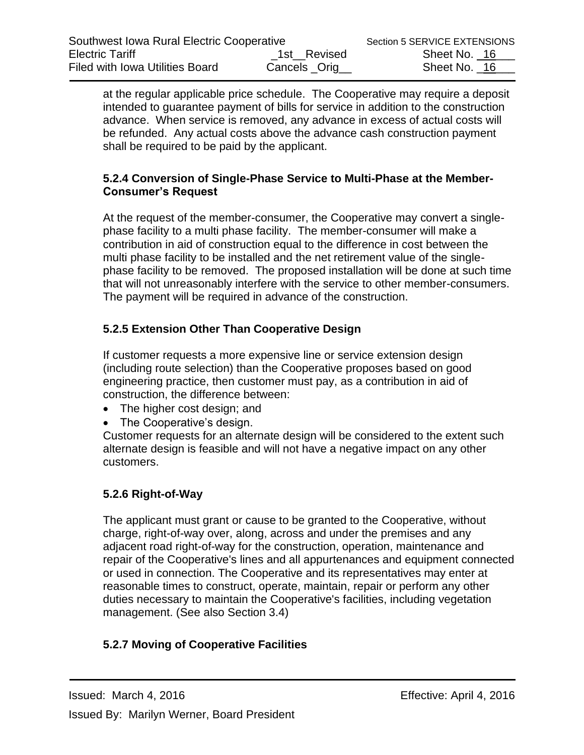at the regular applicable price schedule. The Cooperative may require a deposit intended to guarantee payment of bills for service in addition to the construction advance. When service is removed, any advance in excess of actual costs will be refunded. Any actual costs above the advance cash construction payment shall be required to be paid by the applicant.

## **5.2.4 Conversion of Single-Phase Service to Multi-Phase at the Member-Consumer's Request**

At the request of the member-consumer, the Cooperative may convert a singlephase facility to a multi phase facility. The member-consumer will make a contribution in aid of construction equal to the difference in cost between the multi phase facility to be installed and the net retirement value of the singlephase facility to be removed. The proposed installation will be done at such time that will not unreasonably interfere with the service to other member-consumers. The payment will be required in advance of the construction.

# **5.2.5 Extension Other Than Cooperative Design**

If customer requests a more expensive line or service extension design (including route selection) than the Cooperative proposes based on good engineering practice, then customer must pay, as a contribution in aid of construction, the difference between:

- The higher cost design; and
- The Cooperative's design.

Customer requests for an alternate design will be considered to the extent such alternate design is feasible and will not have a negative impact on any other customers.

# **5.2.6 Right-of-Way**

The applicant must grant or cause to be granted to the Cooperative, without charge, right-of-way over, along, across and under the premises and any adjacent road right-of-way for the construction, operation, maintenance and repair of the Cooperative's lines and all appurtenances and equipment connected or used in connection. The Cooperative and its representatives may enter at reasonable times to construct, operate, maintain, repair or perform any other duties necessary to maintain the Cooperative's facilities, including vegetation management. (See also Section 3.4)

# **5.2.7 Moving of Cooperative Facilities**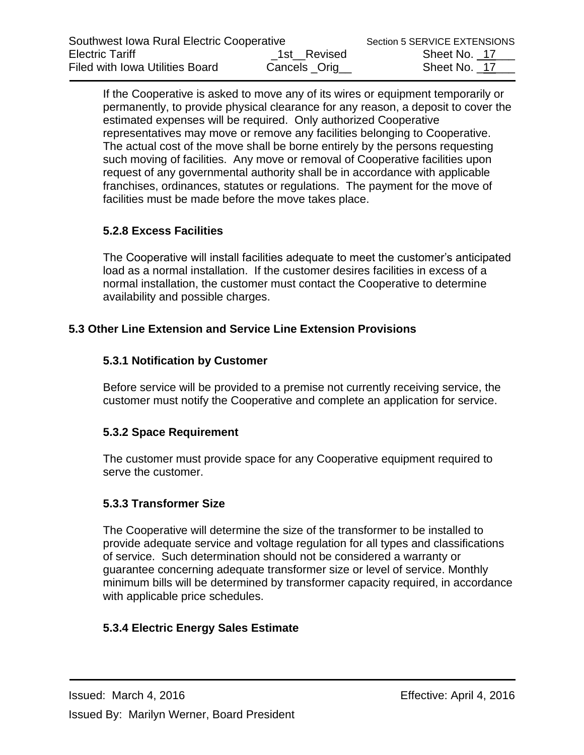If the Cooperative is asked to move any of its wires or equipment temporarily or permanently, to provide physical clearance for any reason, a deposit to cover the estimated expenses will be required. Only authorized Cooperative representatives may move or remove any facilities belonging to Cooperative. The actual cost of the move shall be borne entirely by the persons requesting such moving of facilities. Any move or removal of Cooperative facilities upon request of any governmental authority shall be in accordance with applicable franchises, ordinances, statutes or regulations. The payment for the move of facilities must be made before the move takes place.

# **5.2.8 Excess Facilities**

The Cooperative will install facilities adequate to meet the customer's anticipated load as a normal installation. If the customer desires facilities in excess of a normal installation, the customer must contact the Cooperative to determine availability and possible charges.

# <span id="page-16-0"></span>**5.3 Other Line Extension and Service Line Extension Provisions**

# **5.3.1 Notification by Customer**

Before service will be provided to a premise not currently receiving service, the customer must notify the Cooperative and complete an application for service.

# **5.3.2 Space Requirement**

The customer must provide space for any Cooperative equipment required to serve the customer.

# **5.3.3 Transformer Size**

The Cooperative will determine the size of the transformer to be installed to provide adequate service and voltage regulation for all types and classifications of service. Such determination should not be considered a warranty or guarantee concerning adequate transformer size or level of service. Monthly minimum bills will be determined by transformer capacity required, in accordance with applicable price schedules.

# **5.3.4 Electric Energy Sales Estimate**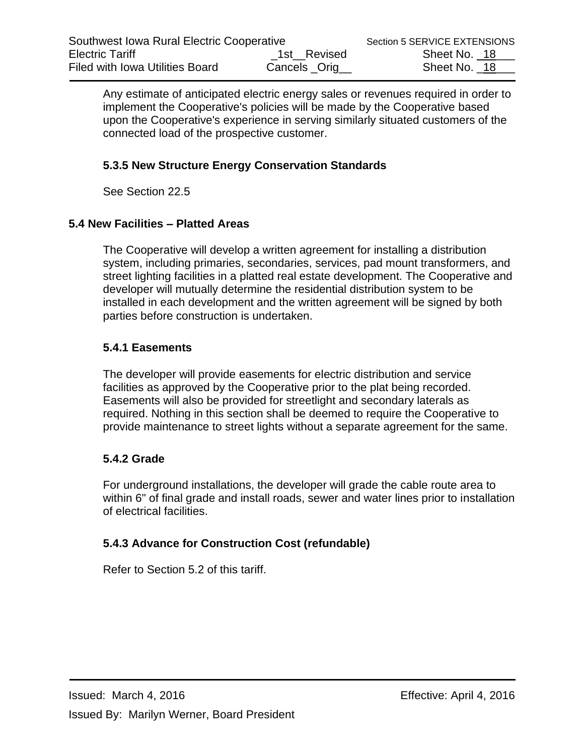Any estimate of anticipated electric energy sales or revenues required in order to implement the Cooperative's policies will be made by the Cooperative based upon the Cooperative's experience in serving similarly situated customers of the connected load of the prospective customer.

## **5.3.5 New Structure Energy Conservation Standards**

See Section 22.5

## <span id="page-17-0"></span>**5.4 New Facilities – Platted Areas**

The Cooperative will develop a written agreement for installing a distribution system, including primaries, secondaries, services, pad mount transformers, and street lighting facilities in a platted real estate development. The Cooperative and developer will mutually determine the residential distribution system to be installed in each development and the written agreement will be signed by both parties before construction is undertaken.

## **5.4.1 Easements**

The developer will provide easements for electric distribution and service facilities as approved by the Cooperative prior to the plat being recorded. Easements will also be provided for streetlight and secondary laterals as required. Nothing in this section shall be deemed to require the Cooperative to provide maintenance to street lights without a separate agreement for the same.

### **5.4.2 Grade**

For underground installations, the developer will grade the cable route area to within 6" of final grade and install roads, sewer and water lines prior to installation of electrical facilities.

### **5.4.3 Advance for Construction Cost (refundable)**

Refer to Section 5.2 of this tariff.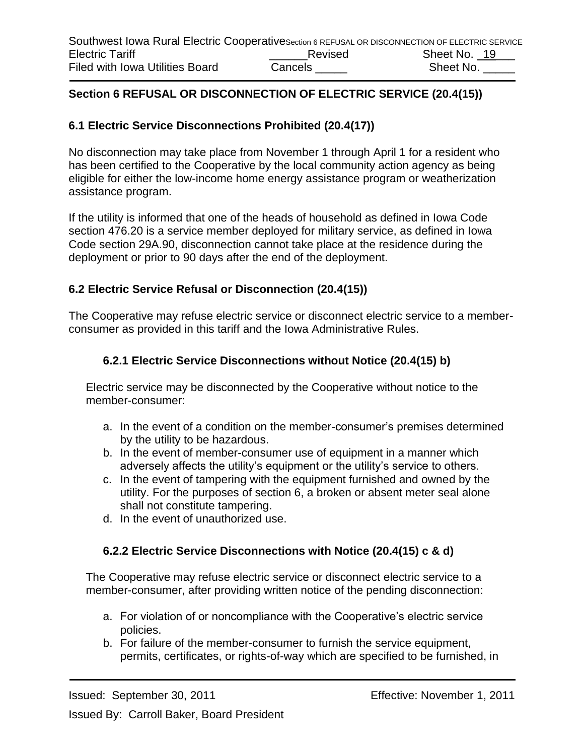### <span id="page-18-0"></span>**Section 6 REFUSAL OR DISCONNECTION OF ELECTRIC SERVICE (20.4(15))**

#### <span id="page-18-1"></span>**6.1 Electric Service Disconnections Prohibited (20.4(17))**

No disconnection may take place from November 1 through April 1 for a resident who has been certified to the Cooperative by the local community action agency as being eligible for either the low-income home energy assistance program or weatherization assistance program.

If the utility is informed that one of the heads of household as defined in Iowa Code section 476.20 is a service member deployed for military service, as defined in Iowa Code section 29A.90, disconnection cannot take place at the residence during the deployment or prior to 90 days after the end of the deployment.

#### <span id="page-18-2"></span>**6.2 Electric Service Refusal or Disconnection (20.4(15))**

The Cooperative may refuse electric service or disconnect electric service to a memberconsumer as provided in this tariff and the Iowa Administrative Rules.

### **6.2.1 Electric Service Disconnections without Notice (20.4(15) b)**

Electric service may be disconnected by the Cooperative without notice to the member-consumer:

- a. In the event of a condition on the member-consumer's premises determined by the utility to be hazardous.
- b. In the event of member-consumer use of equipment in a manner which adversely affects the utility's equipment or the utility's service to others.
- c. In the event of tampering with the equipment furnished and owned by the utility. For the purposes of section 6, a broken or absent meter seal alone shall not constitute tampering.
- d. In the event of unauthorized use.

### **6.2.2 Electric Service Disconnections with Notice (20.4(15) c & d)**

The Cooperative may refuse electric service or disconnect electric service to a member-consumer, after providing written notice of the pending disconnection:

- a. For violation of or noncompliance with the Cooperative's electric service policies.
- b. For failure of the member-consumer to furnish the service equipment, permits, certificates, or rights-of-way which are specified to be furnished, in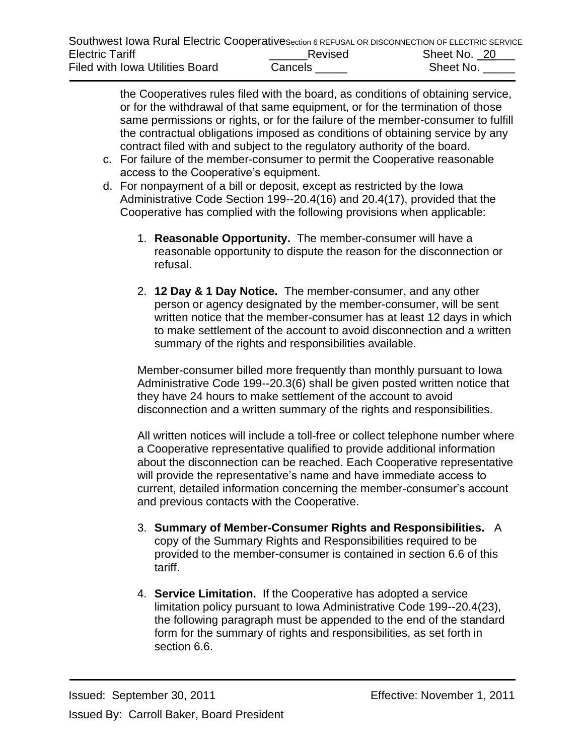the Cooperatives rules filed with the board, as conditions of obtaining service, or for the withdrawal of that same equipment, or for the termination of those same permissions or rights, or for the failure of the member-consumer to fulfill the contractual obligations imposed as conditions of obtaining service by any contract filed with and subject to the regulatory authority of the board.

- c. For failure of the member-consumer to permit the Cooperative reasonable access to the Cooperative's equipment.
- d. For nonpayment of a bill or deposit, except as restricted by the Iowa Administrative Code Section 199--20.4(16) and 20.4(17), provided that the Cooperative has complied with the following provisions when applicable:
	- 1. **Reasonable Opportunity.** The member-consumer will have a reasonable opportunity to dispute the reason for the disconnection or refusal.
	- 2. **12 Day & 1 Day Notice.** The member-consumer, and any other person or agency designated by the member-consumer, will be sent written notice that the member-consumer has at least 12 days in which to make settlement of the account to avoid disconnection and a written summary of the rights and responsibilities available.

Member-consumer billed more frequently than monthly pursuant to Iowa Administrative Code 199--20.3(6) shall be given posted written notice that they have 24 hours to make settlement of the account to avoid disconnection and a written summary of the rights and responsibilities.

All written notices will include a toll-free or collect telephone number where a Cooperative representative qualified to provide additional information about the disconnection can be reached. Each Cooperative representative will provide the representative's name and have immediate access to current, detailed information concerning the member-consumer's account and previous contacts with the Cooperative.

- 3. **Summary of Member-Consumer Rights and Responsibilities.** A copy of the Summary Rights and Responsibilities required to be provided to the member-consumer is contained in section 6.6 of this tariff.
- 4. **Service Limitation.** If the Cooperative has adopted a service limitation policy pursuant to Iowa Administrative Code 199--20.4(23), the following paragraph must be appended to the end of the standard form for the summary of rights and responsibilities, as set forth in section 6.6.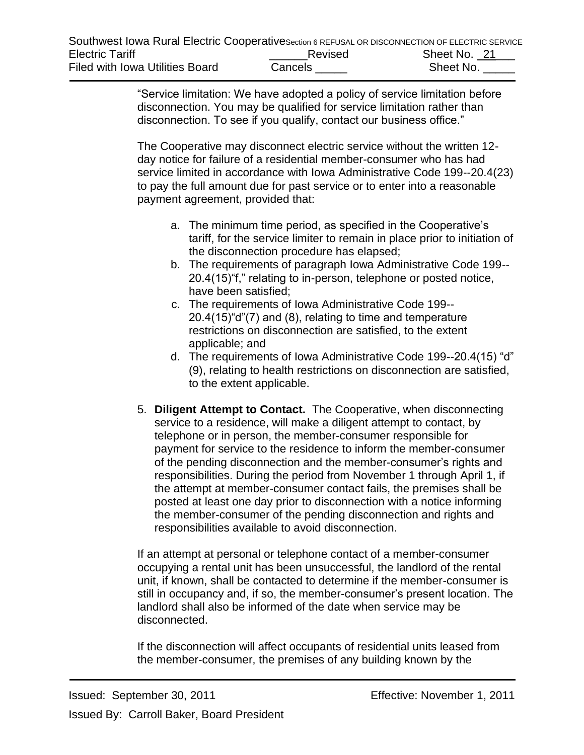"Service limitation: We have adopted a policy of service limitation before disconnection. You may be qualified for service limitation rather than disconnection. To see if you qualify, contact our business office."

The Cooperative may disconnect electric service without the written 12 day notice for failure of a residential member-consumer who has had service limited in accordance with Iowa Administrative Code 199--20.4(23) to pay the full amount due for past service or to enter into a reasonable payment agreement, provided that:

- a. The minimum time period, as specified in the Cooperative's tariff, for the service limiter to remain in place prior to initiation of the disconnection procedure has elapsed;
- b. The requirements of paragraph Iowa Administrative Code 199-- 20.4(15)"f," relating to in-person, telephone or posted notice, have been satisfied;
- c. The requirements of Iowa Administrative Code 199-- 20.4(15)"d"(7) and (8), relating to time and temperature restrictions on disconnection are satisfied, to the extent applicable; and
- d. The requirements of Iowa Administrative Code 199--20.4(15) "d" (9), relating to health restrictions on disconnection are satisfied, to the extent applicable.
- 5. **Diligent Attempt to Contact.** The Cooperative, when disconnecting service to a residence, will make a diligent attempt to contact, by telephone or in person, the member-consumer responsible for payment for service to the residence to inform the member-consumer of the pending disconnection and the member-consumer's rights and responsibilities. During the period from November 1 through April 1, if the attempt at member-consumer contact fails, the premises shall be posted at least one day prior to disconnection with a notice informing the member-consumer of the pending disconnection and rights and responsibilities available to avoid disconnection.

If an attempt at personal or telephone contact of a member-consumer occupying a rental unit has been unsuccessful, the landlord of the rental unit, if known, shall be contacted to determine if the member-consumer is still in occupancy and, if so, the member-consumer's present location. The landlord shall also be informed of the date when service may be disconnected.

If the disconnection will affect occupants of residential units leased from the member-consumer, the premises of any building known by the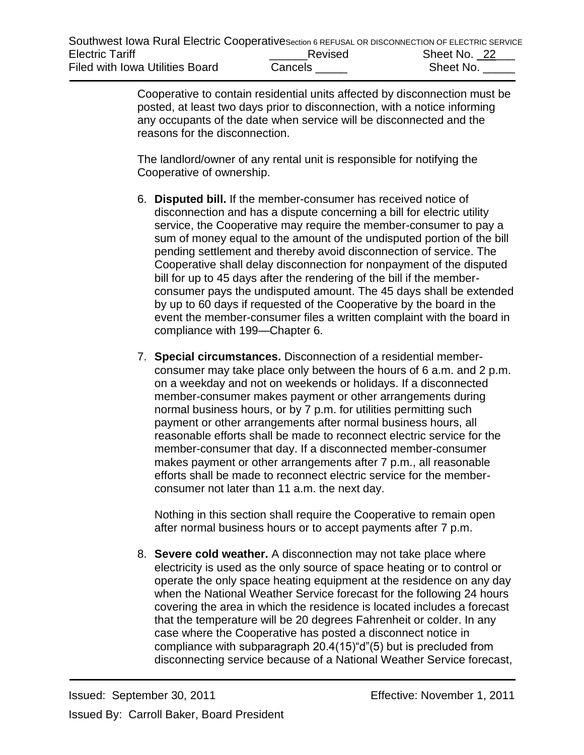Cooperative to contain residential units affected by disconnection must be posted, at least two days prior to disconnection, with a notice informing any occupants of the date when service will be disconnected and the reasons for the disconnection.

The landlord/owner of any rental unit is responsible for notifying the Cooperative of ownership.

- 6. **Disputed bill.** If the member-consumer has received notice of disconnection and has a dispute concerning a bill for electric utility service, the Cooperative may require the member-consumer to pay a sum of money equal to the amount of the undisputed portion of the bill pending settlement and thereby avoid disconnection of service. The Cooperative shall delay disconnection for nonpayment of the disputed bill for up to 45 days after the rendering of the bill if the memberconsumer pays the undisputed amount. The 45 days shall be extended by up to 60 days if requested of the Cooperative by the board in the event the member-consumer files a written complaint with the board in compliance with 199—Chapter 6.
- 7. **Special circumstances.** Disconnection of a residential memberconsumer may take place only between the hours of 6 a.m. and 2 p.m. on a weekday and not on weekends or holidays. If a disconnected member-consumer makes payment or other arrangements during normal business hours, or by 7 p.m. for utilities permitting such payment or other arrangements after normal business hours, all reasonable efforts shall be made to reconnect electric service for the member-consumer that day. If a disconnected member-consumer makes payment or other arrangements after 7 p.m., all reasonable efforts shall be made to reconnect electric service for the memberconsumer not later than 11 a.m. the next day.

Nothing in this section shall require the Cooperative to remain open after normal business hours or to accept payments after 7 p.m.

8. **Severe cold weather.** A disconnection may not take place where electricity is used as the only source of space heating or to control or operate the only space heating equipment at the residence on any day when the National Weather Service forecast for the following 24 hours covering the area in which the residence is located includes a forecast that the temperature will be 20 degrees Fahrenheit or colder. In any case where the Cooperative has posted a disconnect notice in compliance with subparagraph 20.4(15)"d"(5) but is precluded from disconnecting service because of a National Weather Service forecast,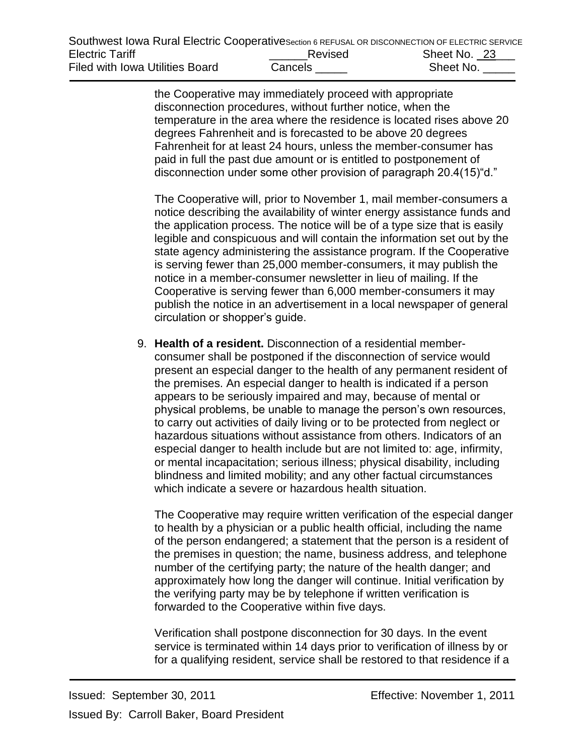| Southwest Iowa Rural Electric Cooperativesection 6 REFUSAL OR DISCONNECTION OF ELECTRIC SERVICE |         |              |
|-------------------------------------------------------------------------------------------------|---------|--------------|
| <b>Electric Tariff</b>                                                                          | Revised | Sheet No. 23 |
| Filed with Iowa Utilities Board                                                                 | Cancels | Sheet No.    |

the Cooperative may immediately proceed with appropriate disconnection procedures, without further notice, when the temperature in the area where the residence is located rises above 20 degrees Fahrenheit and is forecasted to be above 20 degrees Fahrenheit for at least 24 hours, unless the member-consumer has paid in full the past due amount or is entitled to postponement of disconnection under some other provision of paragraph 20.4(15)"d."

The Cooperative will, prior to November 1, mail member-consumers a notice describing the availability of winter energy assistance funds and the application process. The notice will be of a type size that is easily legible and conspicuous and will contain the information set out by the state agency administering the assistance program. If the Cooperative is serving fewer than 25,000 member-consumers, it may publish the notice in a member-consumer newsletter in lieu of mailing. If the Cooperative is serving fewer than 6,000 member-consumers it may publish the notice in an advertisement in a local newspaper of general circulation or shopper's guide.

9. **Health of a resident.** Disconnection of a residential memberconsumer shall be postponed if the disconnection of service would present an especial danger to the health of any permanent resident of the premises. An especial danger to health is indicated if a person appears to be seriously impaired and may, because of mental or physical problems, be unable to manage the person's own resources, to carry out activities of daily living or to be protected from neglect or hazardous situations without assistance from others. Indicators of an especial danger to health include but are not limited to: age, infirmity, or mental incapacitation; serious illness; physical disability, including blindness and limited mobility; and any other factual circumstances which indicate a severe or hazardous health situation.

The Cooperative may require written verification of the especial danger to health by a physician or a public health official, including the name of the person endangered; a statement that the person is a resident of the premises in question; the name, business address, and telephone number of the certifying party; the nature of the health danger; and approximately how long the danger will continue. Initial verification by the verifying party may be by telephone if written verification is forwarded to the Cooperative within five days.

Verification shall postpone disconnection for 30 days. In the event service is terminated within 14 days prior to verification of illness by or for a qualifying resident, service shall be restored to that residence if a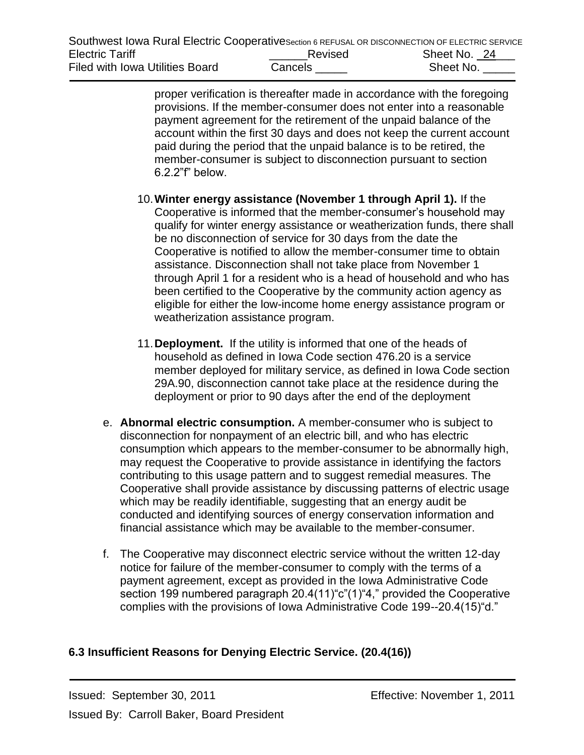| Southwest Iowa Rural Electric Cooperativesection 6 REFUSAL OR DISCONNECTION OF ELECTRIC SERVICE |         |              |
|-------------------------------------------------------------------------------------------------|---------|--------------|
| <b>Electric Tariff</b>                                                                          | Revised | Sheet No. 24 |
| <b>Filed with Iowa Utilities Board</b>                                                          | Cancels | Sheet No.    |

proper verification is thereafter made in accordance with the foregoing provisions. If the member-consumer does not enter into a reasonable payment agreement for the retirement of the unpaid balance of the account within the first 30 days and does not keep the current account paid during the period that the unpaid balance is to be retired, the member-consumer is subject to disconnection pursuant to section 6.2.2"f" below.

- 10.**Winter energy assistance (November 1 through April 1).** If the Cooperative is informed that the member-consumer's household may qualify for winter energy assistance or weatherization funds, there shall be no disconnection of service for 30 days from the date the Cooperative is notified to allow the member-consumer time to obtain assistance. Disconnection shall not take place from November 1 through April 1 for a resident who is a head of household and who has been certified to the Cooperative by the community action agency as eligible for either the low-income home energy assistance program or weatherization assistance program.
- 11.**Deployment.** If the utility is informed that one of the heads of household as defined in Iowa Code section 476.20 is a service member deployed for military service, as defined in Iowa Code section 29A.90, disconnection cannot take place at the residence during the deployment or prior to 90 days after the end of the deployment
- e. **Abnormal electric consumption.** A member-consumer who is subject to disconnection for nonpayment of an electric bill, and who has electric consumption which appears to the member-consumer to be abnormally high, may request the Cooperative to provide assistance in identifying the factors contributing to this usage pattern and to suggest remedial measures. The Cooperative shall provide assistance by discussing patterns of electric usage which may be readily identifiable, suggesting that an energy audit be conducted and identifying sources of energy conservation information and financial assistance which may be available to the member-consumer.
- f. The Cooperative may disconnect electric service without the written 12-day notice for failure of the member-consumer to comply with the terms of a payment agreement, except as provided in the Iowa Administrative Code section 199 numbered paragraph 20.4(11)"c"(1)"4," provided the Cooperative complies with the provisions of Iowa Administrative Code 199--20.4(15)"d."

### <span id="page-23-0"></span>**6.3 Insufficient Reasons for Denying Electric Service. (20.4(16))**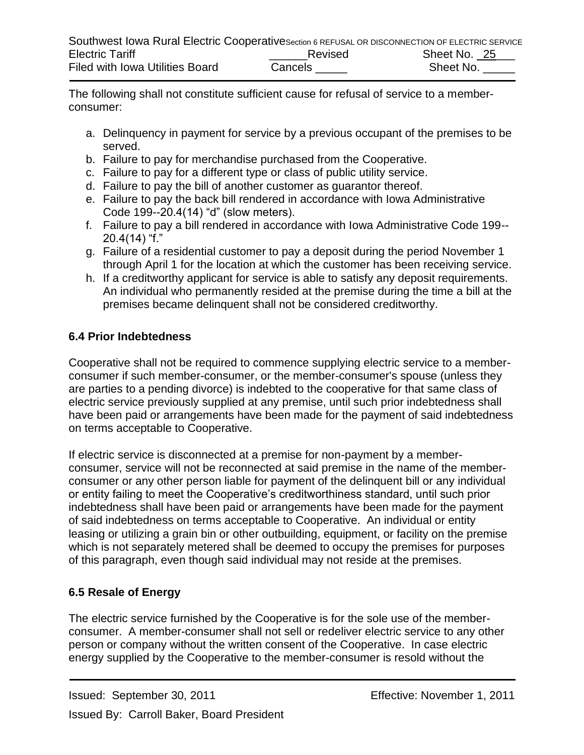| Southwest Iowa Rural Electric Cooperativesection 6 REFUSAL OR DISCONNECTION OF ELECTRIC SERVICE |         |              |
|-------------------------------------------------------------------------------------------------|---------|--------------|
| <b>Electric Tariff</b>                                                                          | Revised | Sheet No. 25 |
| <b>Filed with Iowa Utilities Board</b>                                                          | Cancels | Sheet No.    |

The following shall not constitute sufficient cause for refusal of service to a memberconsumer:

- a. Delinquency in payment for service by a previous occupant of the premises to be served.
- b. Failure to pay for merchandise purchased from the Cooperative.
- c. Failure to pay for a different type or class of public utility service.
- d. Failure to pay the bill of another customer as guarantor thereof.
- e. Failure to pay the back bill rendered in accordance with Iowa Administrative Code 199--20.4(14) "d" (slow meters).
- f. Failure to pay a bill rendered in accordance with Iowa Administrative Code 199-- 20.4(14) "f."
- g. Failure of a residential customer to pay a deposit during the period November 1 through April 1 for the location at which the customer has been receiving service.
- h. If a creditworthy applicant for service is able to satisfy any deposit requirements. An individual who permanently resided at the premise during the time a bill at the premises became delinquent shall not be considered creditworthy.

# <span id="page-24-0"></span>**6.4 Prior Indebtedness**

Cooperative shall not be required to commence supplying electric service to a memberconsumer if such member-consumer, or the member-consumer's spouse (unless they are parties to a pending divorce) is indebted to the cooperative for that same class of electric service previously supplied at any premise, until such prior indebtedness shall have been paid or arrangements have been made for the payment of said indebtedness on terms acceptable to Cooperative.

If electric service is disconnected at a premise for non-payment by a memberconsumer, service will not be reconnected at said premise in the name of the memberconsumer or any other person liable for payment of the delinquent bill or any individual or entity failing to meet the Cooperative's creditworthiness standard, until such prior indebtedness shall have been paid or arrangements have been made for the payment of said indebtedness on terms acceptable to Cooperative. An individual or entity leasing or utilizing a grain bin or other outbuilding, equipment, or facility on the premise which is not separately metered shall be deemed to occupy the premises for purposes of this paragraph, even though said individual may not reside at the premises.

# <span id="page-24-1"></span>**6.5 Resale of Energy**

The electric service furnished by the Cooperative is for the sole use of the memberconsumer. A member-consumer shall not sell or redeliver electric service to any other person or company without the written consent of the Cooperative. In case electric energy supplied by the Cooperative to the member-consumer is resold without the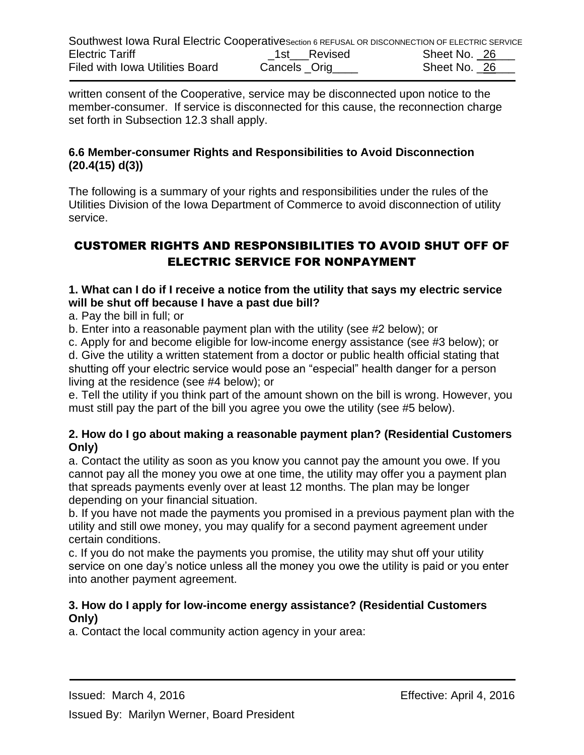| Southwest Iowa Rural Electric Cooperativesection 6 REFUSAL OR DISCONNECTION OF ELECTRIC SERVICE |                   |              |
|-------------------------------------------------------------------------------------------------|-------------------|--------------|
| <b>Electric Tariff</b>                                                                          | 1st Revised       | Sheet No. 26 |
| Filed with Iowa Utilities Board                                                                 | Cancels _Orig____ |              |

written consent of the Cooperative, service may be disconnected upon notice to the member-consumer. If service is disconnected for this cause, the reconnection charge set forth in Subsection 12.3 shall apply.

### <span id="page-25-0"></span>**6.6 Member-consumer Rights and Responsibilities to Avoid Disconnection (20.4(15) d(3))**

The following is a summary of your rights and responsibilities under the rules of the Utilities Division of the Iowa Department of Commerce to avoid disconnection of utility service.

# CUSTOMER RIGHTS AND RESPONSIBILITIES TO AVOID SHUT OFF OF ELECTRIC SERVICE FOR NONPAYMENT

#### **1. What can I do if I receive a notice from the utility that says my electric service will be shut off because I have a past due bill?**

a. Pay the bill in full; or

b. Enter into a reasonable payment plan with the utility (see #2 below); or

c. Apply for and become eligible for low-income energy assistance (see #3 below); or

d. Give the utility a written statement from a doctor or public health official stating that shutting off your electric service would pose an "especial" health danger for a person living at the residence (see #4 below); or

e. Tell the utility if you think part of the amount shown on the bill is wrong. However, you must still pay the part of the bill you agree you owe the utility (see #5 below).

#### **2. How do I go about making a reasonable payment plan? (Residential Customers Only)**

a. Contact the utility as soon as you know you cannot pay the amount you owe. If you cannot pay all the money you owe at one time, the utility may offer you a payment plan that spreads payments evenly over at least 12 months. The plan may be longer depending on your financial situation.

b. If you have not made the payments you promised in a previous payment plan with the utility and still owe money, you may qualify for a second payment agreement under certain conditions.

c. If you do not make the payments you promise, the utility may shut off your utility service on one day's notice unless all the money you owe the utility is paid or you enter into another payment agreement.

## **3. How do I apply for low-income energy assistance? (Residential Customers Only)**

a. Contact the local community action agency in your area: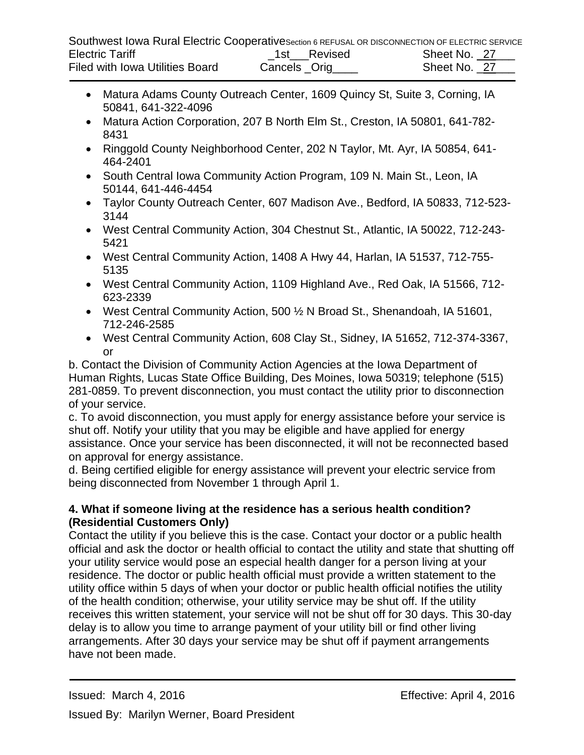| Southwest Iowa Rural Electric Cooperativesection 6 REFUSAL OR DISCONNECTION OF ELECTRIC SERVICE |                   |                  |  |
|-------------------------------------------------------------------------------------------------|-------------------|------------------|--|
| <b>Electric Tariff</b>                                                                          | 1st Revised       | Sheet No. _27_   |  |
| <b>Filed with Iowa Utilities Board</b>                                                          | Cancels _Orig____ | Sheet No. _27___ |  |

- Matura Adams County Outreach Center, 1609 Quincy St, Suite 3, Corning, IA 50841, 641-322-4096
- Matura Action Corporation, 207 B North Elm St., Creston, IA 50801, 641-782- 8431
- Ringgold County Neighborhood Center, 202 N Taylor, Mt. Ayr, IA 50854, 641- 464-2401
- South Central Iowa Community Action Program, 109 N. Main St., Leon, IA 50144, 641-446-4454
- Taylor County Outreach Center, 607 Madison Ave., Bedford, IA 50833, 712-523- 3144
- West Central Community Action, 304 Chestnut St., Atlantic, IA 50022, 712-243- 5421
- West Central Community Action, 1408 A Hwy 44, Harlan, IA 51537, 712-755- 5135
- West Central Community Action, 1109 Highland Ave., Red Oak, IA 51566, 712- 623-2339
- West Central Community Action, 500 ½ N Broad St., Shenandoah, IA 51601, 712-246-2585
- West Central Community Action, 608 Clay St., Sidney, IA 51652, 712-374-3367, or

b. Contact the Division of Community Action Agencies at the Iowa Department of Human Rights, Lucas State Office Building, Des Moines, Iowa 50319; telephone (515) 281-0859. To prevent disconnection, you must contact the utility prior to disconnection of your service.

c. To avoid disconnection, you must apply for energy assistance before your service is shut off. Notify your utility that you may be eligible and have applied for energy assistance. Once your service has been disconnected, it will not be reconnected based on approval for energy assistance.

d. Being certified eligible for energy assistance will prevent your electric service from being disconnected from November 1 through April 1.

### **4. What if someone living at the residence has a serious health condition? (Residential Customers Only)**

Contact the utility if you believe this is the case. Contact your doctor or a public health official and ask the doctor or health official to contact the utility and state that shutting off your utility service would pose an especial health danger for a person living at your residence. The doctor or public health official must provide a written statement to the utility office within 5 days of when your doctor or public health official notifies the utility of the health condition; otherwise, your utility service may be shut off. If the utility receives this written statement, your service will not be shut off for 30 days. This 30-day delay is to allow you time to arrange payment of your utility bill or find other living arrangements. After 30 days your service may be shut off if payment arrangements have not been made.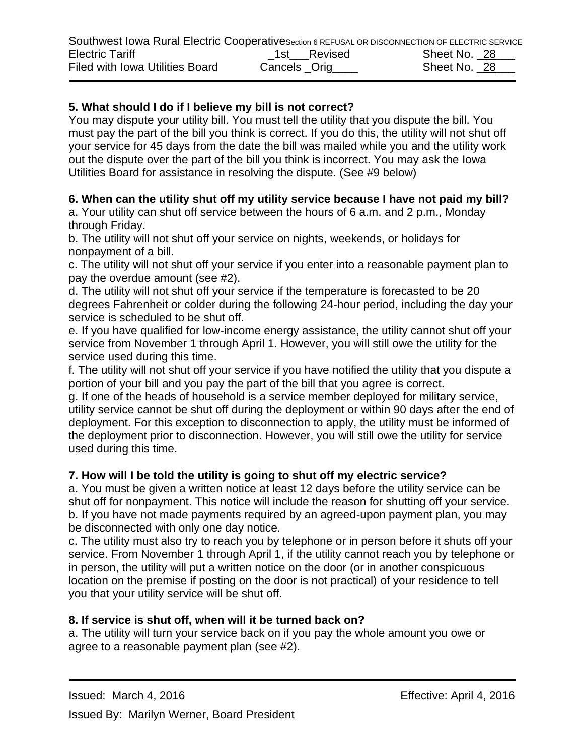## **5. What should I do if I believe my bill is not correct?**

You may dispute your utility bill. You must tell the utility that you dispute the bill. You must pay the part of the bill you think is correct. If you do this, the utility will not shut off your service for 45 days from the date the bill was mailed while you and the utility work out the dispute over the part of the bill you think is incorrect. You may ask the Iowa Utilities Board for assistance in resolving the dispute. (See #9 below)

# **6. When can the utility shut off my utility service because I have not paid my bill?**

a. Your utility can shut off service between the hours of 6 a.m. and 2 p.m., Monday through Friday.

b. The utility will not shut off your service on nights, weekends, or holidays for nonpayment of a bill.

c. The utility will not shut off your service if you enter into a reasonable payment plan to pay the overdue amount (see #2).

d. The utility will not shut off your service if the temperature is forecasted to be 20 degrees Fahrenheit or colder during the following 24-hour period, including the day your service is scheduled to be shut off.

e. If you have qualified for low-income energy assistance, the utility cannot shut off your service from November 1 through April 1. However, you will still owe the utility for the service used during this time.

f. The utility will not shut off your service if you have notified the utility that you dispute a portion of your bill and you pay the part of the bill that you agree is correct.

g. If one of the heads of household is a service member deployed for military service, utility service cannot be shut off during the deployment or within 90 days after the end of deployment. For this exception to disconnection to apply, the utility must be informed of the deployment prior to disconnection. However, you will still owe the utility for service used during this time.

### **7. How will I be told the utility is going to shut off my electric service?**

a. You must be given a written notice at least 12 days before the utility service can be shut off for nonpayment. This notice will include the reason for shutting off your service. b. If you have not made payments required by an agreed-upon payment plan, you may be disconnected with only one day notice.

c. The utility must also try to reach you by telephone or in person before it shuts off your service. From November 1 through April 1, if the utility cannot reach you by telephone or in person, the utility will put a written notice on the door (or in another conspicuous location on the premise if posting on the door is not practical) of your residence to tell you that your utility service will be shut off.

### **8. If service is shut off, when will it be turned back on?**

a. The utility will turn your service back on if you pay the whole amount you owe or agree to a reasonable payment plan (see #2).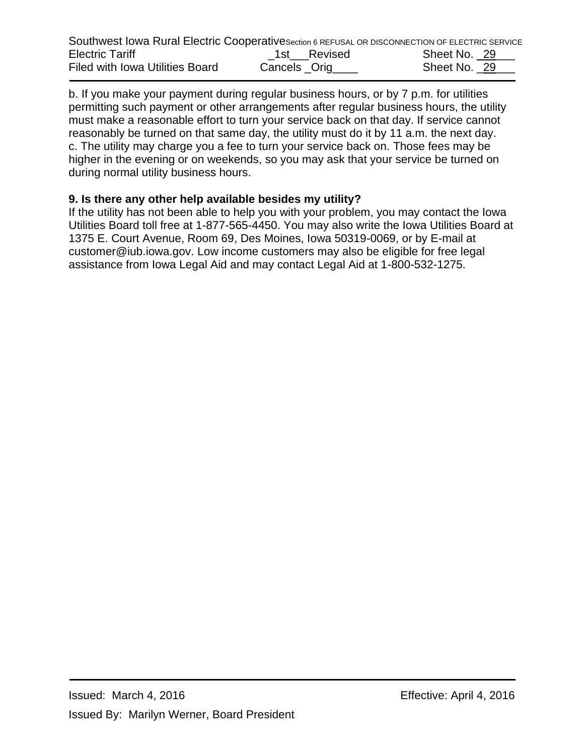| Southwest Iowa Rural Electric Cooperativesection 6 REFUSAL OR DISCONNECTION OF ELECTRIC SERVICE |                   |                  |  |
|-------------------------------------------------------------------------------------------------|-------------------|------------------|--|
| <b>Electric Tariff</b>                                                                          | 1st Revised       | Sheet No. 29     |  |
| <b>Filed with Iowa Utilities Board</b>                                                          | Cancels _Orig____ | Sheet No. _29___ |  |

b. If you make your payment during regular business hours, or by 7 p.m. for utilities permitting such payment or other arrangements after regular business hours, the utility must make a reasonable effort to turn your service back on that day. If service cannot reasonably be turned on that same day, the utility must do it by 11 a.m. the next day. c. The utility may charge you a fee to turn your service back on. Those fees may be higher in the evening or on weekends, so you may ask that your service be turned on during normal utility business hours.

### **9. Is there any other help available besides my utility?**

If the utility has not been able to help you with your problem, you may contact the Iowa Utilities Board toll free at 1-877-565-4450. You may also write the Iowa Utilities Board at 1375 E. Court Avenue, Room 69, Des Moines, Iowa 50319-0069, or by E-mail at customer@iub.iowa.gov. Low income customers may also be eligible for free legal assistance from Iowa Legal Aid and may contact Legal Aid at 1-800-532-1275.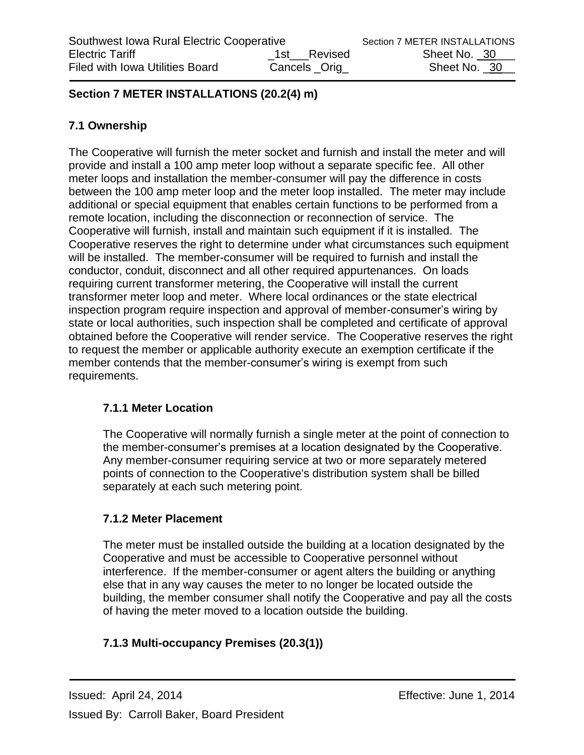## <span id="page-29-0"></span>**Section 7 METER INSTALLATIONS (20.2(4) m)**

## <span id="page-29-1"></span>**7.1 Ownership**

The Cooperative will furnish the meter socket and furnish and install the meter and will provide and install a 100 amp meter loop without a separate specific fee. All other meter loops and installation the member-consumer will pay the difference in costs between the 100 amp meter loop and the meter loop installed. The meter may include additional or special equipment that enables certain functions to be performed from a remote location, including the disconnection or reconnection of service. The Cooperative will furnish, install and maintain such equipment if it is installed. The Cooperative reserves the right to determine under what circumstances such equipment will be installed. The member-consumer will be required to furnish and install the conductor, conduit, disconnect and all other required appurtenances. On loads requiring current transformer metering, the Cooperative will install the current transformer meter loop and meter. Where local ordinances or the state electrical inspection program require inspection and approval of member-consumer's wiring by state or local authorities, such inspection shall be completed and certificate of approval obtained before the Cooperative will render service. The Cooperative reserves the right to request the member or applicable authority execute an exemption certificate if the member contends that the member-consumer's wiring is exempt from such requirements.

### **7.1.1 Meter Location**

The Cooperative will normally furnish a single meter at the point of connection to the member-consumer's premises at a location designated by the Cooperative. Any member-consumer requiring service at two or more separately metered points of connection to the Cooperative's distribution system shall be billed separately at each such metering point.

### **7.1.2 Meter Placement**

The meter must be installed outside the building at a location designated by the Cooperative and must be accessible to Cooperative personnel without interference. If the member-consumer or agent alters the building or anything else that in any way causes the meter to no longer be located outside the building, the member consumer shall notify the Cooperative and pay all the costs of having the meter moved to a location outside the building.

# **7.1.3 Multi-occupancy Premises (20.3(1))**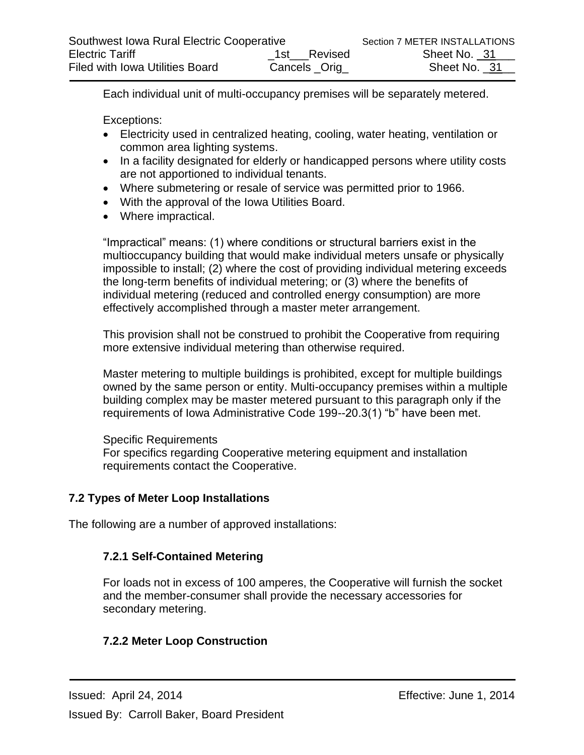Each individual unit of multi-occupancy premises will be separately metered.

Exceptions:

- Electricity used in centralized heating, cooling, water heating, ventilation or common area lighting systems.
- In a facility designated for elderly or handicapped persons where utility costs are not apportioned to individual tenants.
- Where submetering or resale of service was permitted prior to 1966.
- With the approval of the Iowa Utilities Board.
- Where impractical.

"Impractical" means: (1) where conditions or structural barriers exist in the multioccupancy building that would make individual meters unsafe or physically impossible to install; (2) where the cost of providing individual metering exceeds the long-term benefits of individual metering; or (3) where the benefits of individual metering (reduced and controlled energy consumption) are more effectively accomplished through a master meter arrangement.

This provision shall not be construed to prohibit the Cooperative from requiring more extensive individual metering than otherwise required.

Master metering to multiple buildings is prohibited, except for multiple buildings owned by the same person or entity. Multi-occupancy premises within a multiple building complex may be master metered pursuant to this paragraph only if the requirements of Iowa Administrative Code 199--20.3(1) "b" have been met.

Specific Requirements

For specifics regarding Cooperative metering equipment and installation requirements contact the Cooperative.

# <span id="page-30-0"></span>**7.2 Types of Meter Loop Installations**

The following are a number of approved installations:

# **7.2.1 Self-Contained Metering**

For loads not in excess of 100 amperes, the Cooperative will furnish the socket and the member-consumer shall provide the necessary accessories for secondary metering.

# **7.2.2 Meter Loop Construction**

Issued: April 24, 2014 Effective: June 1, 2014 Issued By: Carroll Baker, Board President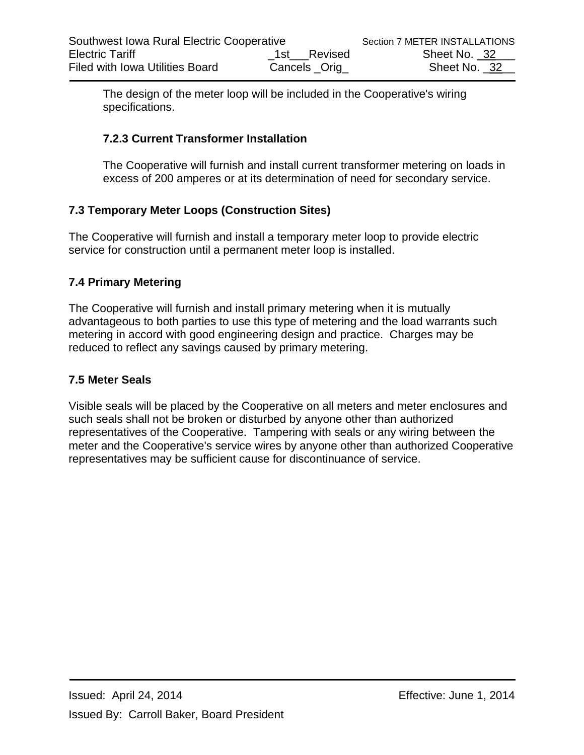The design of the meter loop will be included in the Cooperative's wiring specifications.

# **7.2.3 Current Transformer Installation**

The Cooperative will furnish and install current transformer metering on loads in excess of 200 amperes or at its determination of need for secondary service.

# <span id="page-31-0"></span>**7.3 Temporary Meter Loops (Construction Sites)**

The Cooperative will furnish and install a temporary meter loop to provide electric service for construction until a permanent meter loop is installed.

# <span id="page-31-1"></span>**7.4 Primary Metering**

The Cooperative will furnish and install primary metering when it is mutually advantageous to both parties to use this type of metering and the load warrants such metering in accord with good engineering design and practice. Charges may be reduced to reflect any savings caused by primary metering.

## <span id="page-31-2"></span>**7.5 Meter Seals**

Visible seals will be placed by the Cooperative on all meters and meter enclosures and such seals shall not be broken or disturbed by anyone other than authorized representatives of the Cooperative. Tampering with seals or any wiring between the meter and the Cooperative's service wires by anyone other than authorized Cooperative representatives may be sufficient cause for discontinuance of service.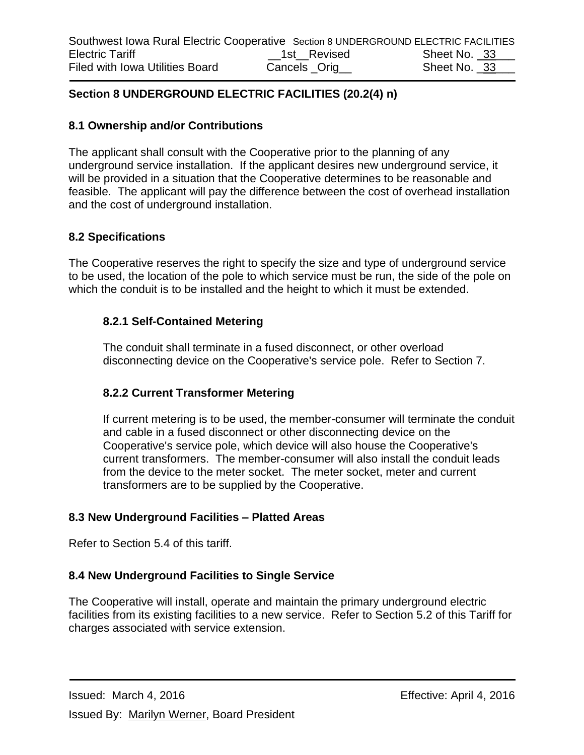### <span id="page-32-0"></span>**Section 8 UNDERGROUND ELECTRIC FACILITIES (20.2(4) n)**

### <span id="page-32-1"></span>**8.1 Ownership and/or Contributions**

The applicant shall consult with the Cooperative prior to the planning of any underground service installation. If the applicant desires new underground service, it will be provided in a situation that the Cooperative determines to be reasonable and feasible. The applicant will pay the difference between the cost of overhead installation and the cost of underground installation.

#### <span id="page-32-2"></span>**8.2 Specifications**

The Cooperative reserves the right to specify the size and type of underground service to be used, the location of the pole to which service must be run, the side of the pole on which the conduit is to be installed and the height to which it must be extended.

#### **8.2.1 Self-Contained Metering**

The conduit shall terminate in a fused disconnect, or other overload disconnecting device on the Cooperative's service pole. Refer to Section 7.

### **8.2.2 Current Transformer Metering**

If current metering is to be used, the member-consumer will terminate the conduit and cable in a fused disconnect or other disconnecting device on the Cooperative's service pole, which device will also house the Cooperative's current transformers. The member-consumer will also install the conduit leads from the device to the meter socket. The meter socket, meter and current transformers are to be supplied by the Cooperative.

#### <span id="page-32-3"></span>**8.3 New Underground Facilities – Platted Areas**

Refer to Section 5.4 of this tariff.

#### <span id="page-32-4"></span>**8.4 New Underground Facilities to Single Service**

The Cooperative will install, operate and maintain the primary underground electric facilities from its existing facilities to a new service. Refer to Section 5.2 of this Tariff for charges associated with service extension.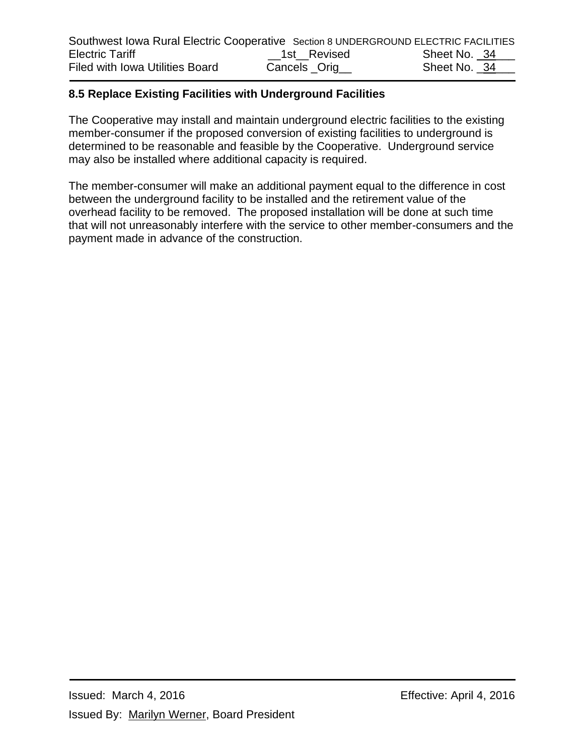## <span id="page-33-0"></span>**8.5 Replace Existing Facilities with Underground Facilities**

The Cooperative may install and maintain underground electric facilities to the existing member-consumer if the proposed conversion of existing facilities to underground is determined to be reasonable and feasible by the Cooperative. Underground service may also be installed where additional capacity is required.

The member-consumer will make an additional payment equal to the difference in cost between the underground facility to be installed and the retirement value of the overhead facility to be removed. The proposed installation will be done at such time that will not unreasonably interfere with the service to other member-consumers and the payment made in advance of the construction.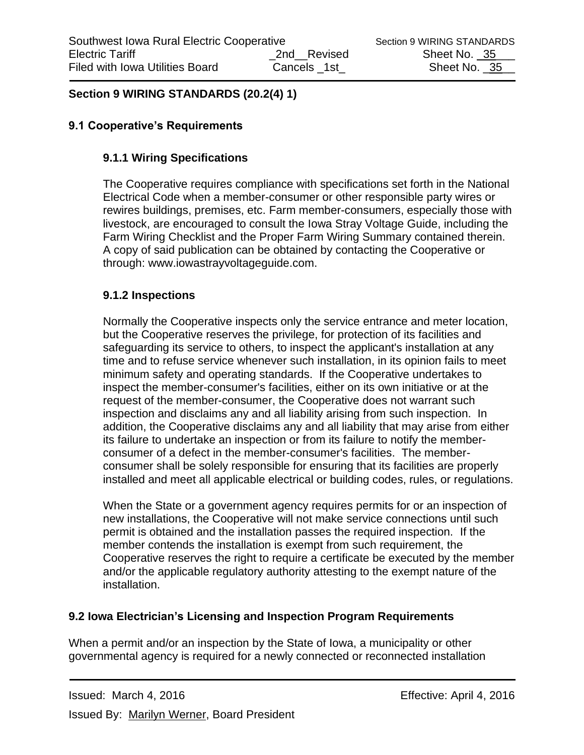#### <span id="page-34-0"></span>**Section 9 WIRING STANDARDS (20.2(4) 1)**

#### <span id="page-34-1"></span>**9.1 Cooperative's Requirements**

#### **9.1.1 Wiring Specifications**

The Cooperative requires compliance with specifications set forth in the National Electrical Code when a member-consumer or other responsible party wires or rewires buildings, premises, etc. Farm member-consumers, especially those with livestock, are encouraged to consult the Iowa Stray Voltage Guide, including the Farm Wiring Checklist and the Proper Farm Wiring Summary contained therein. A copy of said publication can be obtained by contacting the Cooperative or through: www.iowastrayvoltageguide.com.

#### **9.1.2 Inspections**

Normally the Cooperative inspects only the service entrance and meter location, but the Cooperative reserves the privilege, for protection of its facilities and safeguarding its service to others, to inspect the applicant's installation at any time and to refuse service whenever such installation, in its opinion fails to meet minimum safety and operating standards. If the Cooperative undertakes to inspect the member-consumer's facilities, either on its own initiative or at the request of the member-consumer, the Cooperative does not warrant such inspection and disclaims any and all liability arising from such inspection. In addition, the Cooperative disclaims any and all liability that may arise from either its failure to undertake an inspection or from its failure to notify the memberconsumer of a defect in the member-consumer's facilities. The memberconsumer shall be solely responsible for ensuring that its facilities are properly installed and meet all applicable electrical or building codes, rules, or regulations.

When the State or a government agency requires permits for or an inspection of new installations, the Cooperative will not make service connections until such permit is obtained and the installation passes the required inspection. If the member contends the installation is exempt from such requirement, the Cooperative reserves the right to require a certificate be executed by the member and/or the applicable regulatory authority attesting to the exempt nature of the installation.

#### <span id="page-34-2"></span>**9.2 Iowa Electrician's Licensing and Inspection Program Requirements**

When a permit and/or an inspection by the State of Iowa, a municipality or other governmental agency is required for a newly connected or reconnected installation

Issued: March 4, 2016 Effective: April 4, 2016 Issued By: Marilyn Werner, Board President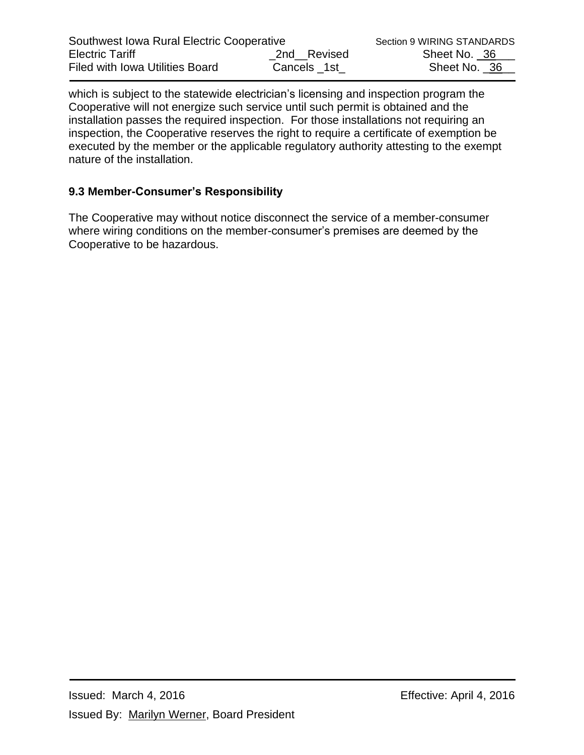| Southwest Iowa Rural Electric Cooperative |             | Section 9 WIRING STANDARDS |
|-------------------------------------------|-------------|----------------------------|
| <b>Electric Tariff</b>                    | 2nd Revised | Sheet No. 36               |
| Filed with Iowa Utilities Board           | Cancels 1st | Sheet No. $\_36$           |

which is subject to the statewide electrician's licensing and inspection program the Cooperative will not energize such service until such permit is obtained and the installation passes the required inspection. For those installations not requiring an inspection, the Cooperative reserves the right to require a certificate of exemption be executed by the member or the applicable regulatory authority attesting to the exempt nature of the installation.

## <span id="page-35-0"></span>**9.3 Member-Consumer's Responsibility**

The Cooperative may without notice disconnect the service of a member-consumer where wiring conditions on the member-consumer's premises are deemed by the Cooperative to be hazardous.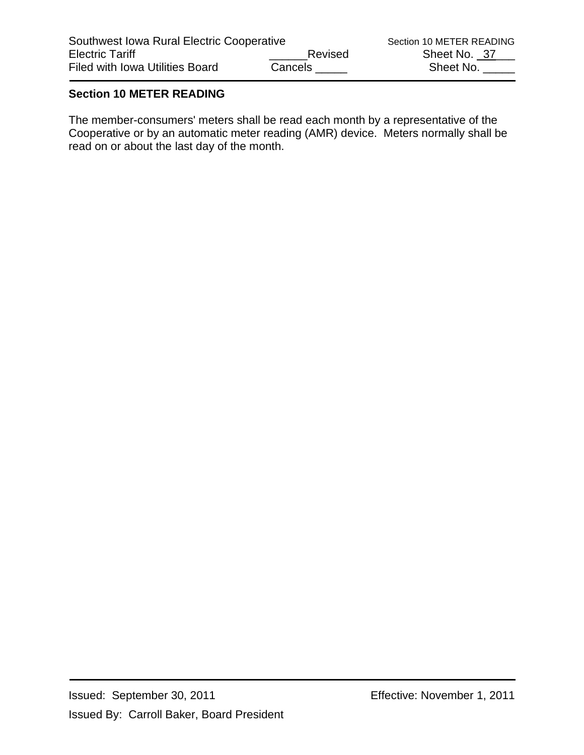| Southwest Iowa Rural Electric Cooperative |         | Section 10 METER READING |
|-------------------------------------------|---------|--------------------------|
| <b>Electric Tariff</b>                    | Revised | Sheet No. 37             |
| <b>Filed with Iowa Utilities Board</b>    | Cancels | Sheet No.                |

### **Section 10 METER READING**

The member-consumers' meters shall be read each month by a representative of the Cooperative or by an automatic meter reading (AMR) device. Meters normally shall be read on or about the last day of the month.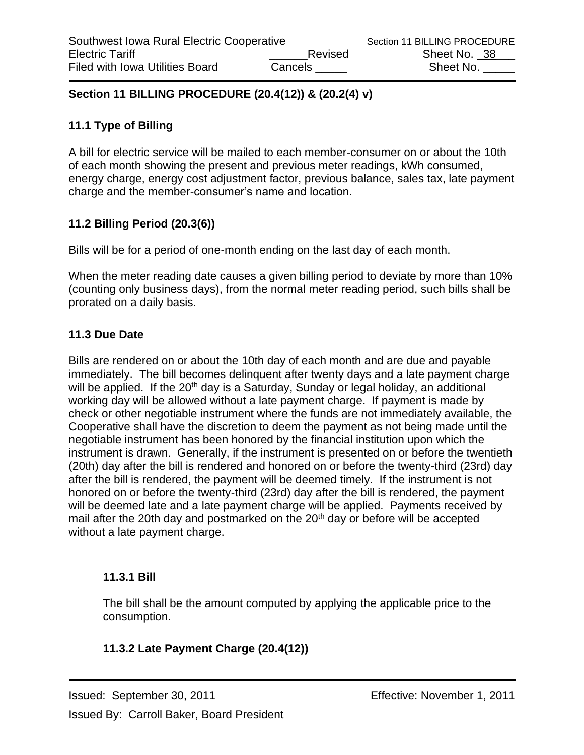## **Section 11 BILLING PROCEDURE (20.4(12)) & (20.2(4) v)**

### **11.1 Type of Billing**

A bill for electric service will be mailed to each member-consumer on or about the 10th of each month showing the present and previous meter readings, kWh consumed, energy charge, energy cost adjustment factor, previous balance, sales tax, late payment charge and the member-consumer's name and location.

### **11.2 Billing Period (20.3(6))**

Bills will be for a period of one-month ending on the last day of each month.

When the meter reading date causes a given billing period to deviate by more than 10% (counting only business days), from the normal meter reading period, such bills shall be prorated on a daily basis.

### **11.3 Due Date**

Bills are rendered on or about the 10th day of each month and are due and payable immediately. The bill becomes delinquent after twenty days and a late payment charge will be applied. If the 20<sup>th</sup> day is a Saturday, Sunday or legal holiday, an additional working day will be allowed without a late payment charge. If payment is made by check or other negotiable instrument where the funds are not immediately available, the Cooperative shall have the discretion to deem the payment as not being made until the negotiable instrument has been honored by the financial institution upon which the instrument is drawn. Generally, if the instrument is presented on or before the twentieth (20th) day after the bill is rendered and honored on or before the twenty-third (23rd) day after the bill is rendered, the payment will be deemed timely. If the instrument is not honored on or before the twenty-third (23rd) day after the bill is rendered, the payment will be deemed late and a late payment charge will be applied. Payments received by mail after the 20th day and postmarked on the 20<sup>th</sup> day or before will be accepted without a late payment charge.

### **11.3.1 Bill**

The bill shall be the amount computed by applying the applicable price to the consumption.

## **11.3.2 Late Payment Charge (20.4(12))**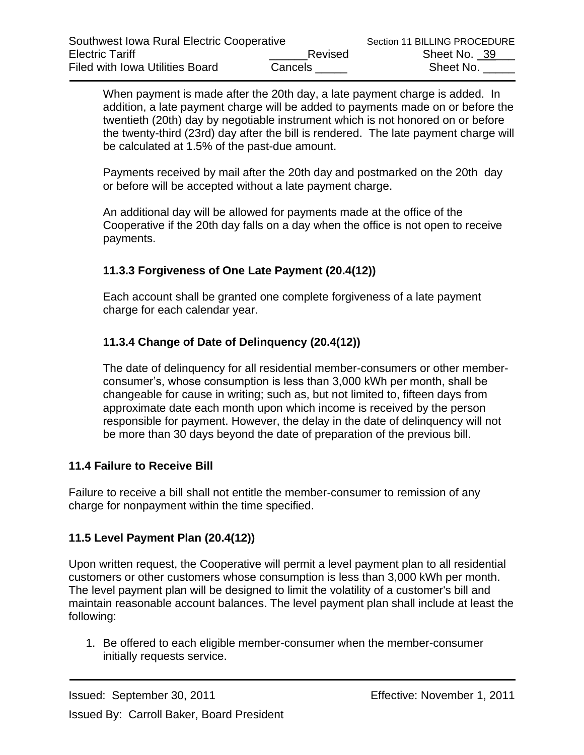When payment is made after the 20th day, a late payment charge is added. In addition, a late payment charge will be added to payments made on or before the twentieth (20th) day by negotiable instrument which is not honored on or before the twenty-third (23rd) day after the bill is rendered. The late payment charge will be calculated at 1.5% of the past-due amount.

Payments received by mail after the 20th day and postmarked on the 20th day or before will be accepted without a late payment charge.

An additional day will be allowed for payments made at the office of the Cooperative if the 20th day falls on a day when the office is not open to receive payments.

# **11.3.3 Forgiveness of One Late Payment (20.4(12))**

Each account shall be granted one complete forgiveness of a late payment charge for each calendar year.

# **11.3.4 Change of Date of Delinquency (20.4(12))**

The date of delinquency for all residential member-consumers or other memberconsumer's, whose consumption is less than 3,000 kWh per month, shall be changeable for cause in writing; such as, but not limited to, fifteen days from approximate date each month upon which income is received by the person responsible for payment. However, the delay in the date of delinquency will not be more than 30 days beyond the date of preparation of the previous bill.

# **11.4 Failure to Receive Bill**

Failure to receive a bill shall not entitle the member-consumer to remission of any charge for nonpayment within the time specified.

# **11.5 Level Payment Plan (20.4(12))**

Upon written request, the Cooperative will permit a level payment plan to all residential customers or other customers whose consumption is less than 3,000 kWh per month. The level payment plan will be designed to limit the volatility of a customer's bill and maintain reasonable account balances. The level payment plan shall include at least the following:

1. Be offered to each eligible member-consumer when the member-consumer initially requests service.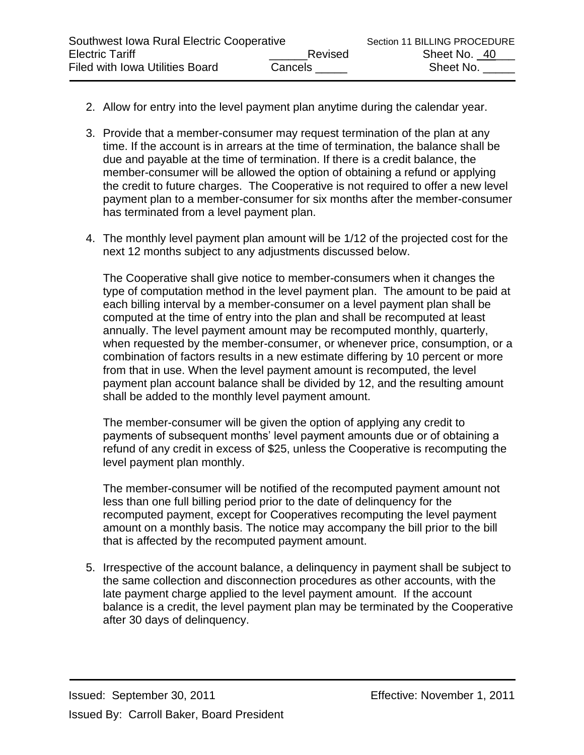- 2. Allow for entry into the level payment plan anytime during the calendar year.
- 3. Provide that a member-consumer may request termination of the plan at any time. If the account is in arrears at the time of termination, the balance shall be due and payable at the time of termination. If there is a credit balance, the member-consumer will be allowed the option of obtaining a refund or applying the credit to future charges. The Cooperative is not required to offer a new level payment plan to a member-consumer for six months after the member-consumer has terminated from a level payment plan.
- 4. The monthly level payment plan amount will be 1/12 of the projected cost for the next 12 months subject to any adjustments discussed below.

The Cooperative shall give notice to member-consumers when it changes the type of computation method in the level payment plan. The amount to be paid at each billing interval by a member-consumer on a level payment plan shall be computed at the time of entry into the plan and shall be recomputed at least annually. The level payment amount may be recomputed monthly, quarterly, when requested by the member-consumer, or whenever price, consumption, or a combination of factors results in a new estimate differing by 10 percent or more from that in use. When the level payment amount is recomputed, the level payment plan account balance shall be divided by 12, and the resulting amount shall be added to the monthly level payment amount.

The member-consumer will be given the option of applying any credit to payments of subsequent months' level payment amounts due or of obtaining a refund of any credit in excess of \$25, unless the Cooperative is recomputing the level payment plan monthly.

The member-consumer will be notified of the recomputed payment amount not less than one full billing period prior to the date of delinquency for the recomputed payment, except for Cooperatives recomputing the level payment amount on a monthly basis. The notice may accompany the bill prior to the bill that is affected by the recomputed payment amount.

5. Irrespective of the account balance, a delinquency in payment shall be subject to the same collection and disconnection procedures as other accounts, with the late payment charge applied to the level payment amount. If the account balance is a credit, the level payment plan may be terminated by the Cooperative after 30 days of delinquency.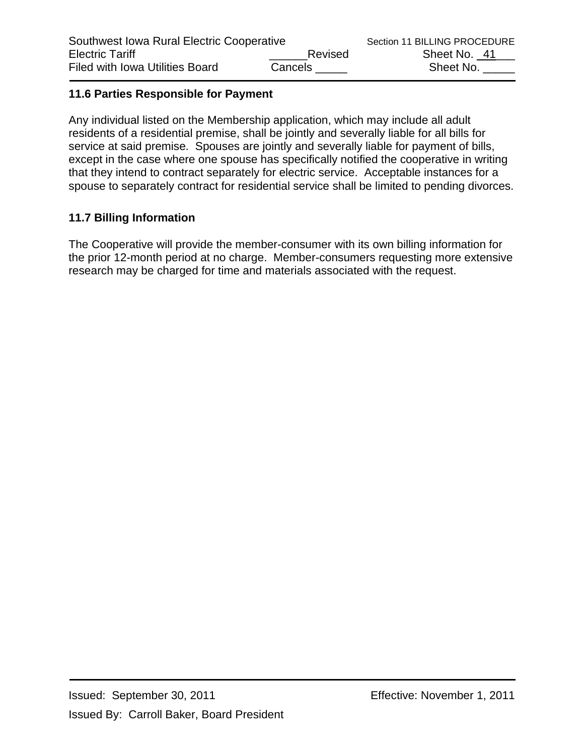## **11.6 Parties Responsible for Payment**

Any individual listed on the Membership application, which may include all adult residents of a residential premise, shall be jointly and severally liable for all bills for service at said premise. Spouses are jointly and severally liable for payment of bills, except in the case where one spouse has specifically notified the cooperative in writing that they intend to contract separately for electric service. Acceptable instances for a spouse to separately contract for residential service shall be limited to pending divorces.

## **11.7 Billing Information**

The Cooperative will provide the member-consumer with its own billing information for the prior 12-month period at no charge. Member-consumers requesting more extensive research may be charged for time and materials associated with the request.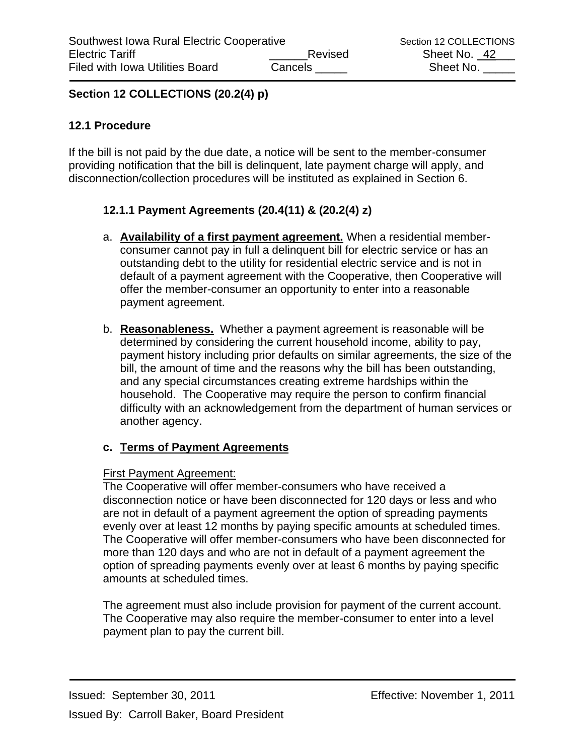### **Section 12 COLLECTIONS (20.2(4) p)**

#### **12.1 Procedure**

If the bill is not paid by the due date, a notice will be sent to the member-consumer providing notification that the bill is delinquent, late payment charge will apply, and disconnection/collection procedures will be instituted as explained in Section 6.

### **12.1.1 Payment Agreements (20.4(11) & (20.2(4) z)**

- a. **Availability of a first payment agreement.** When a residential memberconsumer cannot pay in full a delinquent bill for electric service or has an outstanding debt to the utility for residential electric service and is not in default of a payment agreement with the Cooperative, then Cooperative will offer the member-consumer an opportunity to enter into a reasonable payment agreement.
- b. **Reasonableness.** Whether a payment agreement is reasonable will be determined by considering the current household income, ability to pay, payment history including prior defaults on similar agreements, the size of the bill, the amount of time and the reasons why the bill has been outstanding, and any special circumstances creating extreme hardships within the household. The Cooperative may require the person to confirm financial difficulty with an acknowledgement from the department of human services or another agency.

### **c. Terms of Payment Agreements**

### First Payment Agreement:

The Cooperative will offer member-consumers who have received a disconnection notice or have been disconnected for 120 days or less and who are not in default of a payment agreement the option of spreading payments evenly over at least 12 months by paying specific amounts at scheduled times. The Cooperative will offer member-consumers who have been disconnected for more than 120 days and who are not in default of a payment agreement the option of spreading payments evenly over at least 6 months by paying specific amounts at scheduled times.

The agreement must also include provision for payment of the current account. The Cooperative may also require the member-consumer to enter into a level payment plan to pay the current bill.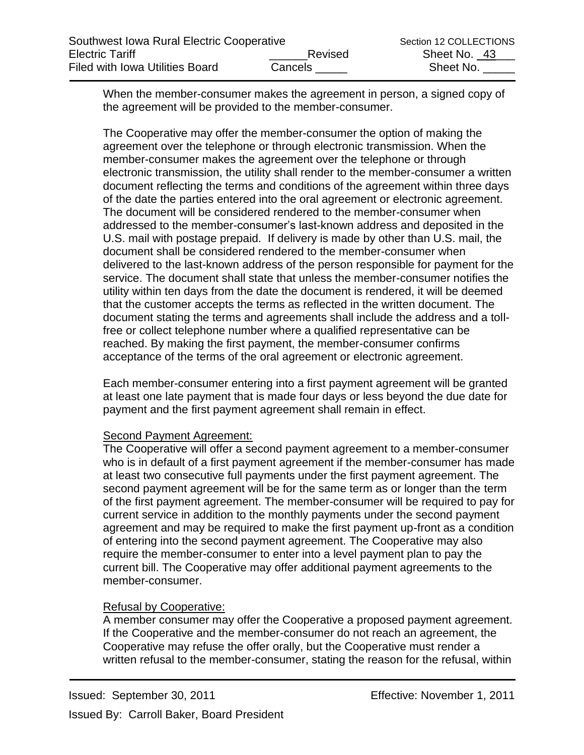When the member-consumer makes the agreement in person, a signed copy of the agreement will be provided to the member-consumer.

The Cooperative may offer the member-consumer the option of making the agreement over the telephone or through electronic transmission. When the member-consumer makes the agreement over the telephone or through electronic transmission, the utility shall render to the member-consumer a written document reflecting the terms and conditions of the agreement within three days of the date the parties entered into the oral agreement or electronic agreement. The document will be considered rendered to the member-consumer when addressed to the member-consumer's last-known address and deposited in the U.S. mail with postage prepaid. If delivery is made by other than U.S. mail, the document shall be considered rendered to the member-consumer when delivered to the last-known address of the person responsible for payment for the service. The document shall state that unless the member-consumer notifies the utility within ten days from the date the document is rendered, it will be deemed that the customer accepts the terms as reflected in the written document. The document stating the terms and agreements shall include the address and a tollfree or collect telephone number where a qualified representative can be reached. By making the first payment, the member-consumer confirms acceptance of the terms of the oral agreement or electronic agreement.

Each member-consumer entering into a first payment agreement will be granted at least one late payment that is made four days or less beyond the due date for payment and the first payment agreement shall remain in effect.

## Second Payment Agreement:

The Cooperative will offer a second payment agreement to a member-consumer who is in default of a first payment agreement if the member-consumer has made at least two consecutive full payments under the first payment agreement. The second payment agreement will be for the same term as or longer than the term of the first payment agreement. The member-consumer will be required to pay for current service in addition to the monthly payments under the second payment agreement and may be required to make the first payment up-front as a condition of entering into the second payment agreement. The Cooperative may also require the member-consumer to enter into a level payment plan to pay the current bill. The Cooperative may offer additional payment agreements to the member-consumer.

# Refusal by Cooperative:

A member consumer may offer the Cooperative a proposed payment agreement. If the Cooperative and the member-consumer do not reach an agreement, the Cooperative may refuse the offer orally, but the Cooperative must render a written refusal to the member-consumer, stating the reason for the refusal, within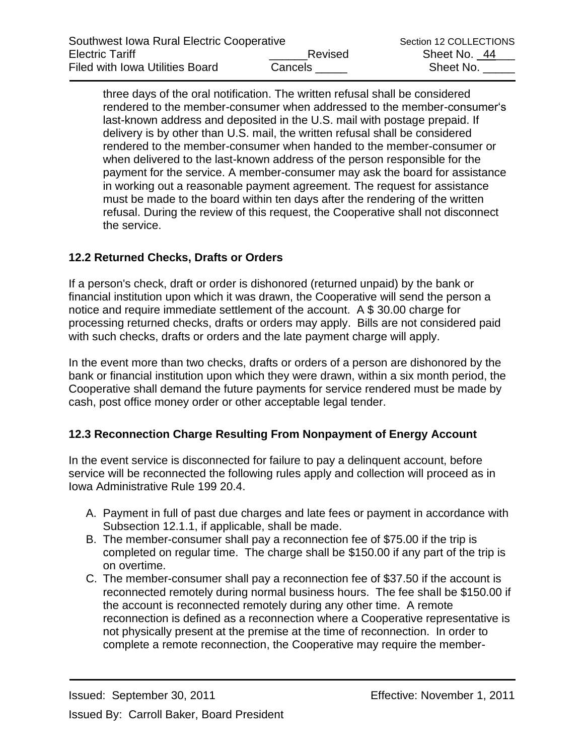three days of the oral notification. The written refusal shall be considered rendered to the member-consumer when addressed to the member-consumer's last-known address and deposited in the U.S. mail with postage prepaid. If delivery is by other than U.S. mail, the written refusal shall be considered rendered to the member-consumer when handed to the member-consumer or when delivered to the last-known address of the person responsible for the payment for the service. A member-consumer may ask the board for assistance in working out a reasonable payment agreement. The request for assistance must be made to the board within ten days after the rendering of the written refusal. During the review of this request, the Cooperative shall not disconnect the service.

# **12.2 Returned Checks, Drafts or Orders**

If a person's check, draft or order is dishonored (returned unpaid) by the bank or financial institution upon which it was drawn, the Cooperative will send the person a notice and require immediate settlement of the account. A \$ 30.00 charge for processing returned checks, drafts or orders may apply. Bills are not considered paid with such checks, drafts or orders and the late payment charge will apply.

In the event more than two checks, drafts or orders of a person are dishonored by the bank or financial institution upon which they were drawn, within a six month period, the Cooperative shall demand the future payments for service rendered must be made by cash, post office money order or other acceptable legal tender.

# **12.3 Reconnection Charge Resulting From Nonpayment of Energy Account**

In the event service is disconnected for failure to pay a delinquent account, before service will be reconnected the following rules apply and collection will proceed as in Iowa Administrative Rule 199 20.4.

- A. Payment in full of past due charges and late fees or payment in accordance with Subsection 12.1.1, if applicable, shall be made.
- B. The member-consumer shall pay a reconnection fee of \$75.00 if the trip is completed on regular time. The charge shall be \$150.00 if any part of the trip is on overtime.
- C. The member-consumer shall pay a reconnection fee of \$37.50 if the account is reconnected remotely during normal business hours. The fee shall be \$150.00 if the account is reconnected remotely during any other time. A remote reconnection is defined as a reconnection where a Cooperative representative is not physically present at the premise at the time of reconnection. In order to complete a remote reconnection, the Cooperative may require the member-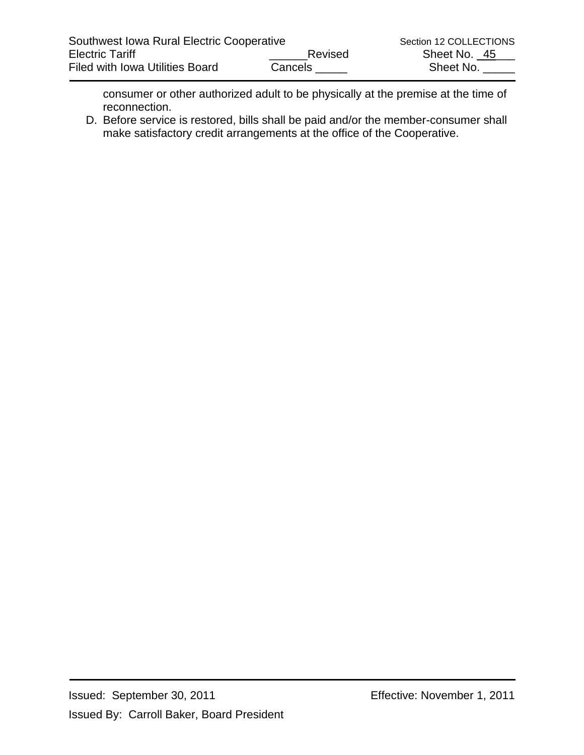| Southwest Iowa Rural Electric Cooperative |         | Section 12 COLLECTIONS |
|-------------------------------------------|---------|------------------------|
| <b>Electric Tariff</b>                    | Revised | Sheet No. 45           |
| Filed with Iowa Utilities Board           | Cancels | Sheet No.              |

consumer or other authorized adult to be physically at the premise at the time of reconnection.

D. Before service is restored, bills shall be paid and/or the member-consumer shall make satisfactory credit arrangements at the office of the Cooperative.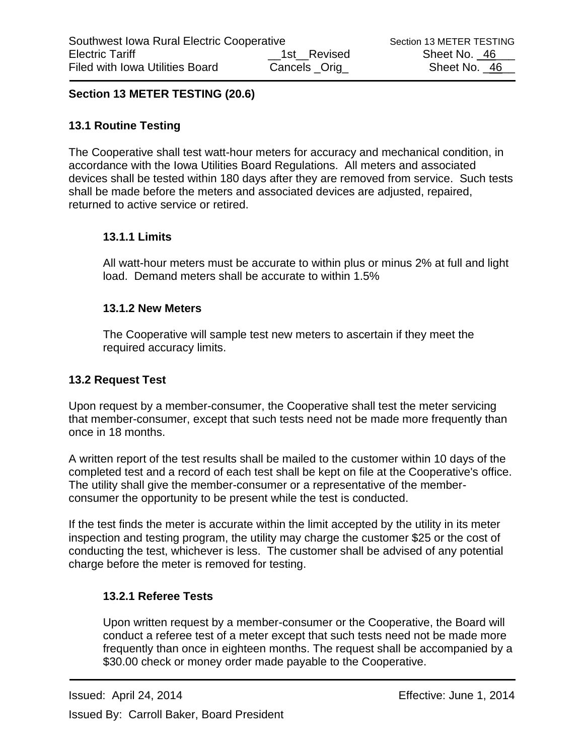#### **Section 13 METER TESTING (20.6)**

#### **13.1 Routine Testing**

The Cooperative shall test watt-hour meters for accuracy and mechanical condition, in accordance with the Iowa Utilities Board Regulations. All meters and associated devices shall be tested within 180 days after they are removed from service. Such tests shall be made before the meters and associated devices are adjusted, repaired, returned to active service or retired.

#### **13.1.1 Limits**

All watt-hour meters must be accurate to within plus or minus 2% at full and light load. Demand meters shall be accurate to within 1.5%

#### **13.1.2 New Meters**

The Cooperative will sample test new meters to ascertain if they meet the required accuracy limits.

#### **13.2 Request Test**

Upon request by a member-consumer, the Cooperative shall test the meter servicing that member-consumer, except that such tests need not be made more frequently than once in 18 months.

A written report of the test results shall be mailed to the customer within 10 days of the completed test and a record of each test shall be kept on file at the Cooperative's office. The utility shall give the member-consumer or a representative of the memberconsumer the opportunity to be present while the test is conducted.

If the test finds the meter is accurate within the limit accepted by the utility in its meter inspection and testing program, the utility may charge the customer \$25 or the cost of conducting the test, whichever is less. The customer shall be advised of any potential charge before the meter is removed for testing.

### **13.2.1 Referee Tests**

Upon written request by a member-consumer or the Cooperative, the Board will conduct a referee test of a meter except that such tests need not be made more frequently than once in eighteen months. The request shall be accompanied by a \$30.00 check or money order made payable to the Cooperative.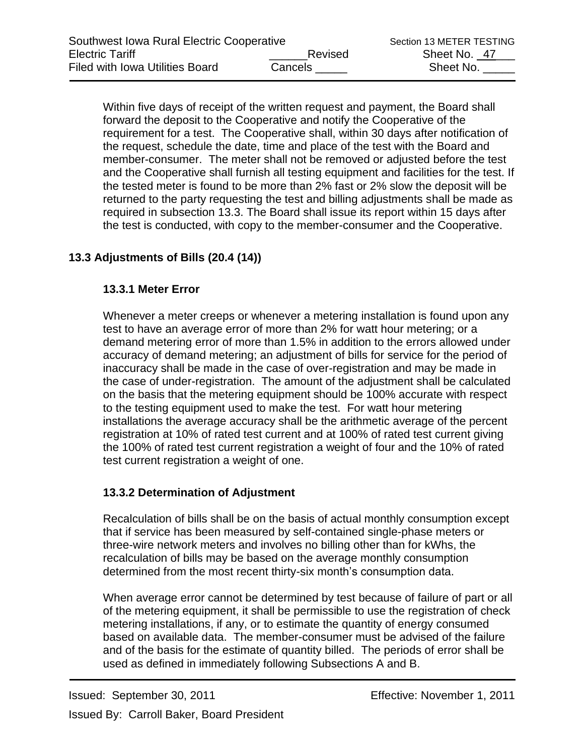Within five days of receipt of the written request and payment, the Board shall forward the deposit to the Cooperative and notify the Cooperative of the requirement for a test. The Cooperative shall, within 30 days after notification of the request, schedule the date, time and place of the test with the Board and member-consumer. The meter shall not be removed or adjusted before the test and the Cooperative shall furnish all testing equipment and facilities for the test. If the tested meter is found to be more than 2% fast or 2% slow the deposit will be returned to the party requesting the test and billing adjustments shall be made as required in subsection 13.3. The Board shall issue its report within 15 days after the test is conducted, with copy to the member-consumer and the Cooperative.

# **13.3 Adjustments of Bills (20.4 (14))**

## **13.3.1 Meter Error**

Whenever a meter creeps or whenever a metering installation is found upon any test to have an average error of more than 2% for watt hour metering; or a demand metering error of more than 1.5% in addition to the errors allowed under accuracy of demand metering; an adjustment of bills for service for the period of inaccuracy shall be made in the case of over-registration and may be made in the case of under-registration. The amount of the adjustment shall be calculated on the basis that the metering equipment should be 100% accurate with respect to the testing equipment used to make the test. For watt hour metering installations the average accuracy shall be the arithmetic average of the percent registration at 10% of rated test current and at 100% of rated test current giving the 100% of rated test current registration a weight of four and the 10% of rated test current registration a weight of one.

## **13.3.2 Determination of Adjustment**

Recalculation of bills shall be on the basis of actual monthly consumption except that if service has been measured by self-contained single-phase meters or three-wire network meters and involves no billing other than for kWhs, the recalculation of bills may be based on the average monthly consumption determined from the most recent thirty-six month's consumption data.

When average error cannot be determined by test because of failure of part or all of the metering equipment, it shall be permissible to use the registration of check metering installations, if any, or to estimate the quantity of energy consumed based on available data. The member-consumer must be advised of the failure and of the basis for the estimate of quantity billed. The periods of error shall be used as defined in immediately following Subsections A and B.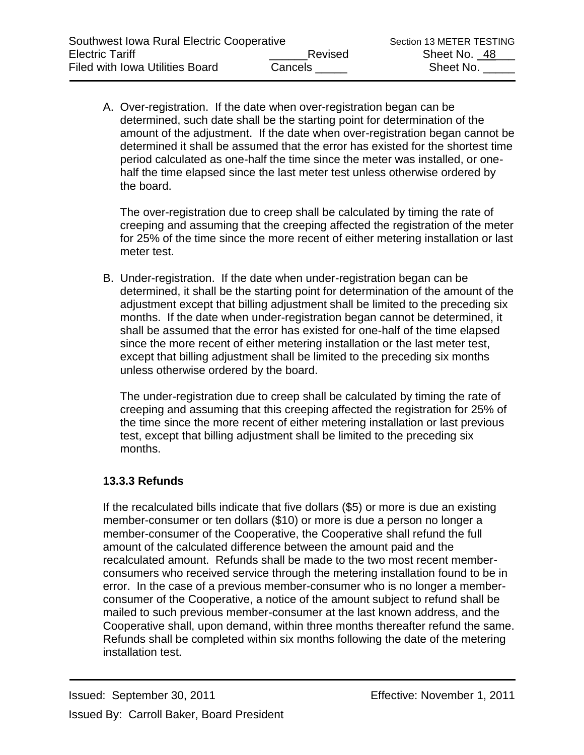A. Over-registration. If the date when over-registration began can be determined, such date shall be the starting point for determination of the amount of the adjustment. If the date when over-registration began cannot be determined it shall be assumed that the error has existed for the shortest time period calculated as one-half the time since the meter was installed, or onehalf the time elapsed since the last meter test unless otherwise ordered by the board.

The over-registration due to creep shall be calculated by timing the rate of creeping and assuming that the creeping affected the registration of the meter for 25% of the time since the more recent of either metering installation or last meter test.

B. Under-registration. If the date when under-registration began can be determined, it shall be the starting point for determination of the amount of the adjustment except that billing adjustment shall be limited to the preceding six months. If the date when under-registration began cannot be determined, it shall be assumed that the error has existed for one-half of the time elapsed since the more recent of either metering installation or the last meter test, except that billing adjustment shall be limited to the preceding six months unless otherwise ordered by the board.

The under-registration due to creep shall be calculated by timing the rate of creeping and assuming that this creeping affected the registration for 25% of the time since the more recent of either metering installation or last previous test, except that billing adjustment shall be limited to the preceding six months.

# **13.3.3 Refunds**

If the recalculated bills indicate that five dollars (\$5) or more is due an existing member-consumer or ten dollars (\$10) or more is due a person no longer a member-consumer of the Cooperative, the Cooperative shall refund the full amount of the calculated difference between the amount paid and the recalculated amount. Refunds shall be made to the two most recent memberconsumers who received service through the metering installation found to be in error. In the case of a previous member-consumer who is no longer a memberconsumer of the Cooperative, a notice of the amount subject to refund shall be mailed to such previous member-consumer at the last known address, and the Cooperative shall, upon demand, within three months thereafter refund the same. Refunds shall be completed within six months following the date of the metering installation test.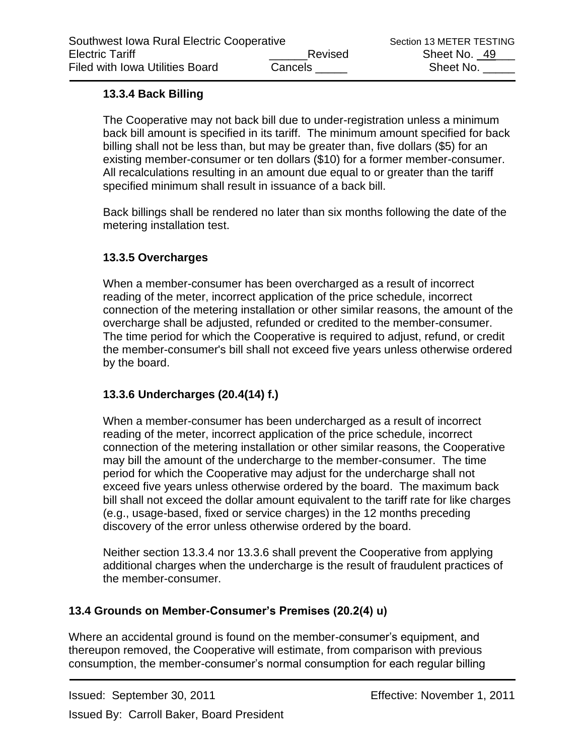### **13.3.4 Back Billing**

The Cooperative may not back bill due to under-registration unless a minimum back bill amount is specified in its tariff. The minimum amount specified for back billing shall not be less than, but may be greater than, five dollars (\$5) for an existing member-consumer or ten dollars (\$10) for a former member-consumer. All recalculations resulting in an amount due equal to or greater than the tariff specified minimum shall result in issuance of a back bill.

Back billings shall be rendered no later than six months following the date of the metering installation test.

## **13.3.5 Overcharges**

When a member-consumer has been overcharged as a result of incorrect reading of the meter, incorrect application of the price schedule, incorrect connection of the metering installation or other similar reasons, the amount of the overcharge shall be adjusted, refunded or credited to the member-consumer. The time period for which the Cooperative is required to adjust, refund, or credit the member-consumer's bill shall not exceed five years unless otherwise ordered by the board.

## **13.3.6 Undercharges (20.4(14) f.)**

When a member-consumer has been undercharged as a result of incorrect reading of the meter, incorrect application of the price schedule, incorrect connection of the metering installation or other similar reasons, the Cooperative may bill the amount of the undercharge to the member-consumer. The time period for which the Cooperative may adjust for the undercharge shall not exceed five years unless otherwise ordered by the board. The maximum back bill shall not exceed the dollar amount equivalent to the tariff rate for like charges (e.g., usage-based, fixed or service charges) in the 12 months preceding discovery of the error unless otherwise ordered by the board.

Neither section 13.3.4 nor 13.3.6 shall prevent the Cooperative from applying additional charges when the undercharge is the result of fraudulent practices of the member-consumer.

## **13.4 Grounds on Member-Consumer's Premises (20.2(4) u)**

Where an accidental ground is found on the member-consumer's equipment, and thereupon removed, the Cooperative will estimate, from comparison with previous consumption, the member-consumer's normal consumption for each regular billing

Issued: September 30, 2011 Effective: November 1, 2011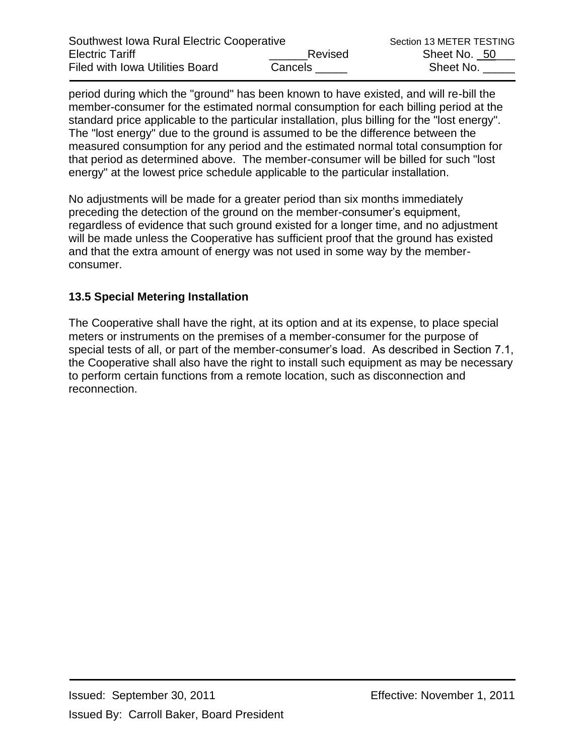| Southwest Iowa Rural Electric Cooperative |         | Section 13 METER TESTING |
|-------------------------------------------|---------|--------------------------|
| <b>Electric Tariff</b>                    | Revised | Sheet No. 50             |
| <b>Filed with Iowa Utilities Board</b>    | Cancels | Sheet No.                |

period during which the "ground" has been known to have existed, and will re-bill the member-consumer for the estimated normal consumption for each billing period at the standard price applicable to the particular installation, plus billing for the "lost energy". The "lost energy" due to the ground is assumed to be the difference between the measured consumption for any period and the estimated normal total consumption for that period as determined above. The member-consumer will be billed for such "lost energy" at the lowest price schedule applicable to the particular installation.

No adjustments will be made for a greater period than six months immediately preceding the detection of the ground on the member-consumer's equipment, regardless of evidence that such ground existed for a longer time, and no adjustment will be made unless the Cooperative has sufficient proof that the ground has existed and that the extra amount of energy was not used in some way by the memberconsumer.

## **13.5 Special Metering Installation**

The Cooperative shall have the right, at its option and at its expense, to place special meters or instruments on the premises of a member-consumer for the purpose of special tests of all, or part of the member-consumer's load. As described in Section 7.1, the Cooperative shall also have the right to install such equipment as may be necessary to perform certain functions from a remote location, such as disconnection and reconnection.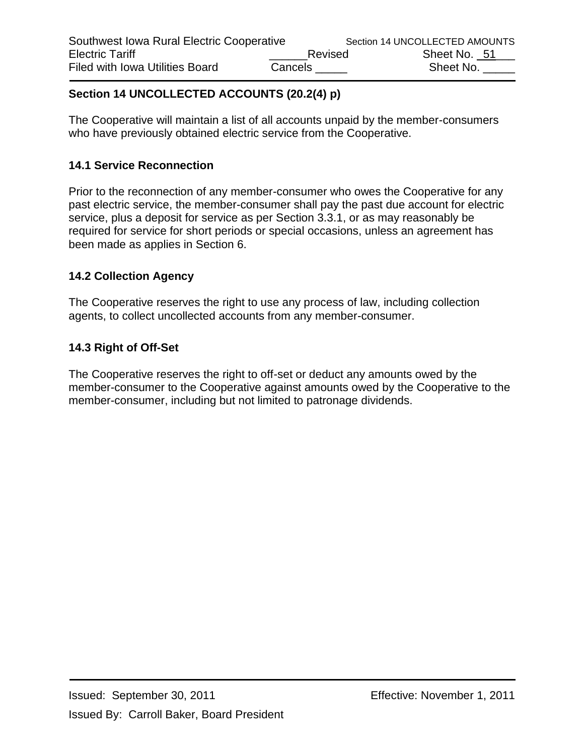# **Section 14 UNCOLLECTED ACCOUNTS (20.2(4) p)**

The Cooperative will maintain a list of all accounts unpaid by the member-consumers who have previously obtained electric service from the Cooperative.

# **14.1 Service Reconnection**

Prior to the reconnection of any member-consumer who owes the Cooperative for any past electric service, the member-consumer shall pay the past due account for electric service, plus a deposit for service as per Section 3.3.1, or as may reasonably be required for service for short periods or special occasions, unless an agreement has been made as applies in Section 6.

## **14.2 Collection Agency**

The Cooperative reserves the right to use any process of law, including collection agents, to collect uncollected accounts from any member-consumer.

## **14.3 Right of Off-Set**

The Cooperative reserves the right to off-set or deduct any amounts owed by the member-consumer to the Cooperative against amounts owed by the Cooperative to the member-consumer, including but not limited to patronage dividends.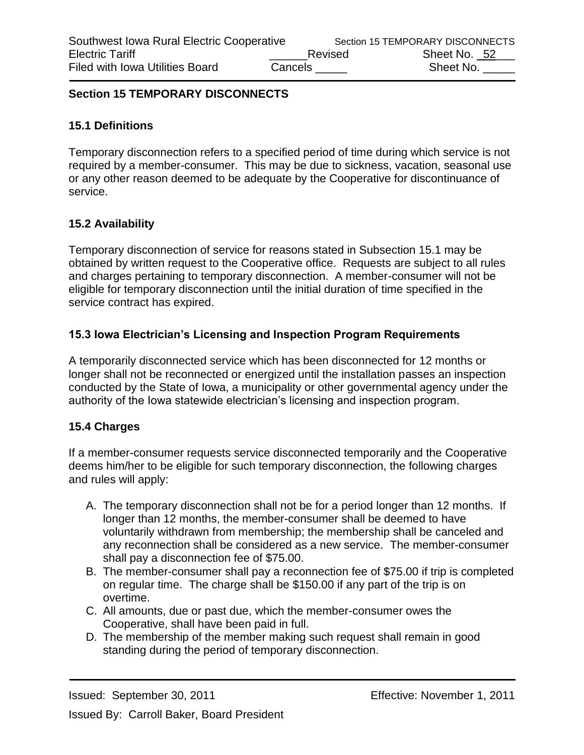### **Section 15 TEMPORARY DISCONNECTS**

### **15.1 Definitions**

Temporary disconnection refers to a specified period of time during which service is not required by a member-consumer. This may be due to sickness, vacation, seasonal use or any other reason deemed to be adequate by the Cooperative for discontinuance of service.

## **15.2 Availability**

Temporary disconnection of service for reasons stated in Subsection 15.1 may be obtained by written request to the Cooperative office. Requests are subject to all rules and charges pertaining to temporary disconnection. A member-consumer will not be eligible for temporary disconnection until the initial duration of time specified in the service contract has expired.

### **15.3 Iowa Electrician's Licensing and Inspection Program Requirements**

A temporarily disconnected service which has been disconnected for 12 months or longer shall not be reconnected or energized until the installation passes an inspection conducted by the State of Iowa, a municipality or other governmental agency under the authority of the Iowa statewide electrician's licensing and inspection program.

### **15.4 Charges**

If a member-consumer requests service disconnected temporarily and the Cooperative deems him/her to be eligible for such temporary disconnection, the following charges and rules will apply:

- A. The temporary disconnection shall not be for a period longer than 12 months. If longer than 12 months, the member-consumer shall be deemed to have voluntarily withdrawn from membership; the membership shall be canceled and any reconnection shall be considered as a new service. The member-consumer shall pay a disconnection fee of \$75.00.
- B. The member-consumer shall pay a reconnection fee of \$75.00 if trip is completed on regular time. The charge shall be \$150.00 if any part of the trip is on overtime.
- C. All amounts, due or past due, which the member-consumer owes the Cooperative, shall have been paid in full.
- D. The membership of the member making such request shall remain in good standing during the period of temporary disconnection.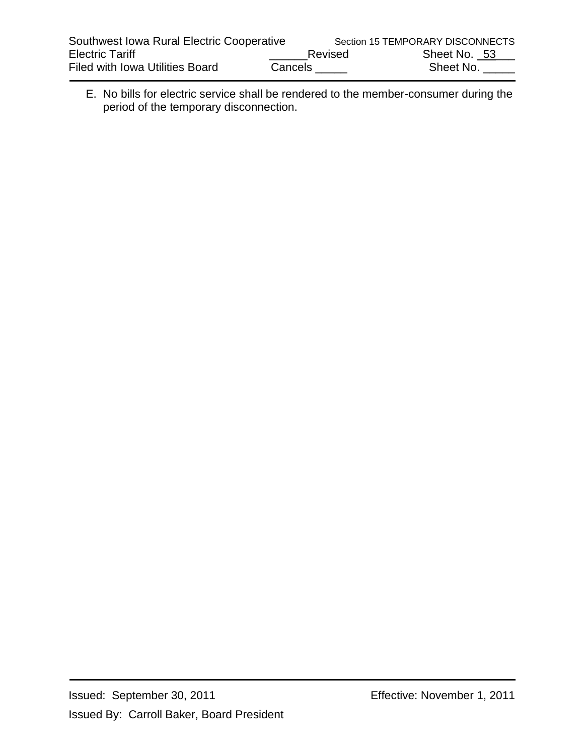E. No bills for electric service shall be rendered to the member-consumer during the period of the temporary disconnection.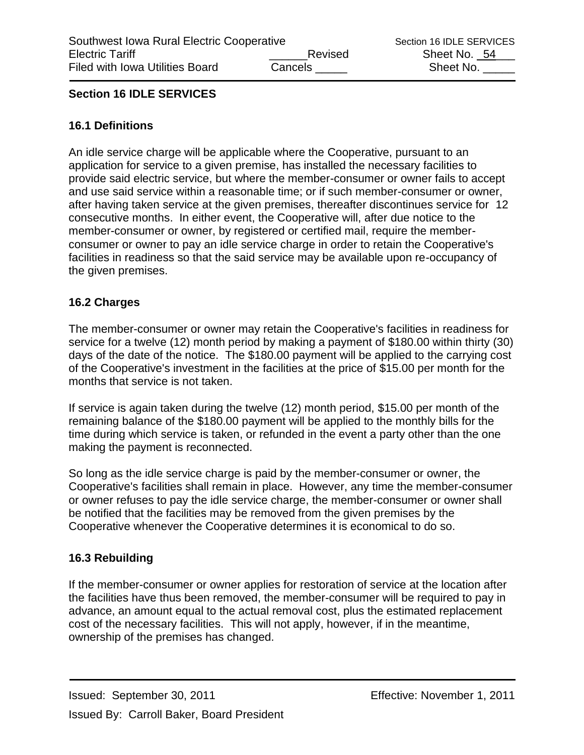### **Section 16 IDLE SERVICES**

### **16.1 Definitions**

An idle service charge will be applicable where the Cooperative, pursuant to an application for service to a given premise, has installed the necessary facilities to provide said electric service, but where the member-consumer or owner fails to accept and use said service within a reasonable time; or if such member-consumer or owner, after having taken service at the given premises, thereafter discontinues service for 12 consecutive months. In either event, the Cooperative will, after due notice to the member-consumer or owner, by registered or certified mail, require the memberconsumer or owner to pay an idle service charge in order to retain the Cooperative's facilities in readiness so that the said service may be available upon re-occupancy of the given premises.

### **16.2 Charges**

The member-consumer or owner may retain the Cooperative's facilities in readiness for service for a twelve (12) month period by making a payment of \$180.00 within thirty (30) days of the date of the notice. The \$180.00 payment will be applied to the carrying cost of the Cooperative's investment in the facilities at the price of \$15.00 per month for the months that service is not taken.

If service is again taken during the twelve (12) month period, \$15.00 per month of the remaining balance of the \$180.00 payment will be applied to the monthly bills for the time during which service is taken, or refunded in the event a party other than the one making the payment is reconnected.

So long as the idle service charge is paid by the member-consumer or owner, the Cooperative's facilities shall remain in place. However, any time the member-consumer or owner refuses to pay the idle service charge, the member-consumer or owner shall be notified that the facilities may be removed from the given premises by the Cooperative whenever the Cooperative determines it is economical to do so.

### **16.3 Rebuilding**

If the member-consumer or owner applies for restoration of service at the location after the facilities have thus been removed, the member-consumer will be required to pay in advance, an amount equal to the actual removal cost, plus the estimated replacement cost of the necessary facilities. This will not apply, however, if in the meantime, ownership of the premises has changed.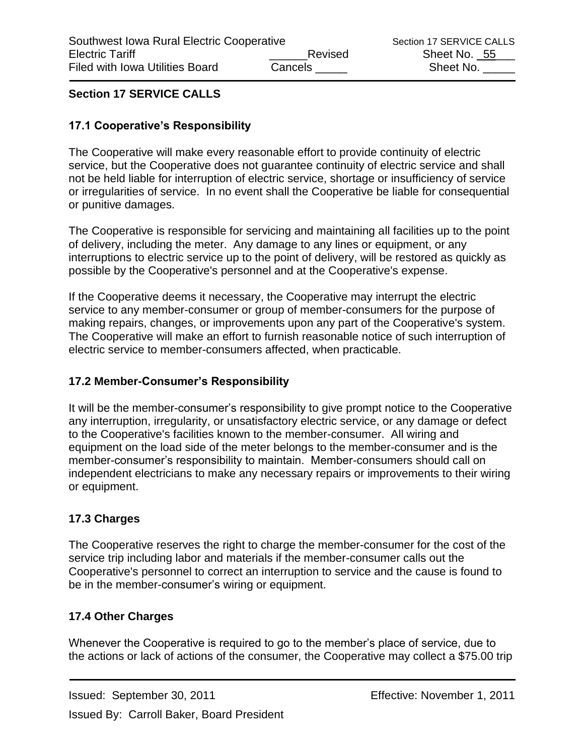### **Section 17 SERVICE CALLS**

## **17.1 Cooperative's Responsibility**

The Cooperative will make every reasonable effort to provide continuity of electric service, but the Cooperative does not guarantee continuity of electric service and shall not be held liable for interruption of electric service, shortage or insufficiency of service or irregularities of service. In no event shall the Cooperative be liable for consequential or punitive damages.

The Cooperative is responsible for servicing and maintaining all facilities up to the point of delivery, including the meter. Any damage to any lines or equipment, or any interruptions to electric service up to the point of delivery, will be restored as quickly as possible by the Cooperative's personnel and at the Cooperative's expense.

If the Cooperative deems it necessary, the Cooperative may interrupt the electric service to any member-consumer or group of member-consumers for the purpose of making repairs, changes, or improvements upon any part of the Cooperative's system. The Cooperative will make an effort to furnish reasonable notice of such interruption of electric service to member-consumers affected, when practicable.

## **17.2 Member-Consumer's Responsibility**

It will be the member-consumer's responsibility to give prompt notice to the Cooperative any interruption, irregularity, or unsatisfactory electric service, or any damage or defect to the Cooperative's facilities known to the member-consumer. All wiring and equipment on the load side of the meter belongs to the member-consumer and is the member-consumer's responsibility to maintain. Member-consumers should call on independent electricians to make any necessary repairs or improvements to their wiring or equipment.

## **17.3 Charges**

The Cooperative reserves the right to charge the member-consumer for the cost of the service trip including labor and materials if the member-consumer calls out the Cooperative's personnel to correct an interruption to service and the cause is found to be in the member-consumer's wiring or equipment.

### **17.4 Other Charges**

Whenever the Cooperative is required to go to the member's place of service, due to the actions or lack of actions of the consumer, the Cooperative may collect a \$75.00 trip

Issued: September 30, 2011 Effective: November 1, 2011 Issued By: Carroll Baker, Board President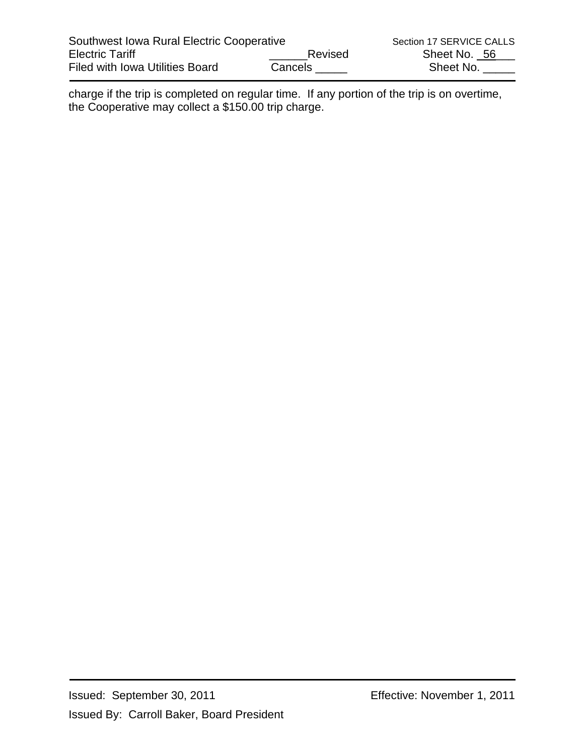| Southwest Iowa Rural Electric Cooperative |         | Section 17 SERVICE CALLS |
|-------------------------------------------|---------|--------------------------|
| <b>Electric Tariff</b>                    | Revised | Sheet No. 56             |
| Filed with Iowa Utilities Board           | Cancels | Sheet No.                |

charge if the trip is completed on regular time. If any portion of the trip is on overtime, the Cooperative may collect a \$150.00 trip charge.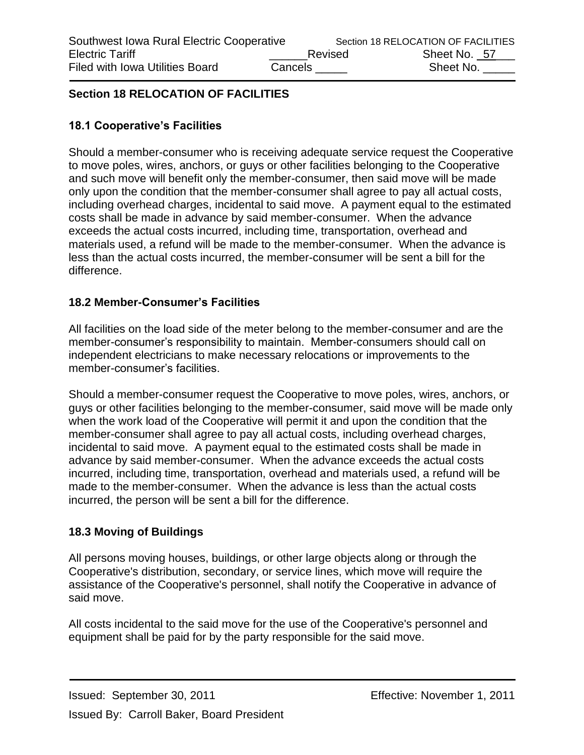## **Section 18 RELOCATION OF FACILITIES**

## **18.1 Cooperative's Facilities**

Should a member-consumer who is receiving adequate service request the Cooperative to move poles, wires, anchors, or guys or other facilities belonging to the Cooperative and such move will benefit only the member-consumer, then said move will be made only upon the condition that the member-consumer shall agree to pay all actual costs, including overhead charges, incidental to said move. A payment equal to the estimated costs shall be made in advance by said member-consumer. When the advance exceeds the actual costs incurred, including time, transportation, overhead and materials used, a refund will be made to the member-consumer. When the advance is less than the actual costs incurred, the member-consumer will be sent a bill for the difference.

## **18.2 Member-Consumer's Facilities**

All facilities on the load side of the meter belong to the member-consumer and are the member-consumer's responsibility to maintain. Member-consumers should call on independent electricians to make necessary relocations or improvements to the member-consumer's facilities.

Should a member-consumer request the Cooperative to move poles, wires, anchors, or guys or other facilities belonging to the member-consumer, said move will be made only when the work load of the Cooperative will permit it and upon the condition that the member-consumer shall agree to pay all actual costs, including overhead charges, incidental to said move. A payment equal to the estimated costs shall be made in advance by said member-consumer. When the advance exceeds the actual costs incurred, including time, transportation, overhead and materials used, a refund will be made to the member-consumer. When the advance is less than the actual costs incurred, the person will be sent a bill for the difference.

## **18.3 Moving of Buildings**

All persons moving houses, buildings, or other large objects along or through the Cooperative's distribution, secondary, or service lines, which move will require the assistance of the Cooperative's personnel, shall notify the Cooperative in advance of said move.

All costs incidental to the said move for the use of the Cooperative's personnel and equipment shall be paid for by the party responsible for the said move.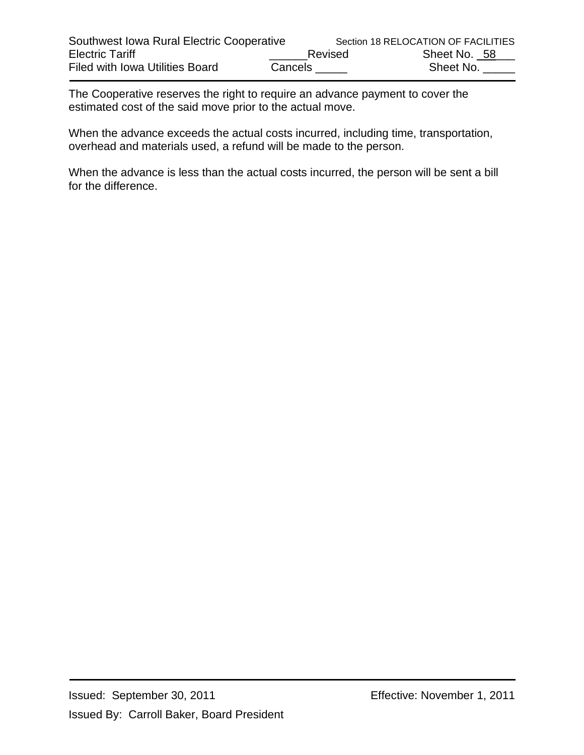The Cooperative reserves the right to require an advance payment to cover the estimated cost of the said move prior to the actual move.

When the advance exceeds the actual costs incurred, including time, transportation, overhead and materials used, a refund will be made to the person.

When the advance is less than the actual costs incurred, the person will be sent a bill for the difference.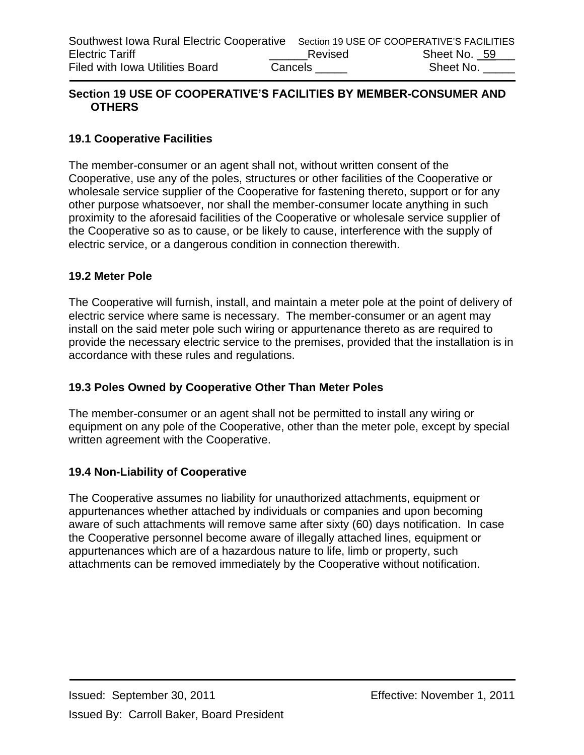### **Section 19 USE OF COOPERATIVE'S FACILITIES BY MEMBER-CONSUMER AND OTHERS**

## **19.1 Cooperative Facilities**

The member-consumer or an agent shall not, without written consent of the Cooperative, use any of the poles, structures or other facilities of the Cooperative or wholesale service supplier of the Cooperative for fastening thereto, support or for any other purpose whatsoever, nor shall the member-consumer locate anything in such proximity to the aforesaid facilities of the Cooperative or wholesale service supplier of the Cooperative so as to cause, or be likely to cause, interference with the supply of electric service, or a dangerous condition in connection therewith.

### **19.2 Meter Pole**

The Cooperative will furnish, install, and maintain a meter pole at the point of delivery of electric service where same is necessary. The member-consumer or an agent may install on the said meter pole such wiring or appurtenance thereto as are required to provide the necessary electric service to the premises, provided that the installation is in accordance with these rules and regulations.

## **19.3 Poles Owned by Cooperative Other Than Meter Poles**

The member-consumer or an agent shall not be permitted to install any wiring or equipment on any pole of the Cooperative, other than the meter pole, except by special written agreement with the Cooperative.

## **19.4 Non-Liability of Cooperative**

The Cooperative assumes no liability for unauthorized attachments, equipment or appurtenances whether attached by individuals or companies and upon becoming aware of such attachments will remove same after sixty (60) days notification. In case the Cooperative personnel become aware of illegally attached lines, equipment or appurtenances which are of a hazardous nature to life, limb or property, such attachments can be removed immediately by the Cooperative without notification.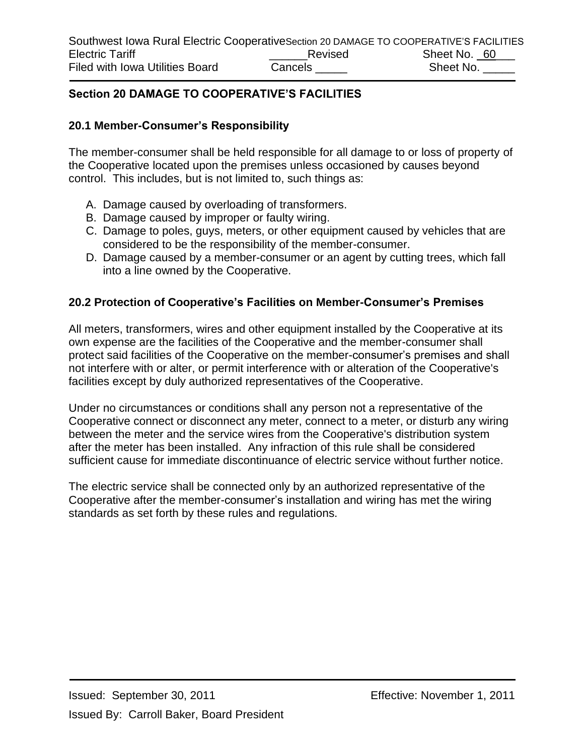## **Section 20 DAMAGE TO COOPERATIVE'S FACILITIES**

## **20.1 Member-Consumer's Responsibility**

The member-consumer shall be held responsible for all damage to or loss of property of the Cooperative located upon the premises unless occasioned by causes beyond control. This includes, but is not limited to, such things as:

- A. Damage caused by overloading of transformers.
- B. Damage caused by improper or faulty wiring.
- C. Damage to poles, guys, meters, or other equipment caused by vehicles that are considered to be the responsibility of the member-consumer.
- D. Damage caused by a member-consumer or an agent by cutting trees, which fall into a line owned by the Cooperative.

### **20.2 Protection of Cooperative's Facilities on Member-Consumer's Premises**

All meters, transformers, wires and other equipment installed by the Cooperative at its own expense are the facilities of the Cooperative and the member-consumer shall protect said facilities of the Cooperative on the member-consumer's premises and shall not interfere with or alter, or permit interference with or alteration of the Cooperative's facilities except by duly authorized representatives of the Cooperative.

Under no circumstances or conditions shall any person not a representative of the Cooperative connect or disconnect any meter, connect to a meter, or disturb any wiring between the meter and the service wires from the Cooperative's distribution system after the meter has been installed. Any infraction of this rule shall be considered sufficient cause for immediate discontinuance of electric service without further notice.

The electric service shall be connected only by an authorized representative of the Cooperative after the member-consumer's installation and wiring has met the wiring standards as set forth by these rules and regulations.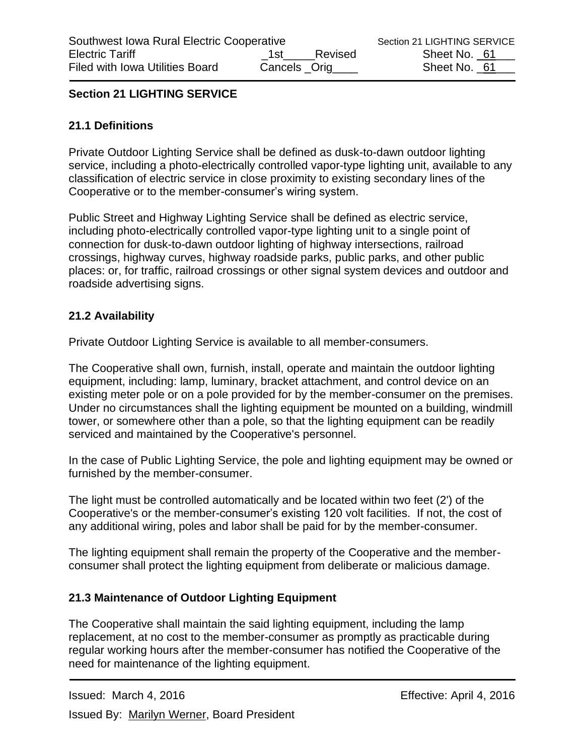### **Section 21 LIGHTING SERVICE**

### **21.1 Definitions**

Private Outdoor Lighting Service shall be defined as dusk-to-dawn outdoor lighting service, including a photo-electrically controlled vapor-type lighting unit, available to any classification of electric service in close proximity to existing secondary lines of the Cooperative or to the member-consumer's wiring system.

Public Street and Highway Lighting Service shall be defined as electric service, including photo-electrically controlled vapor-type lighting unit to a single point of connection for dusk-to-dawn outdoor lighting of highway intersections, railroad crossings, highway curves, highway roadside parks, public parks, and other public places: or, for traffic, railroad crossings or other signal system devices and outdoor and roadside advertising signs.

### **21.2 Availability**

Private Outdoor Lighting Service is available to all member-consumers.

The Cooperative shall own, furnish, install, operate and maintain the outdoor lighting equipment, including: lamp, luminary, bracket attachment, and control device on an existing meter pole or on a pole provided for by the member-consumer on the premises. Under no circumstances shall the lighting equipment be mounted on a building, windmill tower, or somewhere other than a pole, so that the lighting equipment can be readily serviced and maintained by the Cooperative's personnel.

In the case of Public Lighting Service, the pole and lighting equipment may be owned or furnished by the member-consumer.

The light must be controlled automatically and be located within two feet (2') of the Cooperative's or the member-consumer's existing 120 volt facilities. If not, the cost of any additional wiring, poles and labor shall be paid for by the member-consumer.

The lighting equipment shall remain the property of the Cooperative and the memberconsumer shall protect the lighting equipment from deliberate or malicious damage.

### **21.3 Maintenance of Outdoor Lighting Equipment**

The Cooperative shall maintain the said lighting equipment, including the lamp replacement, at no cost to the member-consumer as promptly as practicable during regular working hours after the member-consumer has notified the Cooperative of the need for maintenance of the lighting equipment.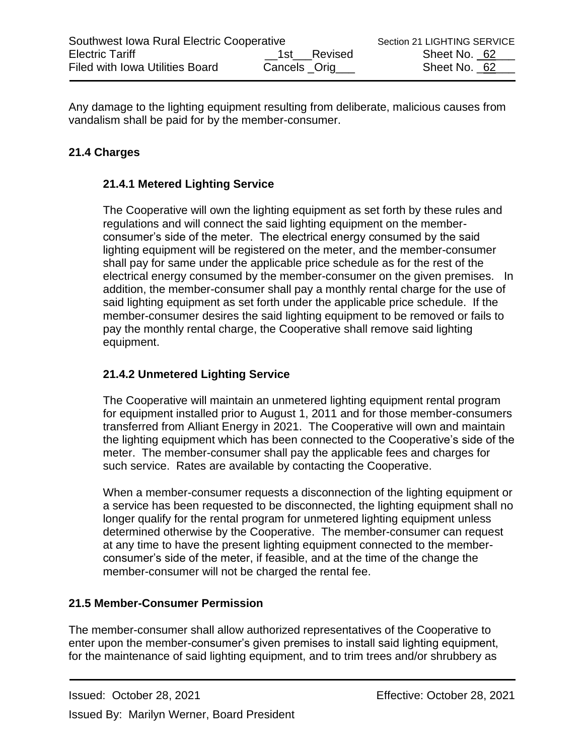| Southwest Iowa Rural Electric Cooperative |                  | Section 21 LIGHTING SERVICE |
|-------------------------------------------|------------------|-----------------------------|
| <b>Electric Tariff</b>                    | 1st Revised      | Sheet No. 62                |
| <b>Filed with Iowa Utilities Board</b>    | Cancels _Orig___ | Sheet No. 62                |

Any damage to the lighting equipment resulting from deliberate, malicious causes from vandalism shall be paid for by the member-consumer.

## **21.4 Charges**

## **21.4.1 Metered Lighting Service**

The Cooperative will own the lighting equipment as set forth by these rules and regulations and will connect the said lighting equipment on the memberconsumer's side of the meter. The electrical energy consumed by the said lighting equipment will be registered on the meter, and the member-consumer shall pay for same under the applicable price schedule as for the rest of the electrical energy consumed by the member-consumer on the given premises. In addition, the member-consumer shall pay a monthly rental charge for the use of said lighting equipment as set forth under the applicable price schedule. If the member-consumer desires the said lighting equipment to be removed or fails to pay the monthly rental charge, the Cooperative shall remove said lighting equipment.

## **21.4.2 Unmetered Lighting Service**

The Cooperative will maintain an unmetered lighting equipment rental program for equipment installed prior to August 1, 2011 and for those member-consumers transferred from Alliant Energy in 2021. The Cooperative will own and maintain the lighting equipment which has been connected to the Cooperative's side of the meter. The member-consumer shall pay the applicable fees and charges for such service. Rates are available by contacting the Cooperative.

When a member-consumer requests a disconnection of the lighting equipment or a service has been requested to be disconnected, the lighting equipment shall no longer qualify for the rental program for unmetered lighting equipment unless determined otherwise by the Cooperative. The member-consumer can request at any time to have the present lighting equipment connected to the memberconsumer's side of the meter, if feasible, and at the time of the change the member-consumer will not be charged the rental fee.

## **21.5 Member-Consumer Permission**

The member-consumer shall allow authorized representatives of the Cooperative to enter upon the member-consumer's given premises to install said lighting equipment, for the maintenance of said lighting equipment, and to trim trees and/or shrubbery as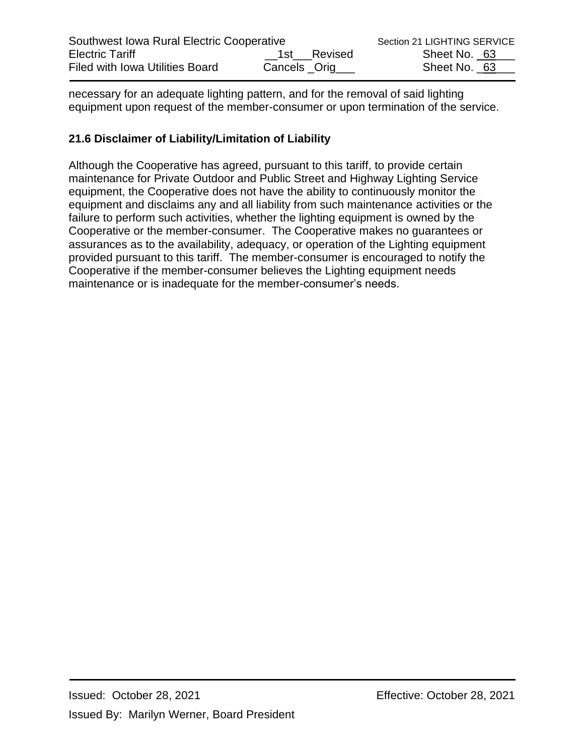| Southwest Iowa Rural Electric Cooperative |                   | Section 21 LIGHTING SERVICE |
|-------------------------------------------|-------------------|-----------------------------|
| <b>Electric Tariff</b>                    | 1st Revised       | Sheet No. 63                |
| <b>Filed with Iowa Utilities Board</b>    | Cancels _Orig____ | Sheet No. 63                |

necessary for an adequate lighting pattern, and for the removal of said lighting equipment upon request of the member-consumer or upon termination of the service.

# **21.6 Disclaimer of Liability/Limitation of Liability**

Although the Cooperative has agreed, pursuant to this tariff, to provide certain maintenance for Private Outdoor and Public Street and Highway Lighting Service equipment, the Cooperative does not have the ability to continuously monitor the equipment and disclaims any and all liability from such maintenance activities or the failure to perform such activities, whether the lighting equipment is owned by the Cooperative or the member-consumer. The Cooperative makes no guarantees or assurances as to the availability, adequacy, or operation of the Lighting equipment provided pursuant to this tariff. The member-consumer is encouraged to notify the Cooperative if the member-consumer believes the Lighting equipment needs maintenance or is inadequate for the member-consumer's needs.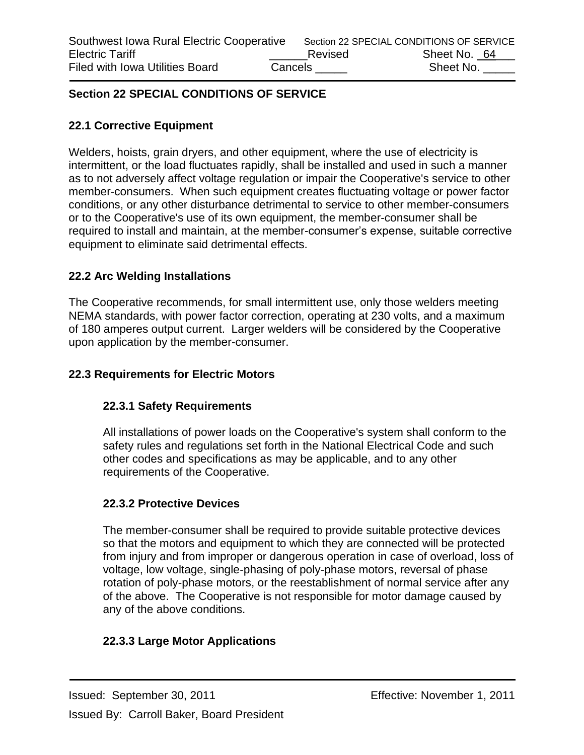## **Section 22 SPECIAL CONDITIONS OF SERVICE**

## **22.1 Corrective Equipment**

Welders, hoists, grain dryers, and other equipment, where the use of electricity is intermittent, or the load fluctuates rapidly, shall be installed and used in such a manner as to not adversely affect voltage regulation or impair the Cooperative's service to other member-consumers. When such equipment creates fluctuating voltage or power factor conditions, or any other disturbance detrimental to service to other member-consumers or to the Cooperative's use of its own equipment, the member-consumer shall be required to install and maintain, at the member-consumer's expense, suitable corrective equipment to eliminate said detrimental effects.

### **22.2 Arc Welding Installations**

The Cooperative recommends, for small intermittent use, only those welders meeting NEMA standards, with power factor correction, operating at 230 volts, and a maximum of 180 amperes output current. Larger welders will be considered by the Cooperative upon application by the member-consumer.

### **22.3 Requirements for Electric Motors**

## **22.3.1 Safety Requirements**

All installations of power loads on the Cooperative's system shall conform to the safety rules and regulations set forth in the National Electrical Code and such other codes and specifications as may be applicable, and to any other requirements of the Cooperative.

### **22.3.2 Protective Devices**

The member-consumer shall be required to provide suitable protective devices so that the motors and equipment to which they are connected will be protected from injury and from improper or dangerous operation in case of overload, loss of voltage, low voltage, single-phasing of poly-phase motors, reversal of phase rotation of poly-phase motors, or the reestablishment of normal service after any of the above. The Cooperative is not responsible for motor damage caused by any of the above conditions.

## **22.3.3 Large Motor Applications**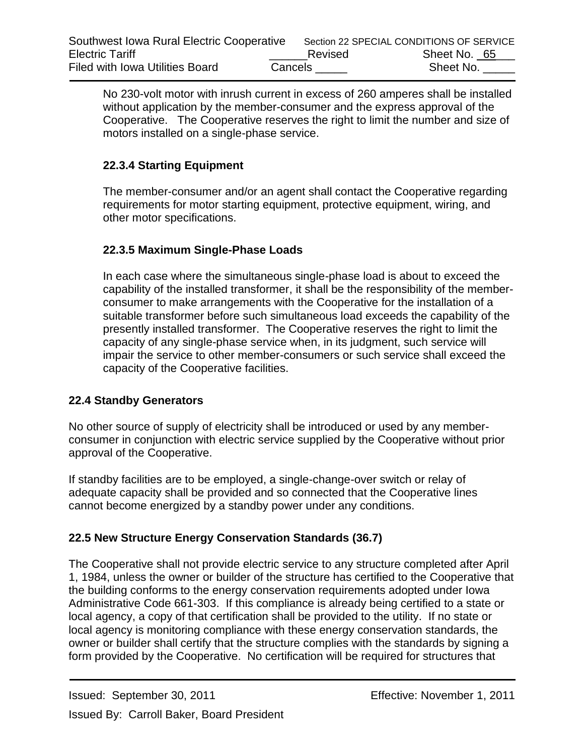| Southwest Iowa Rural Electric Cooperative |         | Section 22 SPECIAL CONDITIONS OF SERVICE |
|-------------------------------------------|---------|------------------------------------------|
| <b>Electric Tariff</b>                    | Revised | Sheet No. 65                             |
| Filed with Iowa Utilities Board           | Cancels | Sheet No.                                |

No 230-volt motor with inrush current in excess of 260 amperes shall be installed without application by the member-consumer and the express approval of the Cooperative. The Cooperative reserves the right to limit the number and size of motors installed on a single-phase service.

# **22.3.4 Starting Equipment**

The member-consumer and/or an agent shall contact the Cooperative regarding requirements for motor starting equipment, protective equipment, wiring, and other motor specifications.

## **22.3.5 Maximum Single-Phase Loads**

In each case where the simultaneous single-phase load is about to exceed the capability of the installed transformer, it shall be the responsibility of the memberconsumer to make arrangements with the Cooperative for the installation of a suitable transformer before such simultaneous load exceeds the capability of the presently installed transformer. The Cooperative reserves the right to limit the capacity of any single-phase service when, in its judgment, such service will impair the service to other member-consumers or such service shall exceed the capacity of the Cooperative facilities.

## **22.4 Standby Generators**

No other source of supply of electricity shall be introduced or used by any memberconsumer in conjunction with electric service supplied by the Cooperative without prior approval of the Cooperative.

If standby facilities are to be employed, a single-change-over switch or relay of adequate capacity shall be provided and so connected that the Cooperative lines cannot become energized by a standby power under any conditions.

# **22.5 New Structure Energy Conservation Standards (36.7)**

The Cooperative shall not provide electric service to any structure completed after April 1, 1984, unless the owner or builder of the structure has certified to the Cooperative that the building conforms to the energy conservation requirements adopted under Iowa Administrative Code 661-303. If this compliance is already being certified to a state or local agency, a copy of that certification shall be provided to the utility. If no state or local agency is monitoring compliance with these energy conservation standards, the owner or builder shall certify that the structure complies with the standards by signing a form provided by the Cooperative. No certification will be required for structures that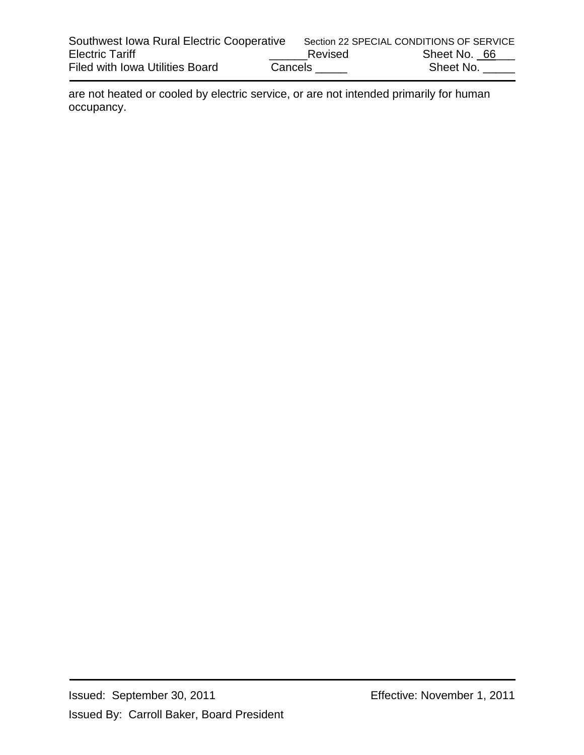| Southwest Iowa Rural Electric Cooperative |         | Section 22 SPECIAL CONDITIONS OF SERVICE |
|-------------------------------------------|---------|------------------------------------------|
| <b>Electric Tariff</b>                    | Revised | Sheet No. 66                             |
| Filed with Iowa Utilities Board           | Cancels | Sheet No.                                |

are not heated or cooled by electric service, or are not intended primarily for human occupancy.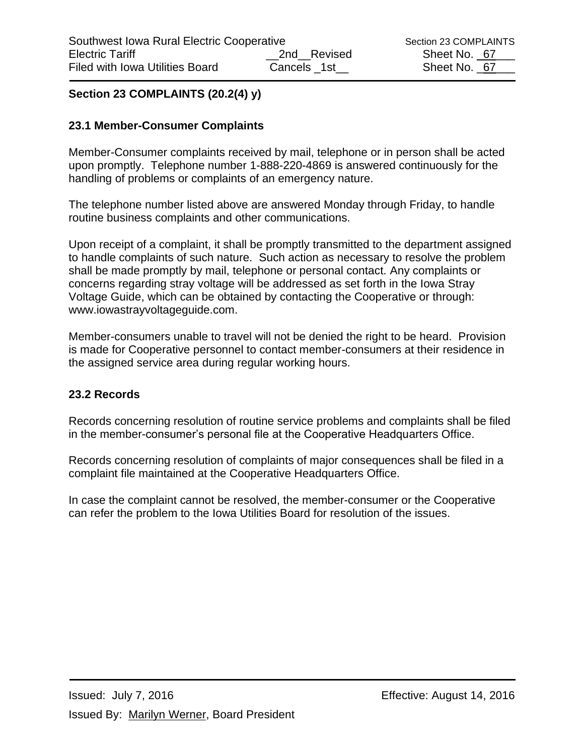### **Section 23 COMPLAINTS (20.2(4) y)**

### **23.1 Member-Consumer Complaints**

Member-Consumer complaints received by mail, telephone or in person shall be acted upon promptly. Telephone number 1-888-220-4869 is answered continuously for the handling of problems or complaints of an emergency nature.

The telephone number listed above are answered Monday through Friday, to handle routine business complaints and other communications.

Upon receipt of a complaint, it shall be promptly transmitted to the department assigned to handle complaints of such nature. Such action as necessary to resolve the problem shall be made promptly by mail, telephone or personal contact. Any complaints or concerns regarding stray voltage will be addressed as set forth in the Iowa Stray Voltage Guide, which can be obtained by contacting the Cooperative or through: www.iowastrayvoltageguide.com.

Member-consumers unable to travel will not be denied the right to be heard. Provision is made for Cooperative personnel to contact member-consumers at their residence in the assigned service area during regular working hours.

### **23.2 Records**

Records concerning resolution of routine service problems and complaints shall be filed in the member-consumer's personal file at the Cooperative Headquarters Office.

Records concerning resolution of complaints of major consequences shall be filed in a complaint file maintained at the Cooperative Headquarters Office.

In case the complaint cannot be resolved, the member-consumer or the Cooperative can refer the problem to the Iowa Utilities Board for resolution of the issues.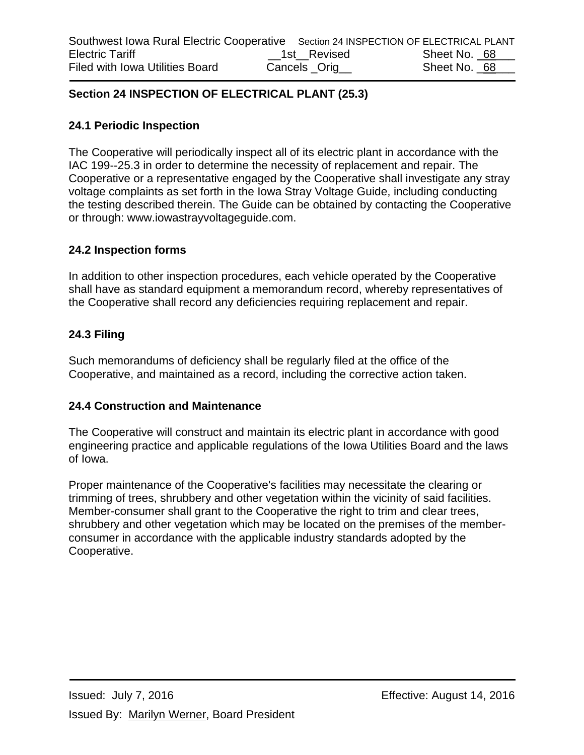## **Section 24 INSPECTION OF ELECTRICAL PLANT (25.3)**

### **24.1 Periodic Inspection**

The Cooperative will periodically inspect all of its electric plant in accordance with the IAC 199--25.3 in order to determine the necessity of replacement and repair. The Cooperative or a representative engaged by the Cooperative shall investigate any stray voltage complaints as set forth in the Iowa Stray Voltage Guide, including conducting the testing described therein. The Guide can be obtained by contacting the Cooperative or through: www.iowastrayvoltageguide.com.

### **24.2 Inspection forms**

In addition to other inspection procedures, each vehicle operated by the Cooperative shall have as standard equipment a memorandum record, whereby representatives of the Cooperative shall record any deficiencies requiring replacement and repair.

## **24.3 Filing**

Such memorandums of deficiency shall be regularly filed at the office of the Cooperative, and maintained as a record, including the corrective action taken.

### **24.4 Construction and Maintenance**

The Cooperative will construct and maintain its electric plant in accordance with good engineering practice and applicable regulations of the Iowa Utilities Board and the laws of Iowa.

Proper maintenance of the Cooperative's facilities may necessitate the clearing or trimming of trees, shrubbery and other vegetation within the vicinity of said facilities. Member-consumer shall grant to the Cooperative the right to trim and clear trees, shrubbery and other vegetation which may be located on the premises of the memberconsumer in accordance with the applicable industry standards adopted by the Cooperative.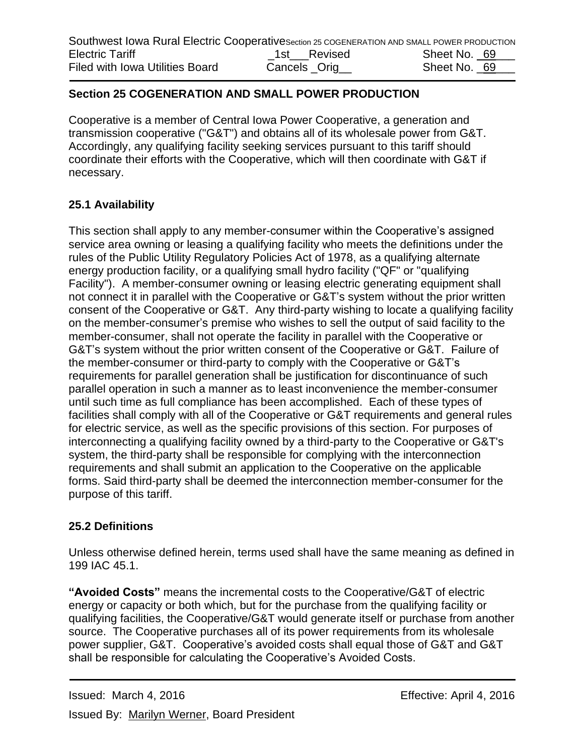| Southwest Iowa Rural Electric Cooperativesection 25 COGENERATION AND SMALL POWER PRODUCTION |                 |              |
|---------------------------------------------------------------------------------------------|-----------------|--------------|
| <b>Electric Tariff</b>                                                                      | 1st Revised     | Sheet No. 69 |
| <b>Filed with Iowa Utilities Board</b>                                                      | Cancels _Orig__ | Sheet No. 69 |

### **Section 25 COGENERATION AND SMALL POWER PRODUCTION**

Cooperative is a member of Central Iowa Power Cooperative, a generation and transmission cooperative ("G&T") and obtains all of its wholesale power from G&T. Accordingly, any qualifying facility seeking services pursuant to this tariff should coordinate their efforts with the Cooperative, which will then coordinate with G&T if necessary.

### **25.1 Availability**

This section shall apply to any member-consumer within the Cooperative's assigned service area owning or leasing a qualifying facility who meets the definitions under the rules of the Public Utility Regulatory Policies Act of 1978, as a qualifying alternate energy production facility, or a qualifying small hydro facility ("QF" or "qualifying Facility"). A member-consumer owning or leasing electric generating equipment shall not connect it in parallel with the Cooperative or G&T's system without the prior written consent of the Cooperative or G&T. Any third-party wishing to locate a qualifying facility on the member-consumer's premise who wishes to sell the output of said facility to the member-consumer, shall not operate the facility in parallel with the Cooperative or G&T's system without the prior written consent of the Cooperative or G&T. Failure of the member-consumer or third-party to comply with the Cooperative or G&T's requirements for parallel generation shall be justification for discontinuance of such parallel operation in such a manner as to least inconvenience the member-consumer until such time as full compliance has been accomplished. Each of these types of facilities shall comply with all of the Cooperative or G&T requirements and general rules for electric service, as well as the specific provisions of this section. For purposes of interconnecting a qualifying facility owned by a third-party to the Cooperative or G&T's system, the third-party shall be responsible for complying with the interconnection requirements and shall submit an application to the Cooperative on the applicable forms. Said third-party shall be deemed the interconnection member-consumer for the purpose of this tariff.

### **25.2 Definitions**

Unless otherwise defined herein, terms used shall have the same meaning as defined in 199 IAC 45.1.

**"Avoided Costs"** means the incremental costs to the Cooperative/G&T of electric energy or capacity or both which, but for the purchase from the qualifying facility or qualifying facilities, the Cooperative/G&T would generate itself or purchase from another source. The Cooperative purchases all of its power requirements from its wholesale power supplier, G&T. Cooperative's avoided costs shall equal those of G&T and G&T shall be responsible for calculating the Cooperative's Avoided Costs.

Issued: March 4, 2016 Effective: April 4, 2016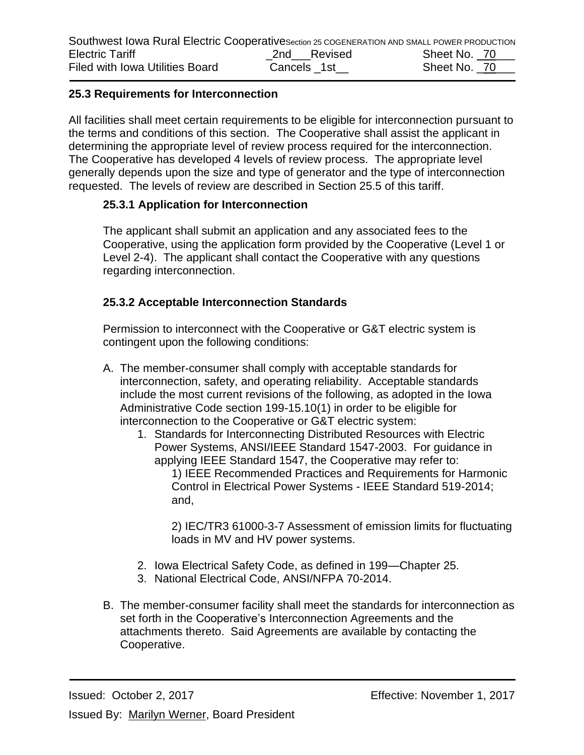### **25.3 Requirements for Interconnection**

All facilities shall meet certain requirements to be eligible for interconnection pursuant to the terms and conditions of this section. The Cooperative shall assist the applicant in determining the appropriate level of review process required for the interconnection. The Cooperative has developed 4 levels of review process. The appropriate level generally depends upon the size and type of generator and the type of interconnection requested. The levels of review are described in Section 25.5 of this tariff.

## **25.3.1 Application for Interconnection**

The applicant shall submit an application and any associated fees to the Cooperative, using the application form provided by the Cooperative (Level 1 or Level 2-4). The applicant shall contact the Cooperative with any questions regarding interconnection.

## **25.3.2 Acceptable Interconnection Standards**

Permission to interconnect with the Cooperative or G&T electric system is contingent upon the following conditions:

- A. The member-consumer shall comply with acceptable standards for interconnection, safety, and operating reliability. Acceptable standards include the most current revisions of the following, as adopted in the Iowa Administrative Code section 199-15.10(1) in order to be eligible for interconnection to the Cooperative or G&T electric system:
	- 1. Standards for Interconnecting Distributed Resources with Electric Power Systems, ANSI/IEEE Standard 1547-2003. For guidance in applying IEEE Standard 1547, the Cooperative may refer to: 1) IEEE Recommended Practices and Requirements for Harmonic Control in Electrical Power Systems - IEEE Standard 519-2014; and,

2) IEC/TR3 61000-3-7 Assessment of emission limits for fluctuating loads in MV and HV power systems.

- 2. Iowa Electrical Safety Code, as defined in 199—Chapter 25.
- 3. National Electrical Code, ANSI/NFPA 70-2014.
- B. The member-consumer facility shall meet the standards for interconnection as set forth in the Cooperative's Interconnection Agreements and the attachments thereto. Said Agreements are available by contacting the Cooperative.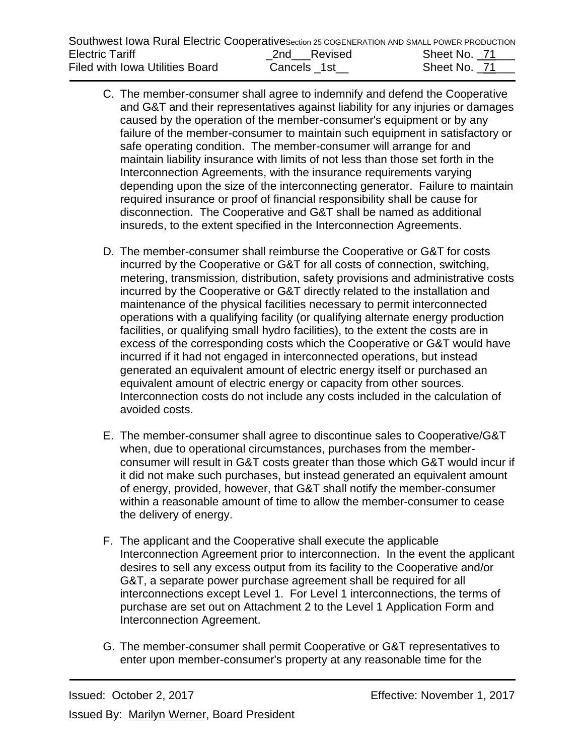| Southwest Iowa Rural Electric Cooperativesection 25 COGENERATION AND SMALL POWER PRODUCTION |             |                                |
|---------------------------------------------------------------------------------------------|-------------|--------------------------------|
| <b>Electric Tariff</b>                                                                      | 2nd Revised | Sheet No. 71                   |
| Filed with Iowa Utilities Board                                                             | Cancels 1st | Sheet No. $71$ <sub>____</sub> |

- C. The member-consumer shall agree to indemnify and defend the Cooperative and G&T and their representatives against liability for any injuries or damages caused by the operation of the member-consumer's equipment or by any failure of the member-consumer to maintain such equipment in satisfactory or safe operating condition. The member-consumer will arrange for and maintain liability insurance with limits of not less than those set forth in the Interconnection Agreements, with the insurance requirements varying depending upon the size of the interconnecting generator. Failure to maintain required insurance or proof of financial responsibility shall be cause for disconnection. The Cooperative and G&T shall be named as additional insureds, to the extent specified in the Interconnection Agreements.
- D. The member-consumer shall reimburse the Cooperative or G&T for costs incurred by the Cooperative or G&T for all costs of connection, switching, metering, transmission, distribution, safety provisions and administrative costs incurred by the Cooperative or G&T directly related to the installation and maintenance of the physical facilities necessary to permit interconnected operations with a qualifying facility (or qualifying alternate energy production facilities, or qualifying small hydro facilities), to the extent the costs are in excess of the corresponding costs which the Cooperative or G&T would have incurred if it had not engaged in interconnected operations, but instead generated an equivalent amount of electric energy itself or purchased an equivalent amount of electric energy or capacity from other sources. Interconnection costs do not include any costs included in the calculation of avoided costs.
- E. The member-consumer shall agree to discontinue sales to Cooperative/G&T when, due to operational circumstances, purchases from the memberconsumer will result in G&T costs greater than those which G&T would incur if it did not make such purchases, but instead generated an equivalent amount of energy, provided, however, that G&T shall notify the member-consumer within a reasonable amount of time to allow the member-consumer to cease the delivery of energy.
- F. The applicant and the Cooperative shall execute the applicable Interconnection Agreement prior to interconnection. In the event the applicant desires to sell any excess output from its facility to the Cooperative and/or G&T, a separate power purchase agreement shall be required for all interconnections except Level 1. For Level 1 interconnections, the terms of purchase are set out on Attachment 2 to the Level 1 Application Form and Interconnection Agreement.
- G. The member-consumer shall permit Cooperative or G&T representatives to enter upon member-consumer's property at any reasonable time for the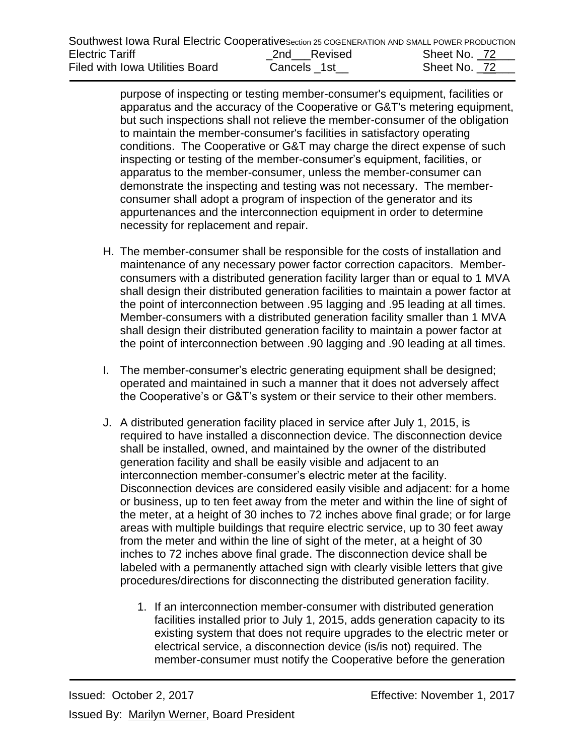| Southwest Iowa Rural Electric Cooperativesection 25 COGENERATION AND SMALL POWER PRODUCTION |             |              |
|---------------------------------------------------------------------------------------------|-------------|--------------|
| <b>Electric Tariff</b>                                                                      | 2nd Revised | Sheet No. 72 |
| <b>Filed with Iowa Utilities Board</b>                                                      | Cancels 1st | Sheet No. 72 |

purpose of inspecting or testing member-consumer's equipment, facilities or apparatus and the accuracy of the Cooperative or G&T's metering equipment, but such inspections shall not relieve the member-consumer of the obligation to maintain the member-consumer's facilities in satisfactory operating conditions. The Cooperative or G&T may charge the direct expense of such inspecting or testing of the member-consumer's equipment, facilities, or apparatus to the member-consumer, unless the member-consumer can demonstrate the inspecting and testing was not necessary. The memberconsumer shall adopt a program of inspection of the generator and its appurtenances and the interconnection equipment in order to determine necessity for replacement and repair.

- H. The member-consumer shall be responsible for the costs of installation and maintenance of any necessary power factor correction capacitors. Memberconsumers with a distributed generation facility larger than or equal to 1 MVA shall design their distributed generation facilities to maintain a power factor at the point of interconnection between .95 lagging and .95 leading at all times. Member-consumers with a distributed generation facility smaller than 1 MVA shall design their distributed generation facility to maintain a power factor at the point of interconnection between .90 lagging and .90 leading at all times.
- I. The member-consumer's electric generating equipment shall be designed; operated and maintained in such a manner that it does not adversely affect the Cooperative's or G&T's system or their service to their other members.
- J. A distributed generation facility placed in service after July 1, 2015, is required to have installed a disconnection device. The disconnection device shall be installed, owned, and maintained by the owner of the distributed generation facility and shall be easily visible and adjacent to an interconnection member-consumer's electric meter at the facility. Disconnection devices are considered easily visible and adjacent: for a home or business, up to ten feet away from the meter and within the line of sight of the meter, at a height of 30 inches to 72 inches above final grade; or for large areas with multiple buildings that require electric service, up to 30 feet away from the meter and within the line of sight of the meter, at a height of 30 inches to 72 inches above final grade. The disconnection device shall be labeled with a permanently attached sign with clearly visible letters that give procedures/directions for disconnecting the distributed generation facility.
	- 1. If an interconnection member-consumer with distributed generation facilities installed prior to July 1, 2015, adds generation capacity to its existing system that does not require upgrades to the electric meter or electrical service, a disconnection device (is/is not) required. The member-consumer must notify the Cooperative before the generation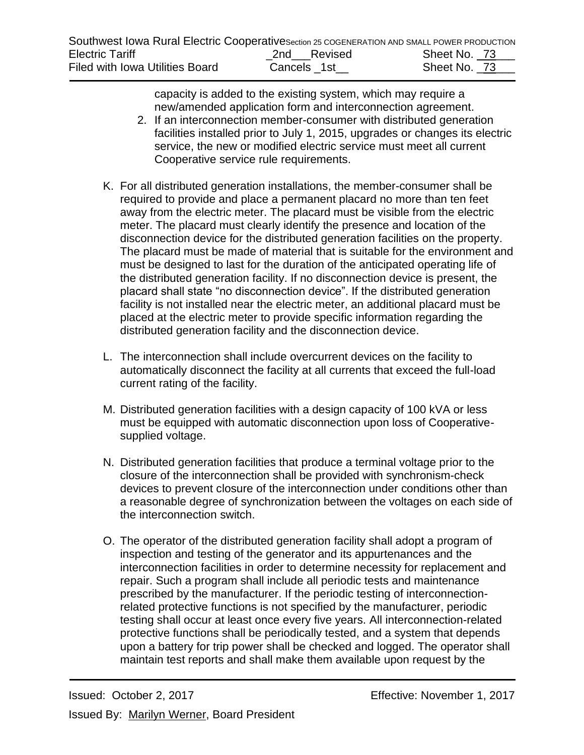| Southwest Iowa Rural Electric Cooperativesection 25 COGENERATION AND SMALL POWER PRODUCTION |             |             |                |  |
|---------------------------------------------------------------------------------------------|-------------|-------------|----------------|--|
| <b>Electric Tariff</b>                                                                      |             | 2nd Revised | Sheet No. 73   |  |
| Filed with Iowa Utilities Board                                                             | Cancels 1st |             | Sheet No. _73_ |  |

capacity is added to the existing system, which may require a new/amended application form and interconnection agreement.

- 2. If an interconnection member-consumer with distributed generation facilities installed prior to July 1, 2015, upgrades or changes its electric service, the new or modified electric service must meet all current Cooperative service rule requirements.
- K. For all distributed generation installations, the member-consumer shall be required to provide and place a permanent placard no more than ten feet away from the electric meter. The placard must be visible from the electric meter. The placard must clearly identify the presence and location of the disconnection device for the distributed generation facilities on the property. The placard must be made of material that is suitable for the environment and must be designed to last for the duration of the anticipated operating life of the distributed generation facility. If no disconnection device is present, the placard shall state "no disconnection device". If the distributed generation facility is not installed near the electric meter, an additional placard must be placed at the electric meter to provide specific information regarding the distributed generation facility and the disconnection device.
- L. The interconnection shall include overcurrent devices on the facility to automatically disconnect the facility at all currents that exceed the full-load current rating of the facility.
- M. Distributed generation facilities with a design capacity of 100 kVA or less must be equipped with automatic disconnection upon loss of Cooperativesupplied voltage.
- N. Distributed generation facilities that produce a terminal voltage prior to the closure of the interconnection shall be provided with synchronism-check devices to prevent closure of the interconnection under conditions other than a reasonable degree of synchronization between the voltages on each side of the interconnection switch.
- O. The operator of the distributed generation facility shall adopt a program of inspection and testing of the generator and its appurtenances and the interconnection facilities in order to determine necessity for replacement and repair. Such a program shall include all periodic tests and maintenance prescribed by the manufacturer. If the periodic testing of interconnectionrelated protective functions is not specified by the manufacturer, periodic testing shall occur at least once every five years. All interconnection-related protective functions shall be periodically tested, and a system that depends upon a battery for trip power shall be checked and logged. The operator shall maintain test reports and shall make them available upon request by the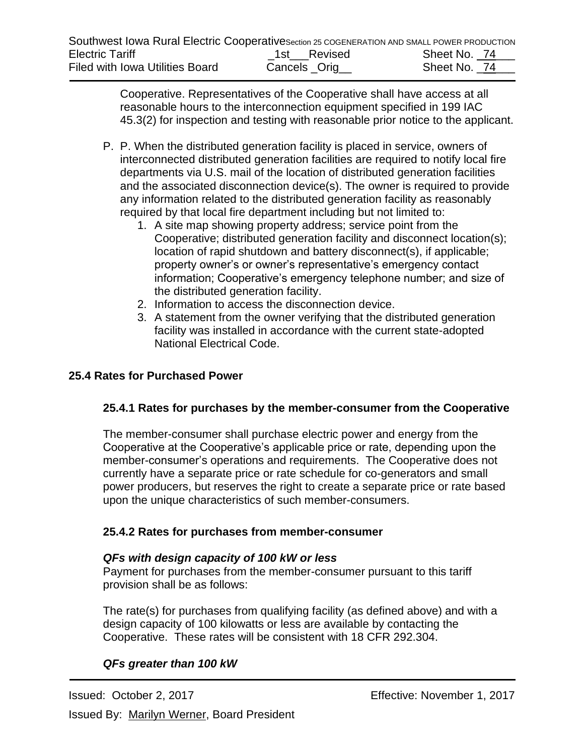Cooperative. Representatives of the Cooperative shall have access at all reasonable hours to the interconnection equipment specified in 199 IAC 45.3(2) for inspection and testing with reasonable prior notice to the applicant.

- P. P. When the distributed generation facility is placed in service, owners of interconnected distributed generation facilities are required to notify local fire departments via U.S. mail of the location of distributed generation facilities and the associated disconnection device(s). The owner is required to provide any information related to the distributed generation facility as reasonably required by that local fire department including but not limited to:
	- 1. A site map showing property address; service point from the Cooperative; distributed generation facility and disconnect location(s); location of rapid shutdown and battery disconnect(s), if applicable; property owner's or owner's representative's emergency contact information; Cooperative's emergency telephone number; and size of the distributed generation facility.
	- 2. Information to access the disconnection device.
	- 3. A statement from the owner verifying that the distributed generation facility was installed in accordance with the current state-adopted National Electrical Code.

# **25.4 Rates for Purchased Power**

# **25.4.1 Rates for purchases by the member-consumer from the Cooperative**

The member-consumer shall purchase electric power and energy from the Cooperative at the Cooperative's applicable price or rate, depending upon the member-consumer's operations and requirements. The Cooperative does not currently have a separate price or rate schedule for co-generators and small power producers, but reserves the right to create a separate price or rate based upon the unique characteristics of such member-consumers.

# **25.4.2 Rates for purchases from member-consumer**

### *QFs with design capacity of 100 kW or less*

Payment for purchases from the member-consumer pursuant to this tariff provision shall be as follows:

The rate(s) for purchases from qualifying facility (as defined above) and with a design capacity of 100 kilowatts or less are available by contacting the Cooperative. These rates will be consistent with 18 CFR 292.304.

# *QFs greater than 100 kW*

Issued: October 2, 2017 Effective: November 1, 2017 Issued By: Marilyn Werner, Board President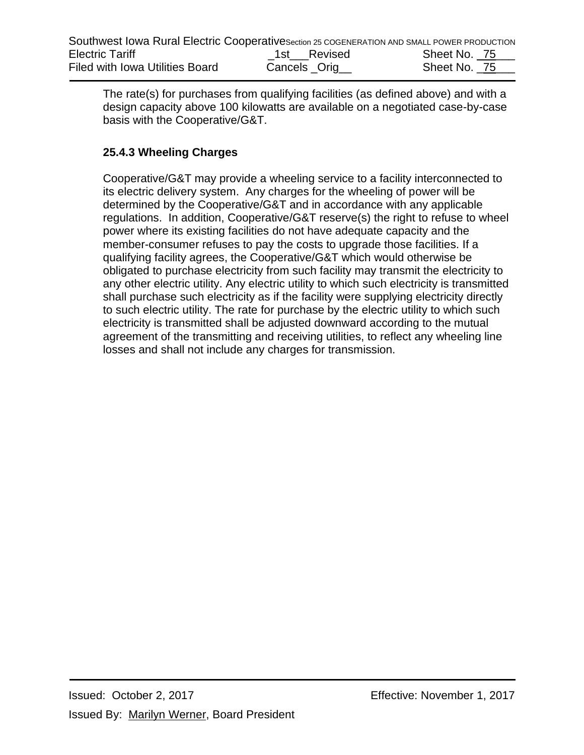| Southwest Iowa Rural Electric Cooperativesection 25 COGENERATION AND SMALL POWER PRODUCTION |                 |              |
|---------------------------------------------------------------------------------------------|-----------------|--------------|
| <b>Electric Tariff</b>                                                                      | 1st Revised     | Sheet No. 75 |
| Filed with Iowa Utilities Board                                                             | Cancels _Orig__ | Sheet No. 75 |

The rate(s) for purchases from qualifying facilities (as defined above) and with a design capacity above 100 kilowatts are available on a negotiated case-by-case basis with the Cooperative/G&T.

# **25.4.3 Wheeling Charges**

Cooperative/G&T may provide a wheeling service to a facility interconnected to its electric delivery system. Any charges for the wheeling of power will be determined by the Cooperative/G&T and in accordance with any applicable regulations. In addition, Cooperative/G&T reserve(s) the right to refuse to wheel power where its existing facilities do not have adequate capacity and the member-consumer refuses to pay the costs to upgrade those facilities. If a qualifying facility agrees, the Cooperative/G&T which would otherwise be obligated to purchase electricity from such facility may transmit the electricity to any other electric utility. Any electric utility to which such electricity is transmitted shall purchase such electricity as if the facility were supplying electricity directly to such electric utility. The rate for purchase by the electric utility to which such electricity is transmitted shall be adjusted downward according to the mutual agreement of the transmitting and receiving utilities, to reflect any wheeling line losses and shall not include any charges for transmission.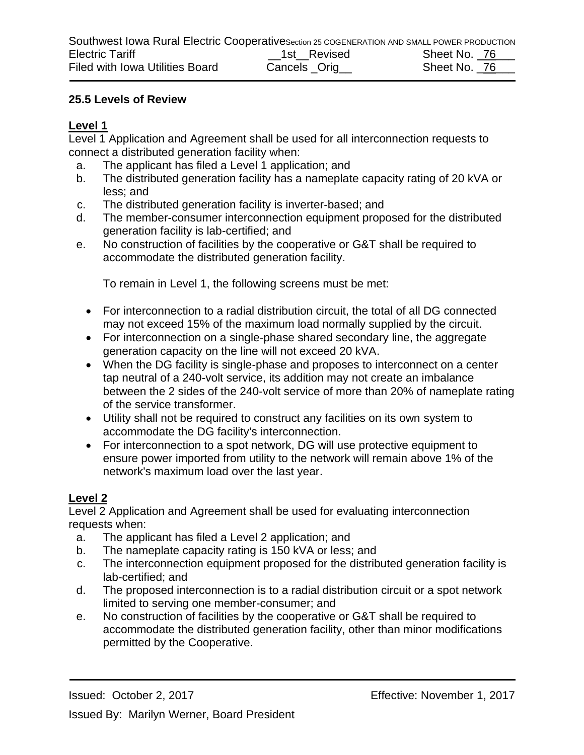# **25.5 Levels of Review**

# **Level 1**

Level 1 Application and Agreement shall be used for all interconnection requests to connect a distributed generation facility when:

- a. The applicant has filed a Level 1 application; and
- b. The distributed generation facility has a nameplate capacity rating of 20 kVA or less; and
- c. The distributed generation facility is inverter-based; and
- d. The member-consumer interconnection equipment proposed for the distributed generation facility is lab-certified; and
- e. No construction of facilities by the cooperative or G&T shall be required to accommodate the distributed generation facility.

To remain in Level 1, the following screens must be met:

- For interconnection to a radial distribution circuit, the total of all DG connected may not exceed 15% of the maximum load normally supplied by the circuit.
- For interconnection on a single-phase shared secondary line, the aggregate generation capacity on the line will not exceed 20 kVA.
- When the DG facility is single-phase and proposes to interconnect on a center tap neutral of a 240-volt service, its addition may not create an imbalance between the 2 sides of the 240-volt service of more than 20% of nameplate rating of the service transformer.
- Utility shall not be required to construct any facilities on its own system to accommodate the DG facility's interconnection.
- For interconnection to a spot network, DG will use protective equipment to ensure power imported from utility to the network will remain above 1% of the network's maximum load over the last year.

# **Level 2**

Level 2 Application and Agreement shall be used for evaluating interconnection requests when:

- a. The applicant has filed a Level 2 application; and
- b. The nameplate capacity rating is 150 kVA or less; and
- c. The interconnection equipment proposed for the distributed generation facility is lab-certified; and
- d. The proposed interconnection is to a radial distribution circuit or a spot network limited to serving one member-consumer; and
- e. No construction of facilities by the cooperative or G&T shall be required to accommodate the distributed generation facility, other than minor modifications permitted by the Cooperative.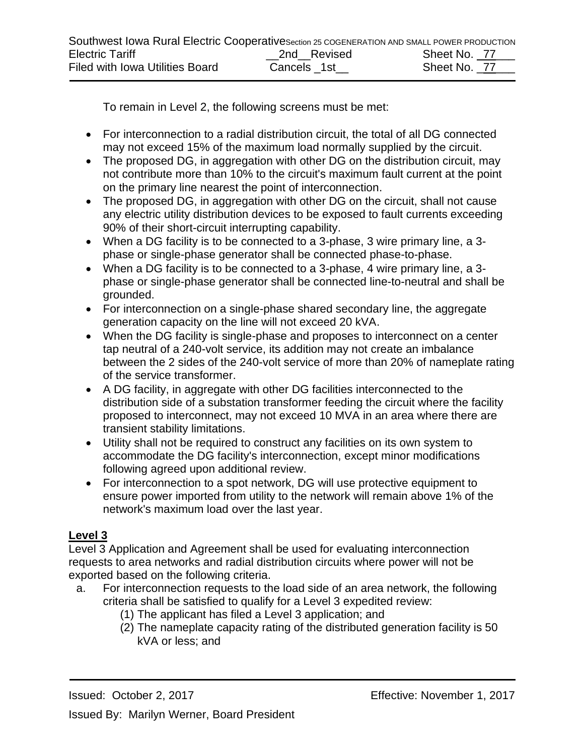To remain in Level 2, the following screens must be met:

- For interconnection to a radial distribution circuit, the total of all DG connected may not exceed 15% of the maximum load normally supplied by the circuit.
- The proposed DG, in aggregation with other DG on the distribution circuit, may not contribute more than 10% to the circuit's maximum fault current at the point on the primary line nearest the point of interconnection.
- The proposed DG, in aggregation with other DG on the circuit, shall not cause any electric utility distribution devices to be exposed to fault currents exceeding 90% of their short-circuit interrupting capability.
- When a DG facility is to be connected to a 3-phase, 3 wire primary line, a 3 phase or single-phase generator shall be connected phase-to-phase.
- When a DG facility is to be connected to a 3-phase, 4 wire primary line, a 3 phase or single-phase generator shall be connected line-to-neutral and shall be grounded.
- For interconnection on a single-phase shared secondary line, the aggregate generation capacity on the line will not exceed 20 kVA.
- When the DG facility is single-phase and proposes to interconnect on a center tap neutral of a 240-volt service, its addition may not create an imbalance between the 2 sides of the 240-volt service of more than 20% of nameplate rating of the service transformer.
- A DG facility, in aggregate with other DG facilities interconnected to the distribution side of a substation transformer feeding the circuit where the facility proposed to interconnect, may not exceed 10 MVA in an area where there are transient stability limitations.
- Utility shall not be required to construct any facilities on its own system to accommodate the DG facility's interconnection, except minor modifications following agreed upon additional review.
- For interconnection to a spot network, DG will use protective equipment to ensure power imported from utility to the network will remain above 1% of the network's maximum load over the last year.

# **Level 3**

Level 3 Application and Agreement shall be used for evaluating interconnection requests to area networks and radial distribution circuits where power will not be exported based on the following criteria.

- a. For interconnection requests to the load side of an area network, the following criteria shall be satisfied to qualify for a Level 3 expedited review:
	- (1) The applicant has filed a Level 3 application; and
	- (2) The nameplate capacity rating of the distributed generation facility is 50 kVA or less; and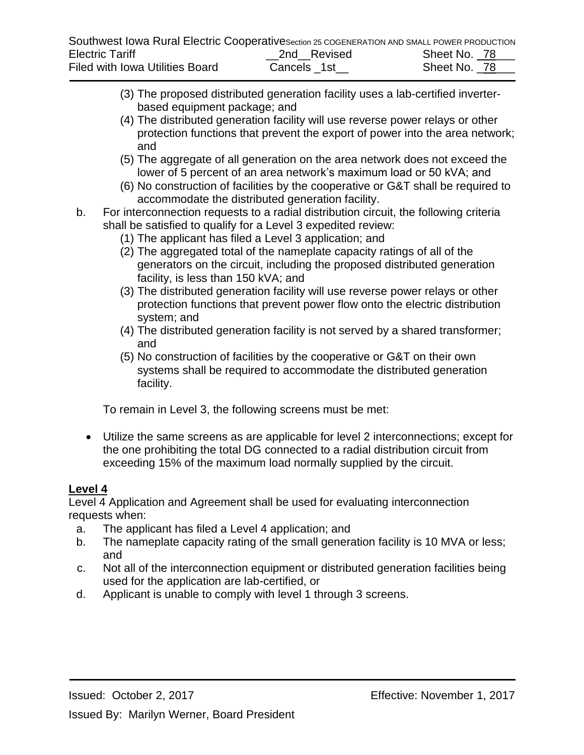| Southwest Iowa Rural Electric Cooperativesection 25 COGENERATION AND SMALL POWER PRODUCTION |             |                 |
|---------------------------------------------------------------------------------------------|-------------|-----------------|
| <b>Electric Tariff</b>                                                                      | 2nd Revised | Sheet No. 78    |
| Filed with Iowa Utilities Board                                                             | Cancels 1st | Sheet No. $-78$ |

- (3) The proposed distributed generation facility uses a lab-certified inverterbased equipment package; and
- (4) The distributed generation facility will use reverse power relays or other protection functions that prevent the export of power into the area network; and
- (5) The aggregate of all generation on the area network does not exceed the lower of 5 percent of an area network's maximum load or 50 kVA; and
- (6) No construction of facilities by the cooperative or G&T shall be required to accommodate the distributed generation facility.
- b. For interconnection requests to a radial distribution circuit, the following criteria shall be satisfied to qualify for a Level 3 expedited review:
	- (1) The applicant has filed a Level 3 application; and
	- (2) The aggregated total of the nameplate capacity ratings of all of the generators on the circuit, including the proposed distributed generation facility, is less than 150 kVA; and
	- (3) The distributed generation facility will use reverse power relays or other protection functions that prevent power flow onto the electric distribution system; and
	- (4) The distributed generation facility is not served by a shared transformer; and
	- (5) No construction of facilities by the cooperative or G&T on their own systems shall be required to accommodate the distributed generation facility.

To remain in Level 3, the following screens must be met:

• Utilize the same screens as are applicable for level 2 interconnections; except for the one prohibiting the total DG connected to a radial distribution circuit from exceeding 15% of the maximum load normally supplied by the circuit.

# **Level 4**

Level 4 Application and Agreement shall be used for evaluating interconnection requests when:

- a. The applicant has filed a Level 4 application; and
- b. The nameplate capacity rating of the small generation facility is 10 MVA or less; and
- c. Not all of the interconnection equipment or distributed generation facilities being used for the application are lab-certified, or
- d. Applicant is unable to comply with level 1 through 3 screens.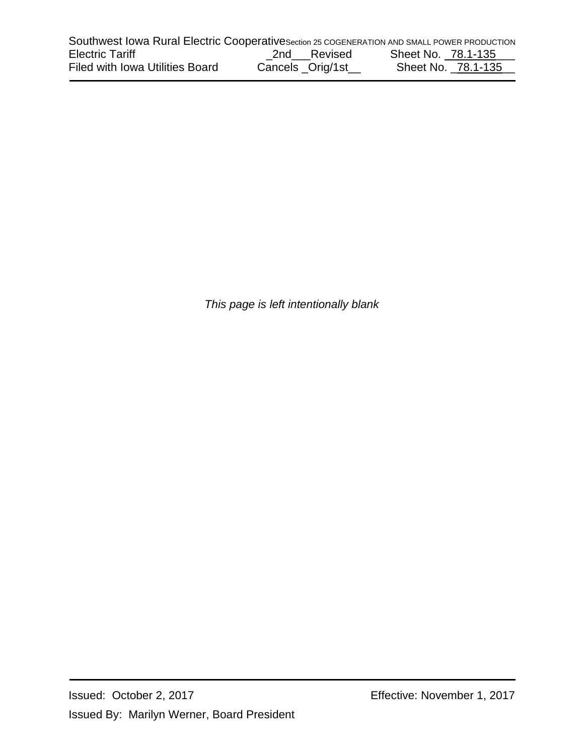| Southwest Iowa Rural Electric Cooperativesection 25 COGENERATION AND SMALL POWER PRODUCTION |                    |                    |                      |
|---------------------------------------------------------------------------------------------|--------------------|--------------------|----------------------|
| <b>Electric Tariff</b>                                                                      | 2nd Revised        | Sheet No. 78.1-135 |                      |
| <b>Filed with Iowa Utilities Board</b>                                                      | Cancels _Orig/1st_ |                    | Sheet No. _78.1-135_ |

*This page is left intentionally blank*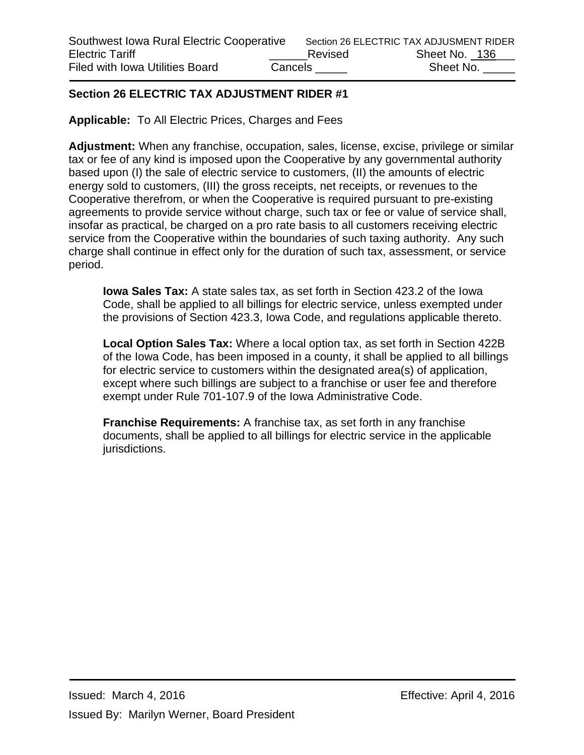# **Section 26 ELECTRIC TAX ADJUSTMENT RIDER #1**

**Applicable:** To All Electric Prices, Charges and Fees

**Adjustment:** When any franchise, occupation, sales, license, excise, privilege or similar tax or fee of any kind is imposed upon the Cooperative by any governmental authority based upon (I) the sale of electric service to customers, (II) the amounts of electric energy sold to customers, (III) the gross receipts, net receipts, or revenues to the Cooperative therefrom, or when the Cooperative is required pursuant to pre-existing agreements to provide service without charge, such tax or fee or value of service shall, insofar as practical, be charged on a pro rate basis to all customers receiving electric service from the Cooperative within the boundaries of such taxing authority. Any such charge shall continue in effect only for the duration of such tax, assessment, or service period.

**Iowa Sales Tax:** A state sales tax, as set forth in Section 423.2 of the Iowa Code, shall be applied to all billings for electric service, unless exempted under the provisions of Section 423.3, Iowa Code, and regulations applicable thereto.

**Local Option Sales Tax:** Where a local option tax, as set forth in Section 422B of the Iowa Code, has been imposed in a county, it shall be applied to all billings for electric service to customers within the designated area(s) of application, except where such billings are subject to a franchise or user fee and therefore exempt under Rule 701-107.9 of the Iowa Administrative Code.

**Franchise Requirements:** A franchise tax, as set forth in any franchise documents, shall be applied to all billings for electric service in the applicable jurisdictions.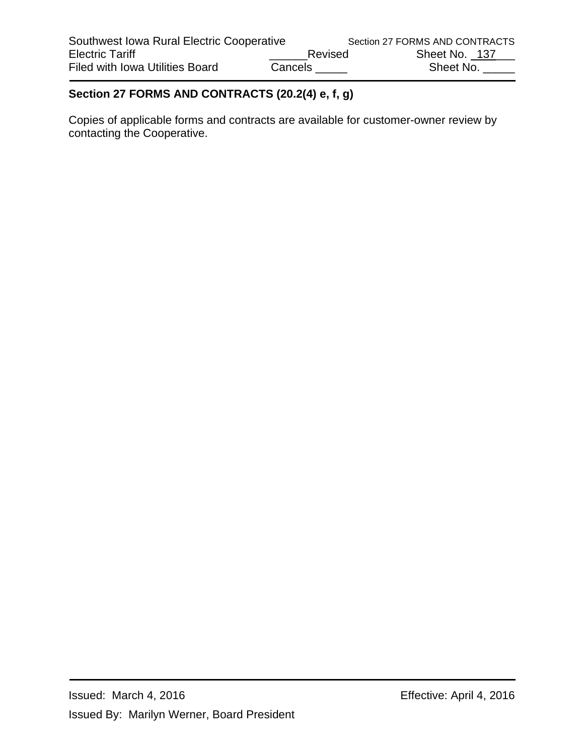# **Section 27 FORMS AND CONTRACTS (20.2(4) e, f, g)**

Copies of applicable forms and contracts are available for customer-owner review by contacting the Cooperative.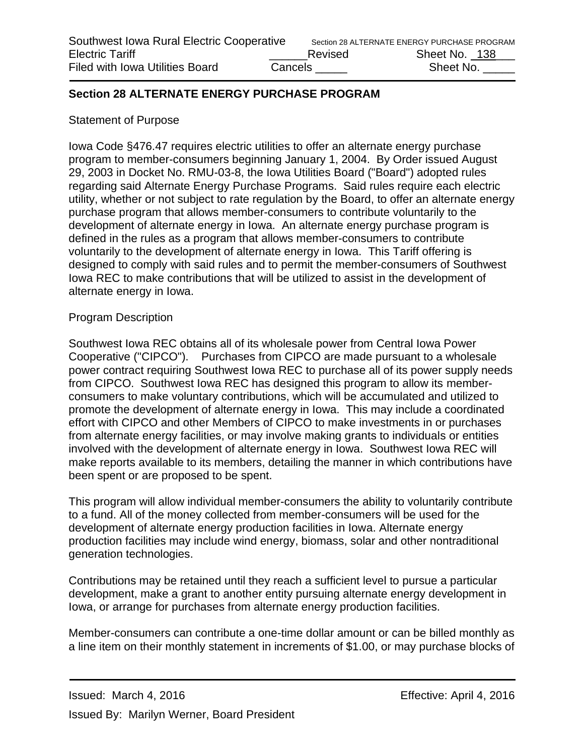## **Section 28 ALTERNATE ENERGY PURCHASE PROGRAM**

#### Statement of Purpose

Iowa Code §476.47 requires electric utilities to offer an alternate energy purchase program to member-consumers beginning January 1, 2004. By Order issued August 29, 2003 in Docket No. RMU-03-8, the Iowa Utilities Board ("Board") adopted rules regarding said Alternate Energy Purchase Programs. Said rules require each electric utility, whether or not subject to rate regulation by the Board, to offer an alternate energy purchase program that allows member-consumers to contribute voluntarily to the development of alternate energy in Iowa. An alternate energy purchase program is defined in the rules as a program that allows member-consumers to contribute voluntarily to the development of alternate energy in Iowa. This Tariff offering is designed to comply with said rules and to permit the member-consumers of Southwest Iowa REC to make contributions that will be utilized to assist in the development of alternate energy in Iowa.

#### Program Description

Southwest Iowa REC obtains all of its wholesale power from Central Iowa Power Cooperative ("CIPCO"). Purchases from CIPCO are made pursuant to a wholesale power contract requiring Southwest Iowa REC to purchase all of its power supply needs from CIPCO. Southwest Iowa REC has designed this program to allow its memberconsumers to make voluntary contributions, which will be accumulated and utilized to promote the development of alternate energy in Iowa. This may include a coordinated effort with CIPCO and other Members of CIPCO to make investments in or purchases from alternate energy facilities, or may involve making grants to individuals or entities involved with the development of alternate energy in Iowa. Southwest Iowa REC will make reports available to its members, detailing the manner in which contributions have been spent or are proposed to be spent.

This program will allow individual member-consumers the ability to voluntarily contribute to a fund. All of the money collected from member-consumers will be used for the development of alternate energy production facilities in Iowa. Alternate energy production facilities may include wind energy, biomass, solar and other nontraditional generation technologies.

Contributions may be retained until they reach a sufficient level to pursue a particular development, make a grant to another entity pursuing alternate energy development in Iowa, or arrange for purchases from alternate energy production facilities.

Member-consumers can contribute a one-time dollar amount or can be billed monthly as a line item on their monthly statement in increments of \$1.00, or may purchase blocks of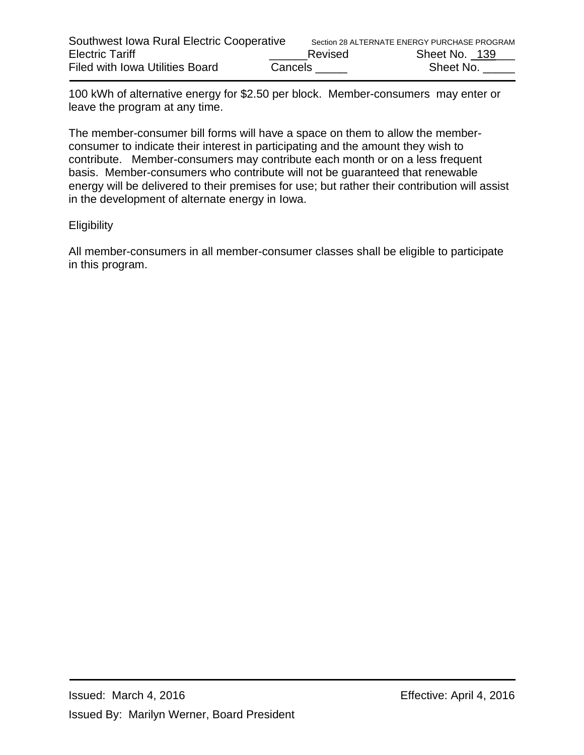| Southwest Iowa Rural Electric Cooperative |         | Section 28 ALTERNATE ENERGY PURCHASE PROGRAM |
|-------------------------------------------|---------|----------------------------------------------|
| <b>Electric Tariff</b>                    | Revised | Sheet No. 139                                |
| Filed with Iowa Utilities Board           | Cancels | Sheet No.                                    |

100 kWh of alternative energy for \$2.50 per block. Member-consumers may enter or leave the program at any time.

The member-consumer bill forms will have a space on them to allow the memberconsumer to indicate their interest in participating and the amount they wish to contribute. Member-consumers may contribute each month or on a less frequent basis. Member-consumers who contribute will not be guaranteed that renewable energy will be delivered to their premises for use; but rather their contribution will assist in the development of alternate energy in Iowa.

## **Eligibility**

All member-consumers in all member-consumer classes shall be eligible to participate in this program.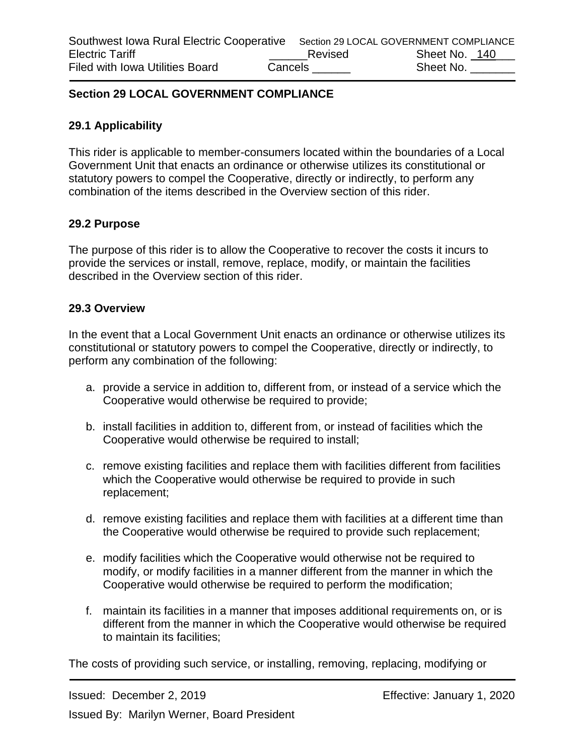## **Section 29 LOCAL GOVERNMENT COMPLIANCE**

## **29.1 Applicability**

This rider is applicable to member-consumers located within the boundaries of a Local Government Unit that enacts an ordinance or otherwise utilizes its constitutional or statutory powers to compel the Cooperative, directly or indirectly, to perform any combination of the items described in the Overview section of this rider.

### **29.2 Purpose**

The purpose of this rider is to allow the Cooperative to recover the costs it incurs to provide the services or install, remove, replace, modify, or maintain the facilities described in the Overview section of this rider.

## **29.3 Overview**

In the event that a Local Government Unit enacts an ordinance or otherwise utilizes its constitutional or statutory powers to compel the Cooperative, directly or indirectly, to perform any combination of the following:

- a. provide a service in addition to, different from, or instead of a service which the Cooperative would otherwise be required to provide;
- b. install facilities in addition to, different from, or instead of facilities which the Cooperative would otherwise be required to install;
- c. remove existing facilities and replace them with facilities different from facilities which the Cooperative would otherwise be required to provide in such replacement;
- d. remove existing facilities and replace them with facilities at a different time than the Cooperative would otherwise be required to provide such replacement;
- e. modify facilities which the Cooperative would otherwise not be required to modify, or modify facilities in a manner different from the manner in which the Cooperative would otherwise be required to perform the modification;
- f. maintain its facilities in a manner that imposes additional requirements on, or is different from the manner in which the Cooperative would otherwise be required to maintain its facilities;

The costs of providing such service, or installing, removing, replacing, modifying or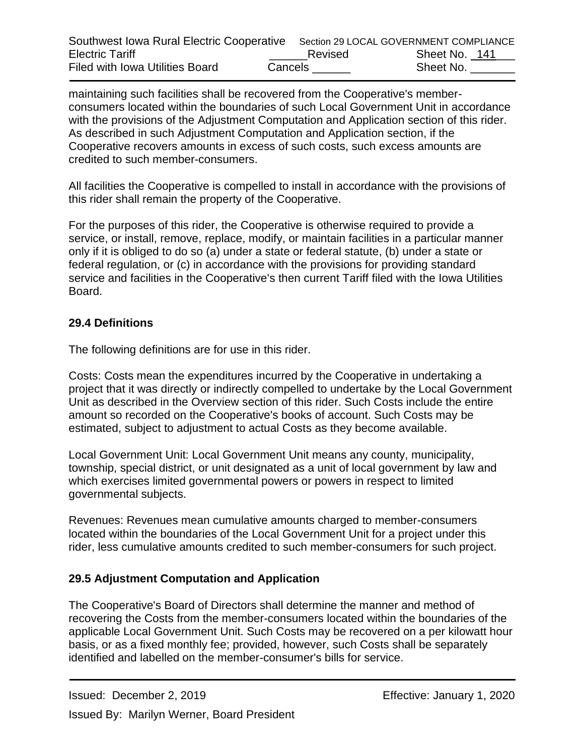| Southwest Iowa Rural Electric Cooperative |         | Section 29 LOCAL GOVERNMENT COMPLIANCE |
|-------------------------------------------|---------|----------------------------------------|
| <b>Electric Tariff</b>                    | Revised | Sheet No. 141                          |
| Filed with Iowa Utilities Board           | Cancels | Sheet No.                              |

maintaining such facilities shall be recovered from the Cooperative's memberconsumers located within the boundaries of such Local Government Unit in accordance with the provisions of the Adjustment Computation and Application section of this rider. As described in such Adjustment Computation and Application section, if the Cooperative recovers amounts in excess of such costs, such excess amounts are credited to such member-consumers.

All facilities the Cooperative is compelled to install in accordance with the provisions of this rider shall remain the property of the Cooperative.

For the purposes of this rider, the Cooperative is otherwise required to provide a service, or install, remove, replace, modify, or maintain facilities in a particular manner only if it is obliged to do so (a) under a state or federal statute, (b) under a state or federal regulation, or (c) in accordance with the provisions for providing standard service and facilities in the Cooperative's then current Tariff filed with the Iowa Utilities Board.

## **29.4 Definitions**

The following definitions are for use in this rider.

Costs: Costs mean the expenditures incurred by the Cooperative in undertaking a project that it was directly or indirectly compelled to undertake by the Local Government Unit as described in the Overview section of this rider. Such Costs include the entire amount so recorded on the Cooperative's books of account. Such Costs may be estimated, subject to adjustment to actual Costs as they become available.

Local Government Unit: Local Government Unit means any county, municipality, township, special district, or unit designated as a unit of local government by law and which exercises limited governmental powers or powers in respect to limited governmental subjects.

Revenues: Revenues mean cumulative amounts charged to member-consumers located within the boundaries of the Local Government Unit for a project under this rider, less cumulative amounts credited to such member-consumers for such project.

# **29.5 Adjustment Computation and Application**

The Cooperative's Board of Directors shall determine the manner and method of recovering the Costs from the member-consumers located within the boundaries of the applicable Local Government Unit. Such Costs may be recovered on a per kilowatt hour basis, or as a fixed monthly fee; provided, however, such Costs shall be separately identified and labelled on the member-consumer's bills for service.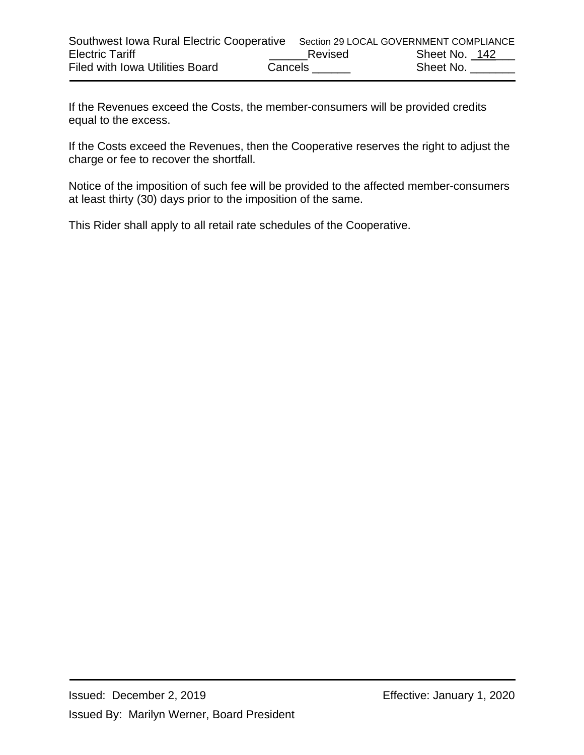If the Revenues exceed the Costs, the member-consumers will be provided credits equal to the excess.

If the Costs exceed the Revenues, then the Cooperative reserves the right to adjust the charge or fee to recover the shortfall.

Notice of the imposition of such fee will be provided to the affected member-consumers at least thirty (30) days prior to the imposition of the same.

This Rider shall apply to all retail rate schedules of the Cooperative.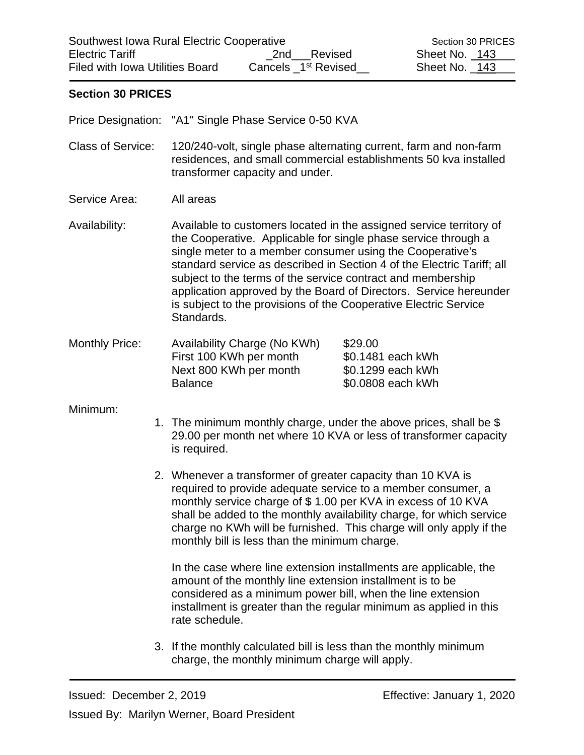### **Section 30 PRICES**

Price Designation: "A1" Single Phase Service 0-50 KVA

Class of Service: 120/240-volt, single phase alternating current, farm and non-farm residences, and small commercial establishments 50 kva installed transformer capacity and under.

- Service Area: All areas
- Availability: Available to customers located in the assigned service territory of the Cooperative. Applicable for single phase service through a single meter to a member consumer using the Cooperative's standard service as described in Section 4 of the Electric Tariff; all subject to the terms of the service contract and membership application approved by the Board of Directors. Service hereunder is subject to the provisions of the Cooperative Electric Service Standards.

| <b>Monthly Price:</b> | Availability Charge (No KWh) | \$29.00           |
|-----------------------|------------------------------|-------------------|
|                       | First 100 KWh per month      | \$0.1481 each kWh |
|                       | Next 800 KWh per month       | \$0.1299 each kWh |
|                       | <b>Balance</b>               | \$0.0808 each kWh |

#### Minimum:

- 1. The minimum monthly charge, under the above prices, shall be \$ 29.00 per month net where 10 KVA or less of transformer capacity is required.
- 2. Whenever a transformer of greater capacity than 10 KVA is required to provide adequate service to a member consumer, a monthly service charge of \$ 1.00 per KVA in excess of 10 KVA shall be added to the monthly availability charge, for which service charge no KWh will be furnished. This charge will only apply if the monthly bill is less than the minimum charge.

In the case where line extension installments are applicable, the amount of the monthly line extension installment is to be considered as a minimum power bill, when the line extension installment is greater than the regular minimum as applied in this rate schedule.

3. If the monthly calculated bill is less than the monthly minimum charge, the monthly minimum charge will apply.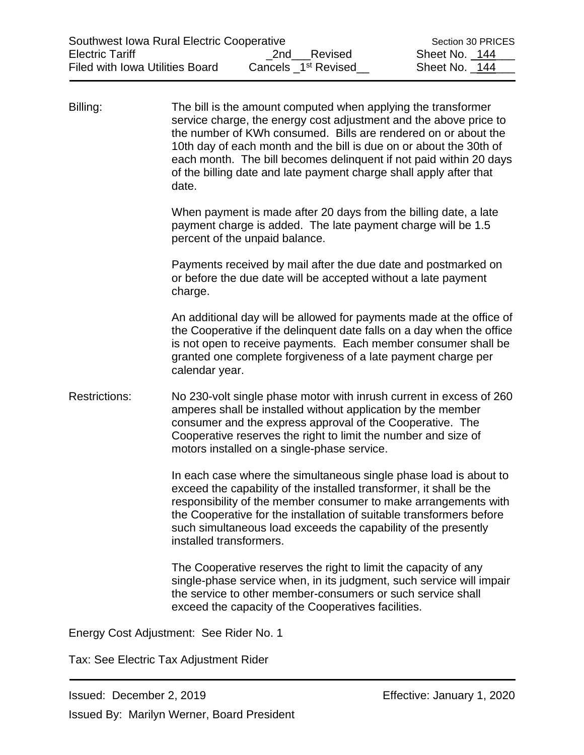Billing: The bill is the amount computed when applying the transformer service charge, the energy cost adjustment and the above price to the number of KWh consumed. Bills are rendered on or about the 10th day of each month and the bill is due on or about the 30th of each month. The bill becomes delinquent if not paid within 20 days of the billing date and late payment charge shall apply after that date.

> When payment is made after 20 days from the billing date, a late payment charge is added. The late payment charge will be 1.5 percent of the unpaid balance.

Payments received by mail after the due date and postmarked on or before the due date will be accepted without a late payment charge.

An additional day will be allowed for payments made at the office of the Cooperative if the delinquent date falls on a day when the office is not open to receive payments. Each member consumer shall be granted one complete forgiveness of a late payment charge per calendar year.

#### Restrictions: No 230-volt single phase motor with inrush current in excess of 260 amperes shall be installed without application by the member consumer and the express approval of the Cooperative. The Cooperative reserves the right to limit the number and size of motors installed on a single-phase service.

In each case where the simultaneous single phase load is about to exceed the capability of the installed transformer, it shall be the responsibility of the member consumer to make arrangements with the Cooperative for the installation of suitable transformers before such simultaneous load exceeds the capability of the presently installed transformers.

The Cooperative reserves the right to limit the capacity of any single-phase service when, in its judgment, such service will impair the service to other member-consumers or such service shall exceed the capacity of the Cooperatives facilities.

Energy Cost Adjustment: See Rider No. 1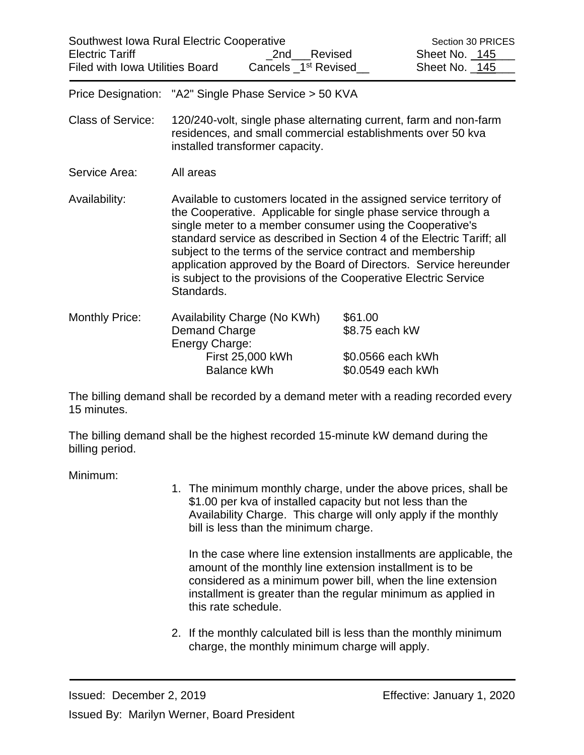| Southwest Iowa Rural Electric Cooperative |                                 | Section 30 PRICES |
|-------------------------------------------|---------------------------------|-------------------|
| <b>Electric Tariff</b>                    | 2nd Revised                     | Sheet No. 145     |
| Filed with Iowa Utilities Board           | Cancels 1 <sup>st</sup> Revised | Sheet No. _145    |

Price Designation: "A2" Single Phase Service > 50 KVA

Class of Service: 120/240-volt, single phase alternating current, farm and non-farm residences, and small commercial establishments over 50 kva installed transformer capacity.

Service Area: All areas

Availability: Available to customers located in the assigned service territory of the Cooperative. Applicable for single phase service through a single meter to a member consumer using the Cooperative's standard service as described in Section 4 of the Electric Tariff; all subject to the terms of the service contract and membership application approved by the Board of Directors. Service hereunder is subject to the provisions of the Cooperative Electric Service Standards.

| Monthly Price: | Availability Charge (No KWh)<br>Demand Charge | \$61.00<br>\$8.75 each kW              |
|----------------|-----------------------------------------------|----------------------------------------|
|                | Energy Charge:                                |                                        |
|                | First 25,000 kWh<br>Balance kWh               | \$0.0566 each kWh<br>\$0.0549 each kWh |

The billing demand shall be recorded by a demand meter with a reading recorded every 15 minutes.

The billing demand shall be the highest recorded 15-minute kW demand during the billing period.

Minimum:

1. The minimum monthly charge, under the above prices, shall be \$1.00 per kva of installed capacity but not less than the Availability Charge. This charge will only apply if the monthly bill is less than the minimum charge.

In the case where line extension installments are applicable, the amount of the monthly line extension installment is to be considered as a minimum power bill, when the line extension installment is greater than the regular minimum as applied in this rate schedule.

2. If the monthly calculated bill is less than the monthly minimum charge, the monthly minimum charge will apply.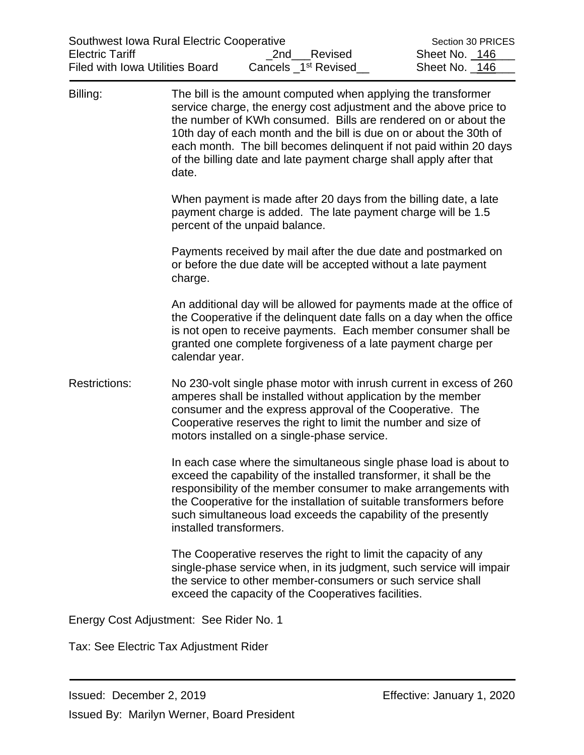| Southwest Iowa Rural Electric Cooperative |                                 | Section 30 PRICES |
|-------------------------------------------|---------------------------------|-------------------|
| <b>Electric Tariff</b>                    | 2nd Revised                     | Sheet No. 146     |
| Filed with Iowa Utilities Board           | Cancels 1 <sup>st</sup> Revised | Sheet No. _146_   |

| Billing:             | The bill is the amount computed when applying the transformer<br>service charge, the energy cost adjustment and the above price to<br>the number of KWh consumed. Bills are rendered on or about the<br>10th day of each month and the bill is due on or about the 30th of<br>each month. The bill becomes delinguent if not paid within 20 days<br>of the billing date and late payment charge shall apply after that<br>date. |
|----------------------|---------------------------------------------------------------------------------------------------------------------------------------------------------------------------------------------------------------------------------------------------------------------------------------------------------------------------------------------------------------------------------------------------------------------------------|
|                      | When payment is made after 20 days from the billing date, a late<br>payment charge is added. The late payment charge will be 1.5<br>percent of the unpaid balance.                                                                                                                                                                                                                                                              |
|                      | Payments received by mail after the due date and postmarked on<br>or before the due date will be accepted without a late payment<br>charge.                                                                                                                                                                                                                                                                                     |
|                      | An additional day will be allowed for payments made at the office of<br>the Cooperative if the delinquent date falls on a day when the office<br>is not open to receive payments. Each member consumer shall be<br>granted one complete forgiveness of a late payment charge per<br>calendar year.                                                                                                                              |
| <b>Restrictions:</b> | No 230-volt single phase motor with inrush current in excess of 260<br>amperes shall be installed without application by the member<br>consumer and the express approval of the Cooperative. The<br>Cooperative reserves the right to limit the number and size of<br>motors installed on a single-phase service.                                                                                                               |
|                      | In each case where the simultaneous single phase load is about to<br>exceed the capability of the installed transformer, it shall be the<br>responsibility of the member consumer to make arrangements with<br>the Cooperative for the installation of suitable transformers before<br>such simultaneous load exceeds the capability of the presently<br>installed transformers.                                                |
|                      | The Cooperative reserves the right to limit the capacity of any<br>single-phase service when, in its judgment, such service will impair<br>the service to other member-consumers or such service shall<br>exceed the capacity of the Cooperatives facilities.                                                                                                                                                                   |
|                      | Energy Cost Adjustment: See Rider No. 1                                                                                                                                                                                                                                                                                                                                                                                         |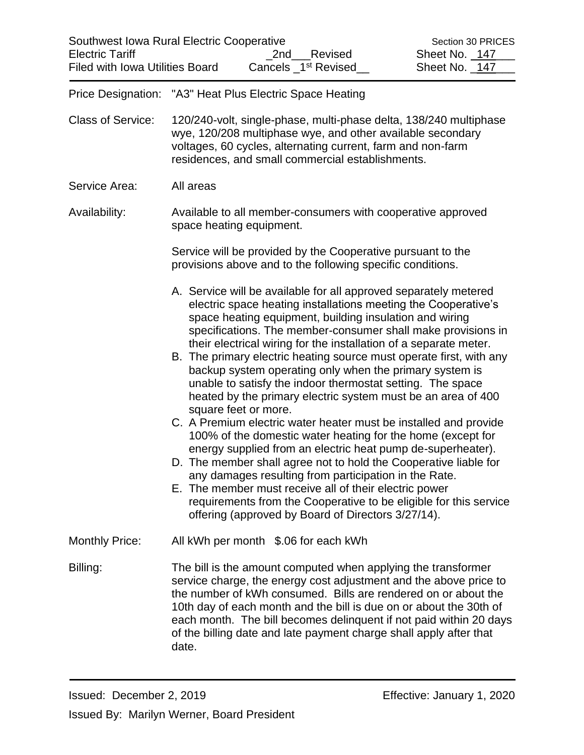| Southwest Iowa Rural Electric Cooperative |                                 | Section 30 PRICES |
|-------------------------------------------|---------------------------------|-------------------|
| Electric Tariff                           | 2nd Revised                     | Sheet No. 147     |
| Filed with Iowa Utilities Board           | Cancels 1 <sup>st</sup> Revised | Sheet No. 147     |
|                                           |                                 |                   |

Price Designation: "A3" Heat Plus Electric Space Heating

Class of Service: 120/240-volt, single-phase, multi-phase delta, 138/240 multiphase wye, 120/208 multiphase wye, and other available secondary voltages, 60 cycles, alternating current, farm and non-farm residences, and small commercial establishments.

Service Area: All areas

Availability: Available to all member-consumers with cooperative approved space heating equipment.

> Service will be provided by the Cooperative pursuant to the provisions above and to the following specific conditions.

- A. Service will be available for all approved separately metered electric space heating installations meeting the Cooperative's space heating equipment, building insulation and wiring specifications. The member-consumer shall make provisions in their electrical wiring for the installation of a separate meter.
- B. The primary electric heating source must operate first, with any backup system operating only when the primary system is unable to satisfy the indoor thermostat setting. The space heated by the primary electric system must be an area of 400 square feet or more.
- C. A Premium electric water heater must be installed and provide 100% of the domestic water heating for the home (except for energy supplied from an electric heat pump de-superheater).
- D. The member shall agree not to hold the Cooperative liable for any damages resulting from participation in the Rate.
- E. The member must receive all of their electric power requirements from the Cooperative to be eligible for this service offering (approved by Board of Directors 3/27/14).
- Monthly Price: All kWh per month \$.06 for each kWh
- Billing: The bill is the amount computed when applying the transformer service charge, the energy cost adjustment and the above price to the number of kWh consumed. Bills are rendered on or about the 10th day of each month and the bill is due on or about the 30th of each month. The bill becomes delinquent if not paid within 20 days of the billing date and late payment charge shall apply after that date.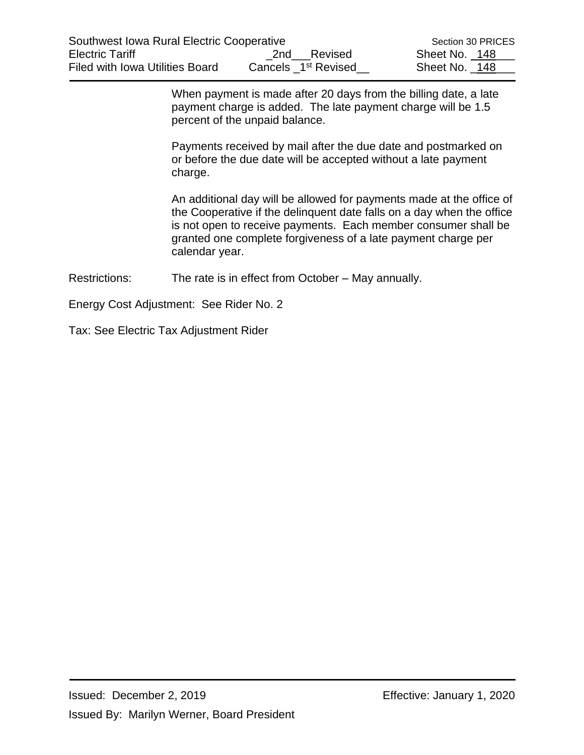| Southwest Iowa Rural Electric Cooperative | Section 30 PRICES               |                 |
|-------------------------------------------|---------------------------------|-----------------|
| <b>Electric Tariff</b>                    | 2nd Revised                     | Sheet No. 148   |
| <b>Filed with Iowa Utilities Board</b>    | Cancels 1 <sup>st</sup> Revised | Sheet No. _148_ |

When payment is made after 20 days from the billing date, a late payment charge is added. The late payment charge will be 1.5 percent of the unpaid balance.

Payments received by mail after the due date and postmarked on or before the due date will be accepted without a late payment charge.

An additional day will be allowed for payments made at the office of the Cooperative if the delinquent date falls on a day when the office is not open to receive payments. Each member consumer shall be granted one complete forgiveness of a late payment charge per calendar year.

Restrictions: The rate is in effect from October – May annually.

Energy Cost Adjustment: See Rider No. 2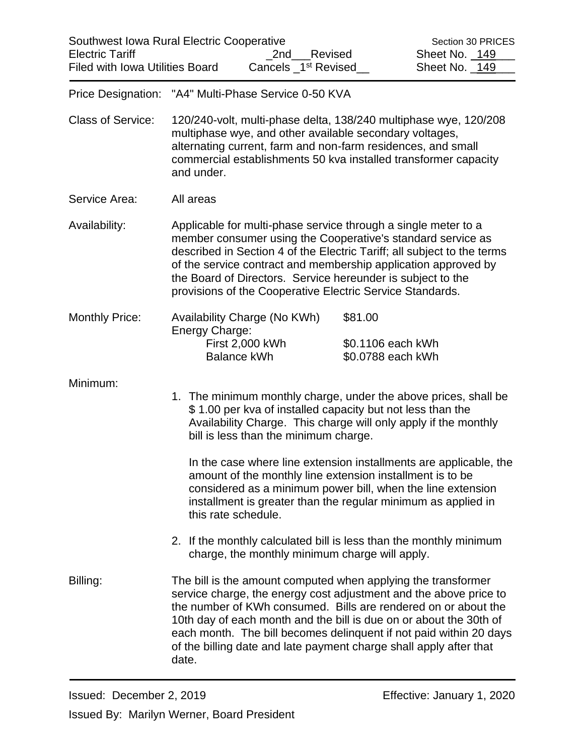| Southwest Iowa Rural Electric Cooperative<br><b>Electric Tariff</b><br><b>Filed with Iowa Utilities Board</b> |                                                                                                                                                                                                                                                                                                                                                                                                                                 | 2nd<br>Cancels _1 <sup>st</sup> Revised | Revised                                                                                                                                                                                                                                                                                                                                                                                         | Sheet No. 149<br>Sheet No. 149 | Section 30 PRICES |
|---------------------------------------------------------------------------------------------------------------|---------------------------------------------------------------------------------------------------------------------------------------------------------------------------------------------------------------------------------------------------------------------------------------------------------------------------------------------------------------------------------------------------------------------------------|-----------------------------------------|-------------------------------------------------------------------------------------------------------------------------------------------------------------------------------------------------------------------------------------------------------------------------------------------------------------------------------------------------------------------------------------------------|--------------------------------|-------------------|
| Price Designation: "A4" Multi-Phase Service 0-50 KVA                                                          |                                                                                                                                                                                                                                                                                                                                                                                                                                 |                                         |                                                                                                                                                                                                                                                                                                                                                                                                 |                                |                   |
| <b>Class of Service:</b>                                                                                      | 120/240-volt, multi-phase delta, 138/240 multiphase wye, 120/208<br>multiphase wye, and other available secondary voltages,<br>alternating current, farm and non-farm residences, and small<br>commercial establishments 50 kva installed transformer capacity<br>and under.                                                                                                                                                    |                                         |                                                                                                                                                                                                                                                                                                                                                                                                 |                                |                   |
| Service Area:                                                                                                 | All areas                                                                                                                                                                                                                                                                                                                                                                                                                       |                                         |                                                                                                                                                                                                                                                                                                                                                                                                 |                                |                   |
| Availability:                                                                                                 | Applicable for multi-phase service through a single meter to a<br>member consumer using the Cooperative's standard service as<br>described in Section 4 of the Electric Tariff; all subject to the terms<br>of the service contract and membership application approved by<br>the Board of Directors. Service hereunder is subject to the<br>provisions of the Cooperative Electric Service Standards.                          |                                         |                                                                                                                                                                                                                                                                                                                                                                                                 |                                |                   |
| <b>Monthly Price:</b>                                                                                         | Availability Charge (No KWh)<br><b>Energy Charge:</b><br>First 2,000 kWh<br><b>Balance kWh</b>                                                                                                                                                                                                                                                                                                                                  |                                         | \$81.00<br>\$0.1106 each kWh<br>\$0.0788 each kWh                                                                                                                                                                                                                                                                                                                                               |                                |                   |
| Minimum:                                                                                                      | 1. The minimum monthly charge, under the above prices, shall be<br>bill is less than the minimum charge.<br>this rate schedule.<br>2. If the monthly calculated bill is less than the monthly minimum                                                                                                                                                                                                                           |                                         | \$1.00 per kva of installed capacity but not less than the<br>Availability Charge. This charge will only apply if the monthly<br>In the case where line extension installments are applicable, the<br>amount of the monthly line extension installment is to be<br>considered as a minimum power bill, when the line extension<br>installment is greater than the regular minimum as applied in |                                |                   |
|                                                                                                               |                                                                                                                                                                                                                                                                                                                                                                                                                                 |                                         | charge, the monthly minimum charge will apply.                                                                                                                                                                                                                                                                                                                                                  |                                |                   |
| Billing:                                                                                                      | The bill is the amount computed when applying the transformer<br>service charge, the energy cost adjustment and the above price to<br>the number of KWh consumed. Bills are rendered on or about the<br>10th day of each month and the bill is due on or about the 30th of<br>each month. The bill becomes delinquent if not paid within 20 days<br>of the billing date and late payment charge shall apply after that<br>date. |                                         |                                                                                                                                                                                                                                                                                                                                                                                                 |                                |                   |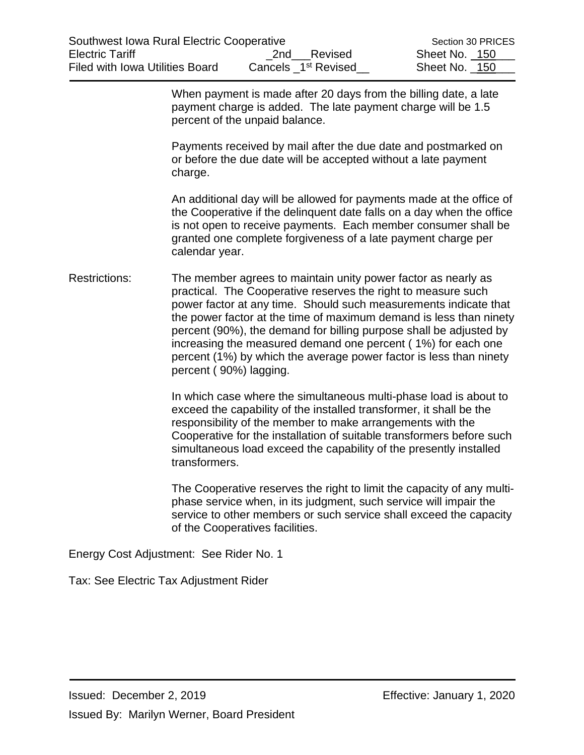| Southwest Iowa Rural Electric Cooperative | Section 30 PRICES               |               |
|-------------------------------------------|---------------------------------|---------------|
| <b>Electric Tariff</b>                    | 2nd Revised                     | Sheet No. 150 |
| <b>Filed with Iowa Utilities Board</b>    | Cancels 1 <sup>st</sup> Revised | Sheet No. 150 |

When payment is made after 20 days from the billing date, a late payment charge is added. The late payment charge will be 1.5 percent of the unpaid balance.

Payments received by mail after the due date and postmarked on or before the due date will be accepted without a late payment charge.

An additional day will be allowed for payments made at the office of the Cooperative if the delinquent date falls on a day when the office is not open to receive payments. Each member consumer shall be granted one complete forgiveness of a late payment charge per calendar year.

Restrictions: The member agrees to maintain unity power factor as nearly as practical. The Cooperative reserves the right to measure such power factor at any time. Should such measurements indicate that the power factor at the time of maximum demand is less than ninety percent (90%), the demand for billing purpose shall be adjusted by increasing the measured demand one percent ( 1%) for each one percent (1%) by which the average power factor is less than ninety percent ( 90%) lagging.

> In which case where the simultaneous multi-phase load is about to exceed the capability of the installed transformer, it shall be the responsibility of the member to make arrangements with the Cooperative for the installation of suitable transformers before such simultaneous load exceed the capability of the presently installed transformers.

> The Cooperative reserves the right to limit the capacity of any multiphase service when, in its judgment, such service will impair the service to other members or such service shall exceed the capacity of the Cooperatives facilities.

Energy Cost Adjustment: See Rider No. 1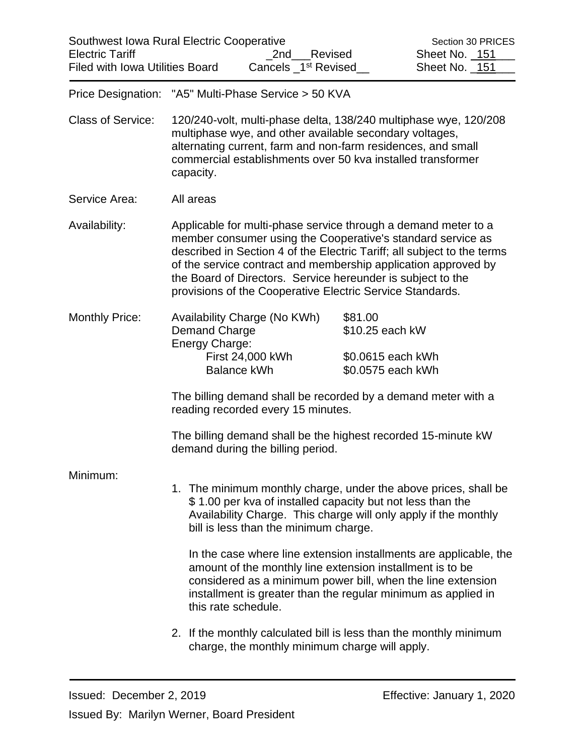| Southwest Iowa Rural Electric Cooperative<br><b>Electric Tariff</b><br><b>Filed with Iowa Utilities Board</b> |                                                                                                                                                                                                                                                                                                                                                                                                                                                                                                                                                                                                          | 2nd              | Revised<br>Cancels 1 <sup>st</sup> Revised                                                                                                                                                                                                                | Section 30 PRICES<br>Sheet No. 151<br>Sheet No. 151                                                                                       |
|---------------------------------------------------------------------------------------------------------------|----------------------------------------------------------------------------------------------------------------------------------------------------------------------------------------------------------------------------------------------------------------------------------------------------------------------------------------------------------------------------------------------------------------------------------------------------------------------------------------------------------------------------------------------------------------------------------------------------------|------------------|-----------------------------------------------------------------------------------------------------------------------------------------------------------------------------------------------------------------------------------------------------------|-------------------------------------------------------------------------------------------------------------------------------------------|
| Price Designation: "A5" Multi-Phase Service > 50 KVA                                                          |                                                                                                                                                                                                                                                                                                                                                                                                                                                                                                                                                                                                          |                  |                                                                                                                                                                                                                                                           |                                                                                                                                           |
| <b>Class of Service:</b>                                                                                      | capacity.                                                                                                                                                                                                                                                                                                                                                                                                                                                                                                                                                                                                |                  | multiphase wye, and other available secondary voltages,<br>alternating current, farm and non-farm residences, and small<br>commercial establishments over 50 kva installed transformer                                                                    | 120/240-volt, multi-phase delta, 138/240 multiphase wye, 120/208                                                                          |
| Service Area:                                                                                                 | All areas                                                                                                                                                                                                                                                                                                                                                                                                                                                                                                                                                                                                |                  |                                                                                                                                                                                                                                                           |                                                                                                                                           |
| Availability:                                                                                                 |                                                                                                                                                                                                                                                                                                                                                                                                                                                                                                                                                                                                          |                  | Applicable for multi-phase service through a demand meter to a<br>member consumer using the Cooperative's standard service as<br>the Board of Directors. Service hereunder is subject to the<br>provisions of the Cooperative Electric Service Standards. | described in Section 4 of the Electric Tariff; all subject to the terms<br>of the service contract and membership application approved by |
| <b>Monthly Price:</b>                                                                                         | Availability Charge (No KWh)<br><b>Demand Charge</b><br>Energy Charge:<br>Balance kWh                                                                                                                                                                                                                                                                                                                                                                                                                                                                                                                    | First 24,000 kWh | \$81.00<br>\$10.25 each kW<br>\$0.0615 each kWh<br>\$0.0575 each kWh                                                                                                                                                                                      |                                                                                                                                           |
|                                                                                                               | reading recorded every 15 minutes.                                                                                                                                                                                                                                                                                                                                                                                                                                                                                                                                                                       |                  | The billing demand shall be recorded by a demand meter with a                                                                                                                                                                                             |                                                                                                                                           |
|                                                                                                               | demand during the billing period.                                                                                                                                                                                                                                                                                                                                                                                                                                                                                                                                                                        |                  | The billing demand shall be the highest recorded 15-minute kW                                                                                                                                                                                             |                                                                                                                                           |
| Minimum:                                                                                                      | 1. The minimum monthly charge, under the above prices, shall be<br>\$1.00 per kva of installed capacity but not less than the<br>Availability Charge. This charge will only apply if the monthly<br>bill is less than the minimum charge.<br>In the case where line extension installments are applicable, the<br>amount of the monthly line extension installment is to be<br>considered as a minimum power bill, when the line extension<br>installment is greater than the regular minimum as applied in<br>this rate schedule.<br>2. If the monthly calculated bill is less than the monthly minimum |                  |                                                                                                                                                                                                                                                           |                                                                                                                                           |
|                                                                                                               |                                                                                                                                                                                                                                                                                                                                                                                                                                                                                                                                                                                                          |                  | charge, the monthly minimum charge will apply.                                                                                                                                                                                                            |                                                                                                                                           |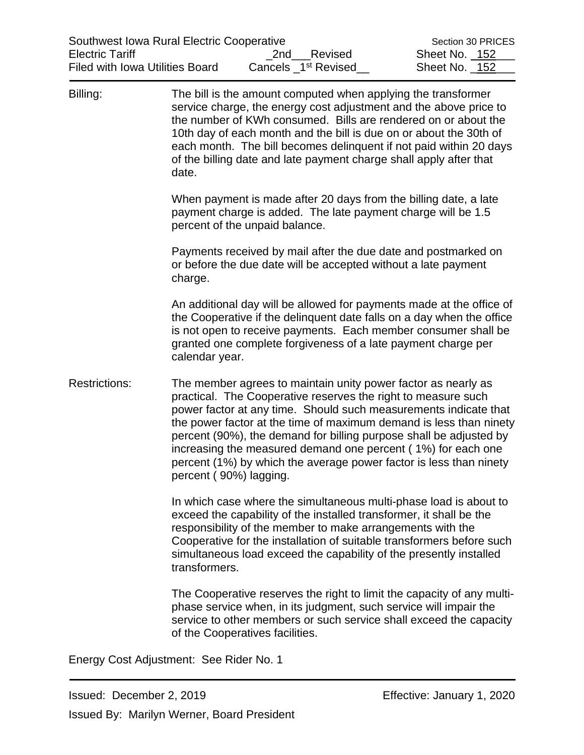| Southwest Iowa Rural Electric Cooperative | Section 30 PRICES               |                 |
|-------------------------------------------|---------------------------------|-----------------|
| <b>Electric Tariff</b>                    | 2nd Revised                     | Sheet No. 152   |
| Filed with Iowa Utilities Board           | Cancels 1 <sup>st</sup> Revised | Sheet No. _152_ |

| Billing:             | The bill is the amount computed when applying the transformer<br>service charge, the energy cost adjustment and the above price to<br>the number of KWh consumed. Bills are rendered on or about the<br>10th day of each month and the bill is due on or about the 30th of<br>each month. The bill becomes delinquent if not paid within 20 days<br>of the billing date and late payment charge shall apply after that<br>date.                                                                                |
|----------------------|----------------------------------------------------------------------------------------------------------------------------------------------------------------------------------------------------------------------------------------------------------------------------------------------------------------------------------------------------------------------------------------------------------------------------------------------------------------------------------------------------------------|
|                      | When payment is made after 20 days from the billing date, a late<br>payment charge is added. The late payment charge will be 1.5<br>percent of the unpaid balance.                                                                                                                                                                                                                                                                                                                                             |
|                      | Payments received by mail after the due date and postmarked on<br>or before the due date will be accepted without a late payment<br>charge.                                                                                                                                                                                                                                                                                                                                                                    |
|                      | An additional day will be allowed for payments made at the office of<br>the Cooperative if the delinquent date falls on a day when the office<br>is not open to receive payments. Each member consumer shall be<br>granted one complete forgiveness of a late payment charge per<br>calendar year.                                                                                                                                                                                                             |
| <b>Restrictions:</b> | The member agrees to maintain unity power factor as nearly as<br>practical. The Cooperative reserves the right to measure such<br>power factor at any time. Should such measurements indicate that<br>the power factor at the time of maximum demand is less than ninety<br>percent (90%), the demand for billing purpose shall be adjusted by<br>increasing the measured demand one percent (1%) for each one<br>percent (1%) by which the average power factor is less than ninety<br>percent (90%) lagging. |
|                      | In which case where the simultaneous multi-phase load is about to<br>exceed the capability of the installed transformer, it shall be the<br>responsibility of the member to make arrangements with the<br>Cooperative for the installation of suitable transformers before such<br>simultaneous load exceed the capability of the presently installed<br>transformers.                                                                                                                                         |
|                      | The Cooperative reserves the right to limit the capacity of any multi-<br>phase service when, in its judgment, such service will impair the<br>service to other members or such service shall exceed the capacity<br>of the Cooperatives facilities.                                                                                                                                                                                                                                                           |

Energy Cost Adjustment: See Rider No. 1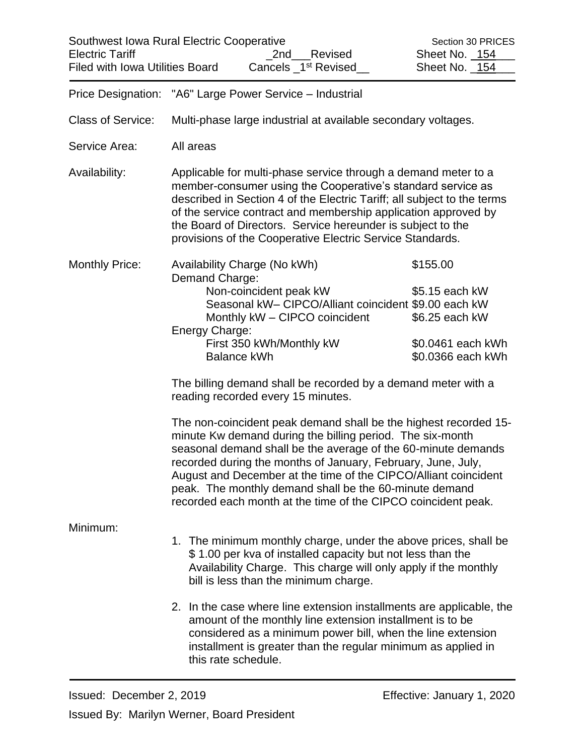| <b>Electric Tariff</b><br><b>Filed with Iowa Utilities Board</b> | Southwest Iowa Rural Electric Cooperative<br>Revised<br>2nd<br>Cancels _1 <sup>st</sup> Revised___                                                                                                                                                                                                                                                                                                                                                                                                                                                                                                                                                                                                                                                                                                                                                                                                                                                                                                                                                                                    | Section 30 PRICES<br>Sheet No. 154<br>Sheet No. _154                                   |  |  |  |
|------------------------------------------------------------------|---------------------------------------------------------------------------------------------------------------------------------------------------------------------------------------------------------------------------------------------------------------------------------------------------------------------------------------------------------------------------------------------------------------------------------------------------------------------------------------------------------------------------------------------------------------------------------------------------------------------------------------------------------------------------------------------------------------------------------------------------------------------------------------------------------------------------------------------------------------------------------------------------------------------------------------------------------------------------------------------------------------------------------------------------------------------------------------|----------------------------------------------------------------------------------------|--|--|--|
|                                                                  | Price Designation: "A6" Large Power Service – Industrial                                                                                                                                                                                                                                                                                                                                                                                                                                                                                                                                                                                                                                                                                                                                                                                                                                                                                                                                                                                                                              |                                                                                        |  |  |  |
| <b>Class of Service:</b>                                         | Multi-phase large industrial at available secondary voltages.                                                                                                                                                                                                                                                                                                                                                                                                                                                                                                                                                                                                                                                                                                                                                                                                                                                                                                                                                                                                                         |                                                                                        |  |  |  |
| Service Area:                                                    | All areas                                                                                                                                                                                                                                                                                                                                                                                                                                                                                                                                                                                                                                                                                                                                                                                                                                                                                                                                                                                                                                                                             |                                                                                        |  |  |  |
| Availability:                                                    | Applicable for multi-phase service through a demand meter to a<br>member-consumer using the Cooperative's standard service as<br>described in Section 4 of the Electric Tariff; all subject to the terms<br>of the service contract and membership application approved by<br>the Board of Directors. Service hereunder is subject to the<br>provisions of the Cooperative Electric Service Standards.                                                                                                                                                                                                                                                                                                                                                                                                                                                                                                                                                                                                                                                                                |                                                                                        |  |  |  |
| <b>Monthly Price:</b>                                            | Availability Charge (No kWh)<br>Demand Charge:<br>Non-coincident peak kW<br>Seasonal kW- CIPCO/Alliant coincident \$9.00 each kW<br>Monthly kW - CIPCO coincident<br>Energy Charge:<br>First 350 kWh/Monthly kW<br><b>Balance kWh</b>                                                                                                                                                                                                                                                                                                                                                                                                                                                                                                                                                                                                                                                                                                                                                                                                                                                 | \$155.00<br>\$5.15 each kW<br>\$6.25 each kW<br>\$0.0461 each kWh<br>\$0.0366 each kWh |  |  |  |
| Minimum:                                                         | The billing demand shall be recorded by a demand meter with a<br>reading recorded every 15 minutes.<br>The non-coincident peak demand shall be the highest recorded 15-<br>minute Kw demand during the billing period. The six-month<br>seasonal demand shall be the average of the 60-minute demands<br>recorded during the months of January, February, June, July,<br>August and December at the time of the CIPCO/Alliant coincident<br>peak. The monthly demand shall be the 60-minute demand<br>recorded each month at the time of the CIPCO coincident peak.<br>1. The minimum monthly charge, under the above prices, shall be<br>\$1.00 per kva of installed capacity but not less than the<br>Availability Charge. This charge will only apply if the monthly<br>bill is less than the minimum charge.<br>2. In the case where line extension installments are applicable, the<br>amount of the monthly line extension installment is to be<br>considered as a minimum power bill, when the line extension<br>installment is greater than the regular minimum as applied in |                                                                                        |  |  |  |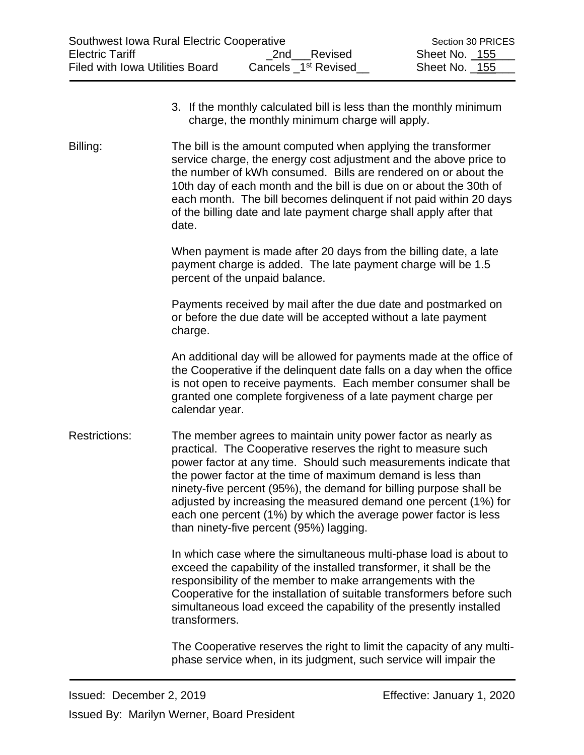- 3. If the monthly calculated bill is less than the monthly minimum charge, the monthly minimum charge will apply.
- Billing: The bill is the amount computed when applying the transformer service charge, the energy cost adjustment and the above price to the number of kWh consumed. Bills are rendered on or about the 10th day of each month and the bill is due on or about the 30th of each month. The bill becomes delinquent if not paid within 20 days of the billing date and late payment charge shall apply after that date.

When payment is made after 20 days from the billing date, a late payment charge is added. The late payment charge will be 1.5 percent of the unpaid balance.

Payments received by mail after the due date and postmarked on or before the due date will be accepted without a late payment charge.

An additional day will be allowed for payments made at the office of the Cooperative if the delinquent date falls on a day when the office is not open to receive payments. Each member consumer shall be granted one complete forgiveness of a late payment charge per calendar year.

Restrictions: The member agrees to maintain unity power factor as nearly as practical. The Cooperative reserves the right to measure such power factor at any time. Should such measurements indicate that the power factor at the time of maximum demand is less than ninety-five percent (95%), the demand for billing purpose shall be adjusted by increasing the measured demand one percent (1%) for each one percent (1%) by which the average power factor is less than ninety-five percent (95%) lagging.

> In which case where the simultaneous multi-phase load is about to exceed the capability of the installed transformer, it shall be the responsibility of the member to make arrangements with the Cooperative for the installation of suitable transformers before such simultaneous load exceed the capability of the presently installed transformers.

> The Cooperative reserves the right to limit the capacity of any multiphase service when, in its judgment, such service will impair the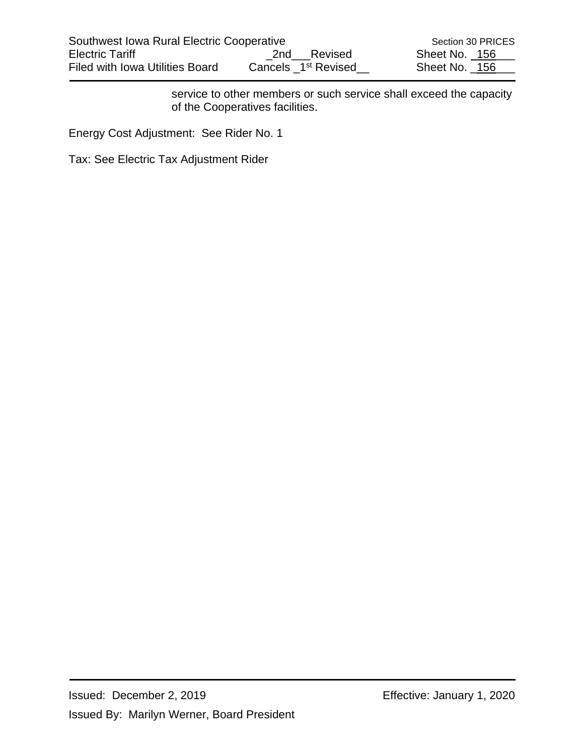service to other members or such service shall exceed the capacity of the Cooperatives facilities.

Energy Cost Adjustment: See Rider No. 1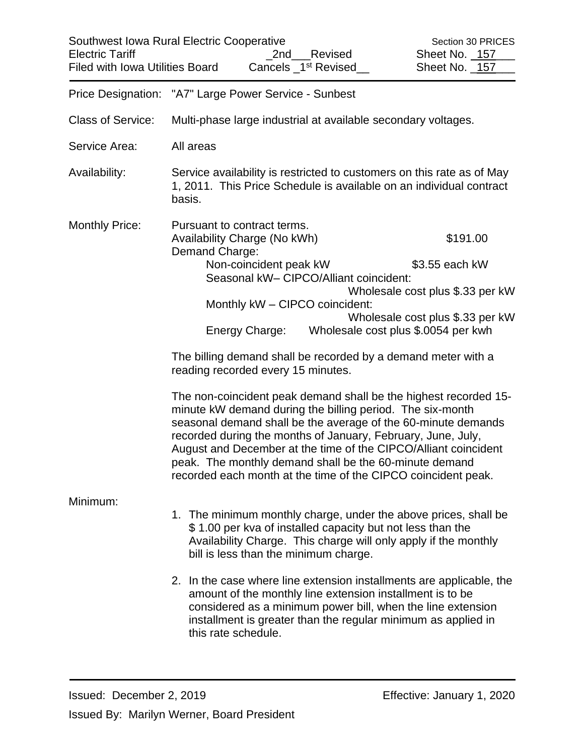| Southwest Iowa Rural Electric Cooperative                        |                                                                               |                                          |                                                                                                                                                                                                                                                                                                                                                                                                                                                                                                                               |                                 | Section 30 PRICES |
|------------------------------------------------------------------|-------------------------------------------------------------------------------|------------------------------------------|-------------------------------------------------------------------------------------------------------------------------------------------------------------------------------------------------------------------------------------------------------------------------------------------------------------------------------------------------------------------------------------------------------------------------------------------------------------------------------------------------------------------------------|---------------------------------|-------------------|
| <b>Electric Tariff</b><br><b>Filed with Iowa Utilities Board</b> |                                                                               |                                          | 2nd Revised<br>Cancels _1 <sup>st</sup> Revised_                                                                                                                                                                                                                                                                                                                                                                                                                                                                              | Sheet No. 157<br>Sheet No. _157 |                   |
|                                                                  |                                                                               |                                          |                                                                                                                                                                                                                                                                                                                                                                                                                                                                                                                               |                                 |                   |
| Price Designation: "A7" Large Power Service - Sunbest            |                                                                               |                                          |                                                                                                                                                                                                                                                                                                                                                                                                                                                                                                                               |                                 |                   |
| <b>Class of Service:</b>                                         |                                                                               |                                          | Multi-phase large industrial at available secondary voltages.                                                                                                                                                                                                                                                                                                                                                                                                                                                                 |                                 |                   |
| Service Area:                                                    | All areas                                                                     |                                          |                                                                                                                                                                                                                                                                                                                                                                                                                                                                                                                               |                                 |                   |
| Availability:                                                    | basis.                                                                        |                                          | Service availability is restricted to customers on this rate as of May<br>1, 2011. This Price Schedule is available on an individual contract                                                                                                                                                                                                                                                                                                                                                                                 |                                 |                   |
| <b>Monthly Price:</b>                                            | Pursuant to contract terms.<br>Availability Charge (No kWh)<br>Demand Charge: | Non-coincident peak kW<br>Energy Charge: | Seasonal kW- CIPCO/Alliant coincident:<br>Wholesale cost plus \$.33 per kW<br>Monthly kW - CIPCO coincident:<br>Wholesale cost plus \$.33 per kW<br>Wholesale cost plus \$.0054 per kwh                                                                                                                                                                                                                                                                                                                                       | \$191.00<br>\$3.55 each kW      |                   |
|                                                                  | reading recorded every 15 minutes.                                            |                                          | The billing demand shall be recorded by a demand meter with a<br>The non-coincident peak demand shall be the highest recorded 15-<br>minute kW demand during the billing period. The six-month<br>seasonal demand shall be the average of the 60-minute demands<br>recorded during the months of January, February, June, July,<br>August and December at the time of the CIPCO/Alliant coincident<br>peak. The monthly demand shall be the 60-minute demand<br>recorded each month at the time of the CIPCO coincident peak. |                                 |                   |
| Minimum:                                                         | this rate schedule.                                                           |                                          | 1. The minimum monthly charge, under the above prices, shall be<br>\$1.00 per kva of installed capacity but not less than the<br>Availability Charge. This charge will only apply if the monthly<br>bill is less than the minimum charge.<br>2. In the case where line extension installments are applicable, the<br>amount of the monthly line extension installment is to be<br>considered as a minimum power bill, when the line extension<br>installment is greater than the regular minimum as applied in                |                                 |                   |
|                                                                  |                                                                               |                                          |                                                                                                                                                                                                                                                                                                                                                                                                                                                                                                                               |                                 |                   |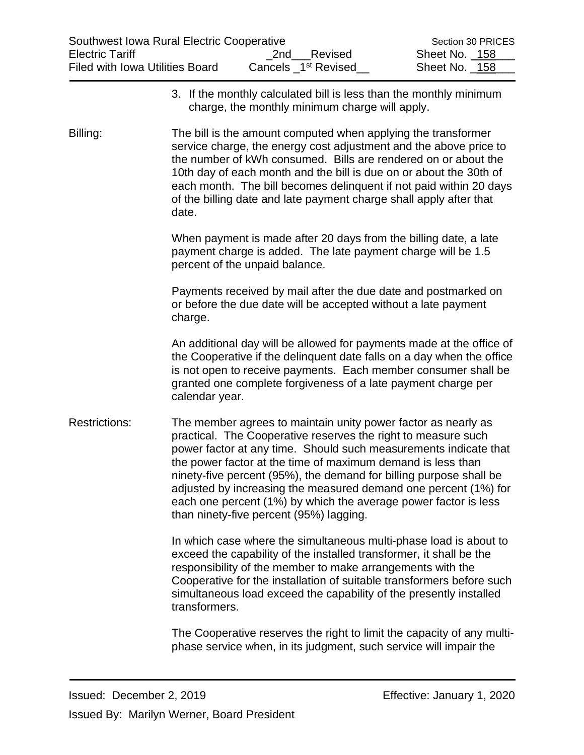| Southwest Iowa Rural Electric Cooperative | Section 30 PRICES               |                 |
|-------------------------------------------|---------------------------------|-----------------|
| <b>Electric Tariff</b>                    | 2nd Revised                     | Sheet No. 158   |
| Filed with Iowa Utilities Board           | Cancels 1 <sup>st</sup> Revised | Sheet No. _158_ |

- 3. If the monthly calculated bill is less than the monthly minimum charge, the monthly minimum charge will apply.
- Billing: The bill is the amount computed when applying the transformer service charge, the energy cost adjustment and the above price to the number of kWh consumed. Bills are rendered on or about the 10th day of each month and the bill is due on or about the 30th of each month. The bill becomes delinquent if not paid within 20 days of the billing date and late payment charge shall apply after that date.

When payment is made after 20 days from the billing date, a late payment charge is added. The late payment charge will be 1.5 percent of the unpaid balance.

Payments received by mail after the due date and postmarked on or before the due date will be accepted without a late payment charge.

An additional day will be allowed for payments made at the office of the Cooperative if the delinquent date falls on a day when the office is not open to receive payments. Each member consumer shall be granted one complete forgiveness of a late payment charge per calendar year.

Restrictions: The member agrees to maintain unity power factor as nearly as practical. The Cooperative reserves the right to measure such power factor at any time. Should such measurements indicate that the power factor at the time of maximum demand is less than ninety-five percent (95%), the demand for billing purpose shall be adjusted by increasing the measured demand one percent (1%) for each one percent (1%) by which the average power factor is less than ninety-five percent (95%) lagging.

> In which case where the simultaneous multi-phase load is about to exceed the capability of the installed transformer, it shall be the responsibility of the member to make arrangements with the Cooperative for the installation of suitable transformers before such simultaneous load exceed the capability of the presently installed transformers.

> The Cooperative reserves the right to limit the capacity of any multiphase service when, in its judgment, such service will impair the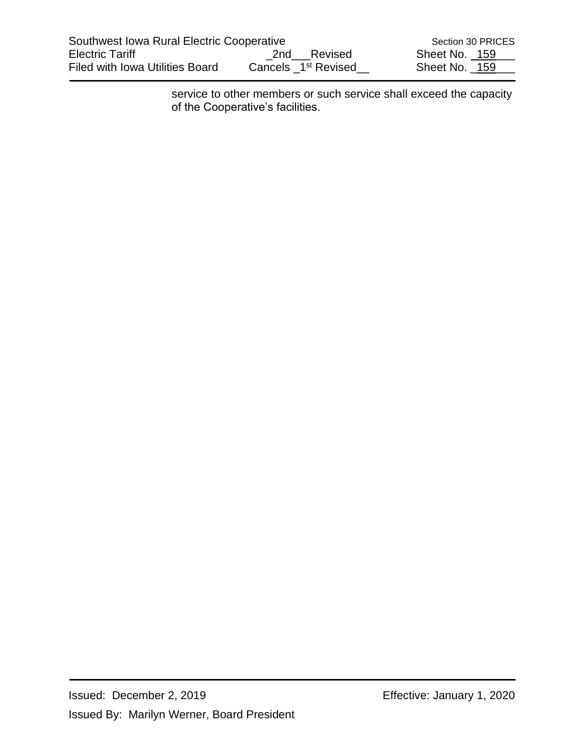| Southwest Iowa Rural Electric Cooperative | Section 30 PRICES               |                 |
|-------------------------------------------|---------------------------------|-----------------|
| <b>Electric Tariff</b>                    | 2nd Revised                     | Sheet No. 159   |
| Filed with Iowa Utilities Board           | Cancels 1 <sup>st</sup> Revised | Sheet No. _159_ |

service to other members or such service shall exceed the capacity of the Cooperative's facilities.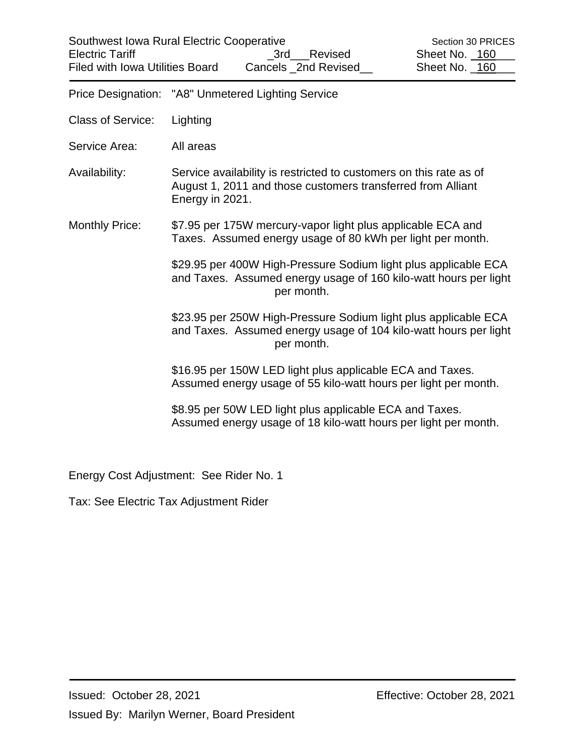| Southwest Iowa Rural Electric Cooperative | Section 30 PRICES   |                 |
|-------------------------------------------|---------------------|-----------------|
| <b>Electric Tariff</b>                    | 3rd Revised         | Sheet No. 160   |
| <b>Filed with Iowa Utilities Board</b>    | Cancels 2nd Revised | Sheet No. _160_ |

Price Designation: "A8" Unmetered Lighting Service

Class of Service: Lighting

Service Area: All areas

Availability: Service availability is restricted to customers on this rate as of August 1, 2011 and those customers transferred from Alliant Energy in 2021.

Monthly Price: \$7.95 per 175W mercury-vapor light plus applicable ECA and Taxes. Assumed energy usage of 80 kWh per light per month.

> \$29.95 per 400W High-Pressure Sodium light plus applicable ECA and Taxes. Assumed energy usage of 160 kilo-watt hours per light per month.

> \$23.95 per 250W High-Pressure Sodium light plus applicable ECA and Taxes. Assumed energy usage of 104 kilo-watt hours per light per month.

\$16.95 per 150W LED light plus applicable ECA and Taxes. Assumed energy usage of 55 kilo-watt hours per light per month.

\$8.95 per 50W LED light plus applicable ECA and Taxes. Assumed energy usage of 18 kilo-watt hours per light per month.

Energy Cost Adjustment: See Rider No. 1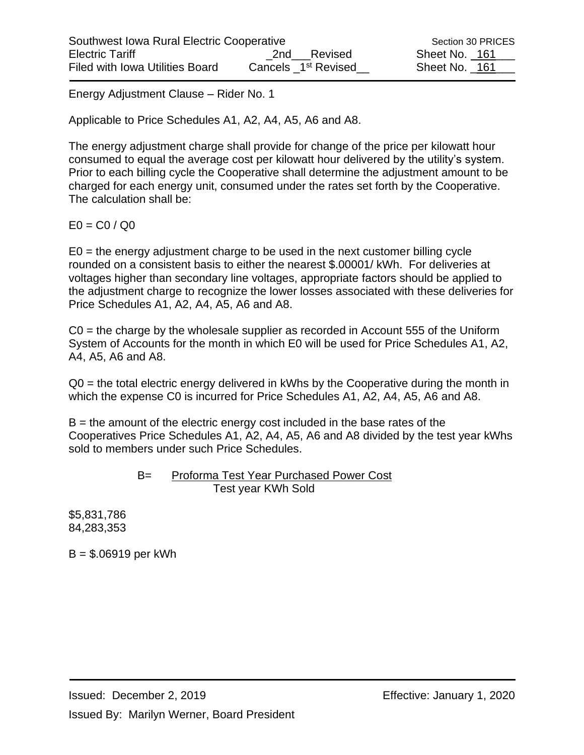Energy Adjustment Clause – Rider No. 1

Applicable to Price Schedules A1, A2, A4, A5, A6 and A8.

The energy adjustment charge shall provide for change of the price per kilowatt hour consumed to equal the average cost per kilowatt hour delivered by the utility's system. Prior to each billing cycle the Cooperative shall determine the adjustment amount to be charged for each energy unit, consumed under the rates set forth by the Cooperative. The calculation shall be:

 $E0 = CO / Q0$ 

 $E0 =$  the energy adjustment charge to be used in the next customer billing cycle rounded on a consistent basis to either the nearest \$.00001/ kWh. For deliveries at voltages higher than secondary line voltages, appropriate factors should be applied to the adjustment charge to recognize the lower losses associated with these deliveries for Price Schedules A1, A2, A4, A5, A6 and A8.

 $CO =$  the charge by the wholesale supplier as recorded in Account 555 of the Uniform System of Accounts for the month in which E0 will be used for Price Schedules A1, A2, A4, A5, A6 and A8.

 $Q0$  = the total electric energy delivered in kWhs by the Cooperative during the month in which the expense C0 is incurred for Price Schedules A1, A2, A4, A5, A6 and A8.

B = the amount of the electric energy cost included in the base rates of the Cooperatives Price Schedules A1, A2, A4, A5, A6 and A8 divided by the test year kWhs sold to members under such Price Schedules.

> B= Proforma Test Year Purchased Power Cost Test year KWh Sold

\$5,831,786 84,283,353

 $B = $.06919$  per kWh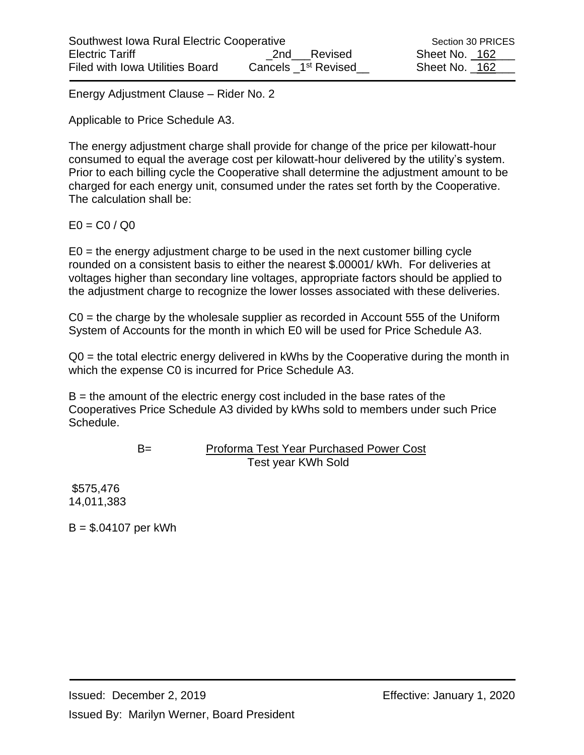Energy Adjustment Clause – Rider No. 2

Applicable to Price Schedule A3.

The energy adjustment charge shall provide for change of the price per kilowatt-hour consumed to equal the average cost per kilowatt-hour delivered by the utility's system. Prior to each billing cycle the Cooperative shall determine the adjustment amount to be charged for each energy unit, consumed under the rates set forth by the Cooperative. The calculation shall be:

 $E0 = CO / Q0$ 

 $E0$  = the energy adjustment charge to be used in the next customer billing cycle rounded on a consistent basis to either the nearest \$.00001/ kWh. For deliveries at voltages higher than secondary line voltages, appropriate factors should be applied to the adjustment charge to recognize the lower losses associated with these deliveries.

C0 = the charge by the wholesale supplier as recorded in Account 555 of the Uniform System of Accounts for the month in which E0 will be used for Price Schedule A3.

 $Q0$  = the total electric energy delivered in kWhs by the Cooperative during the month in which the expense C0 is incurred for Price Schedule A3.

B = the amount of the electric energy cost included in the base rates of the Cooperatives Price Schedule A3 divided by kWhs sold to members under such Price Schedule.

B= Proforma Test Year Purchased Power Cost Test year KWh Sold

\$575,476 14,011,383

 $B = $.04107$  per kWh